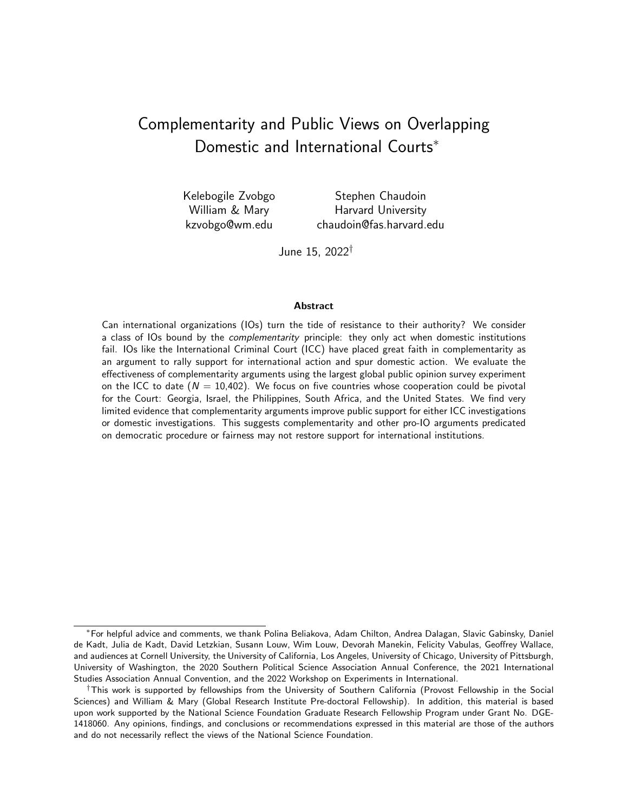# <span id="page-0-0"></span>Complementarity and Public Views on Overlapping Domestic and International Courts<sup>\*</sup>

Kelebogile Zvobgo William & Mary [kzvobgo@wm.edu](mailto:kzvobgo@wm.edu)

Stephen Chaudoin Harvard University [chaudoin@fas.harvard.edu](mailto:chaudoin@fas.harvard.edu)

June 15, 2022†

#### Abstract

Can international organizations (IOs) turn the tide of resistance to their authority? We consider a class of IOs bound by the complementarity principle: they only act when domestic institutions fail. IOs like the International Criminal Court (ICC) have placed great faith in complementarity as an argument to rally support for international action and spur domestic action. We evaluate the effectiveness of complementarity arguments using the largest global public opinion survey experiment on the ICC to date  $(N = 10,402)$ . We focus on five countries whose cooperation could be pivotal for the Court: Georgia, Israel, the Philippines, South Africa, and the United States. We find very limited evidence that complementarity arguments improve public support for either ICC investigations or domestic investigations. This suggests complementarity and other pro-IO arguments predicated on democratic procedure or fairness may not restore support for international institutions.

<sup>∗</sup>For helpful advice and comments, we thank Polina Beliakova, Adam Chilton, Andrea Dalagan, Slavic Gabinsky, Daniel de Kadt, Julia de Kadt, David Letzkian, Susann Louw, Wim Louw, Devorah Manekin, Felicity Vabulas, Geoffrey Wallace, and audiences at Cornell University, the University of California, Los Angeles, University of Chicago, University of Pittsburgh, University of Washington, the 2020 Southern Political Science Association Annual Conference, the 2021 International Studies Association Annual Convention, and the 2022 Workshop on Experiments in International.

<sup>†</sup>This work is supported by fellowships from the University of Southern California (Provost Fellowship in the Social Sciences) and William & Mary (Global Research Institute Pre-doctoral Fellowship). In addition, this material is based upon work supported by the National Science Foundation Graduate Research Fellowship Program under Grant No. DGE-1418060. Any opinions, findings, and conclusions or recommendations expressed in this material are those of the authors and do not necessarily reflect the views of the National Science Foundation.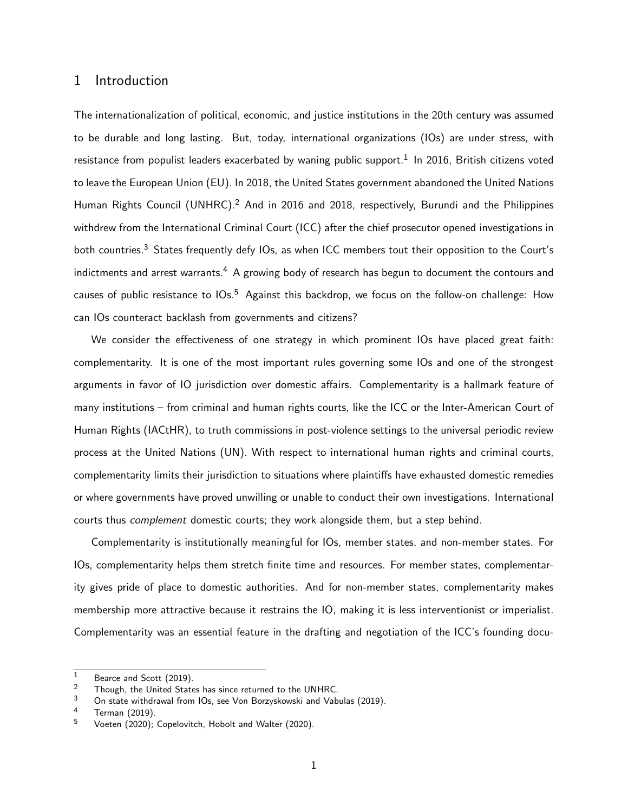## 1 Introduction

The internationalization of political, economic, and justice institutions in the 20th century was assumed to be durable and long lasting. But, today, international organizations (IOs) are under stress, with resistance from populist leaders exacerbated by waning public support.<sup>[1](#page-0-0)</sup> In 2016, British citizens voted to leave the European Union (EU). In 2018, the United States government abandoned the United Nations Human Rights Council (UNHRC).<sup>[2](#page-0-0)</sup> And in 2016 and 2018, respectively, Burundi and the Philippines withdrew from the International Criminal Court (ICC) after the chief prosecutor opened investigations in both countries.<sup>[3](#page-0-0)</sup> States frequently defy IOs, as when ICC members tout their opposition to the Court's indictments and arrest warrants.<sup>[4](#page-0-0)</sup> A growing body of research has begun to document the contours and causes of public resistance to IOs.<sup>[5](#page-0-0)</sup> Against this backdrop, we focus on the follow-on challenge: How can IOs counteract backlash from governments and citizens?

We consider the effectiveness of one strategy in which prominent IOs have placed great faith: complementarity. It is one of the most important rules governing some IOs and one of the strongest arguments in favor of IO jurisdiction over domestic affairs. Complementarity is a hallmark feature of many institutions – from criminal and human rights courts, like the ICC or the Inter-American Court of Human Rights (IACtHR), to truth commissions in post-violence settings to the universal periodic review process at the United Nations (UN). With respect to international human rights and criminal courts, complementarity limits their jurisdiction to situations where plaintiffs have exhausted domestic remedies or where governments have proved unwilling or unable to conduct their own investigations. International courts thus complement domestic courts; they work alongside them, but a step behind.

Complementarity is institutionally meaningful for IOs, member states, and non-member states. For IOs, complementarity helps them stretch finite time and resources. For member states, complementarity gives pride of place to domestic authorities. And for non-member states, complementarity makes membership more attractive because it restrains the IO, making it is less interventionist or imperialist. Complementarity was an essential feature in the drafting and negotiation of the ICC's founding docu-

 $\frac{1}{2}$  [Bearce and Scott](#page-39-0) [\(2019\)](#page-39-0).

<sup>&</sup>lt;sup>2</sup> Though, the United States has since returned to the UNHRC.<br><sup>3</sup> On state withdrawal from IQs, see Von Borzyskowski and Vab

<sup>3</sup> On state withdrawal from IOs, see [Von Borzyskowski and Vabulas](#page-41-0) [\(2019\)](#page-41-0).<br>4 Terman (2010)

 $^{4}$  [Terman](#page-41-1) [\(2019\)](#page-41-1).<br>  $^{5}$  Voeten (2020).

[Voeten](#page-41-2) [\(2020\)](#page-39-1); [Copelovitch, Hobolt and Walter](#page-39-1) (2020).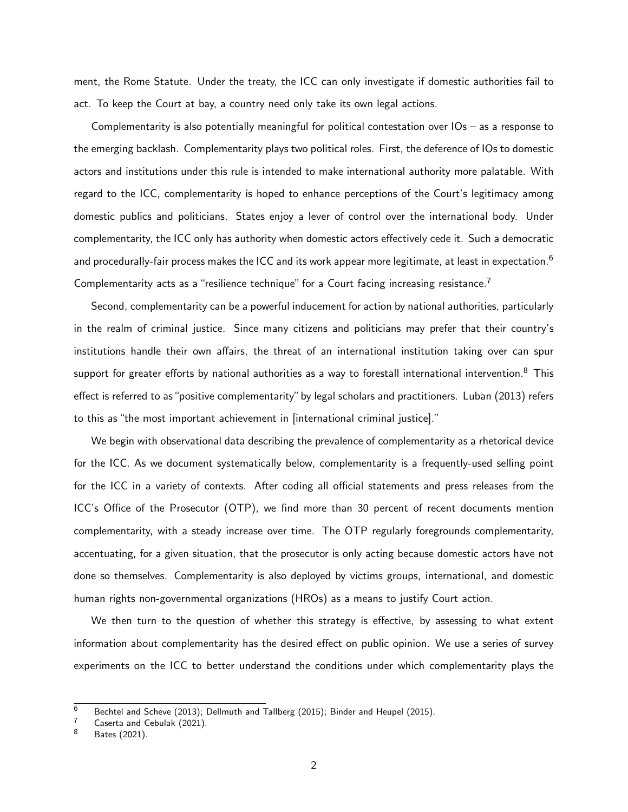ment, the Rome Statute. Under the treaty, the ICC can only investigate if domestic authorities fail to act. To keep the Court at bay, a country need only take its own legal actions.

Complementarity is also potentially meaningful for political contestation over IOs – as a response to the emerging backlash. Complementarity plays two political roles. First, the deference of IOs to domestic actors and institutions under this rule is intended to make international authority more palatable. With regard to the ICC, complementarity is hoped to enhance perceptions of the Court's legitimacy among domestic publics and politicians. States enjoy a lever of control over the international body. Under complementarity, the ICC only has authority when domestic actors effectively cede it. Such a democratic and procedurally-fair process makes the ICC and its work appear more legitimate, at least in expectation.<sup>[6](#page-0-0)</sup> Complementarity acts as a "resilience technique" for a Court facing increasing resistance.<sup>[7](#page-0-0)</sup>

Second, complementarity can be a powerful inducement for action by national authorities, particularly in the realm of criminal justice. Since many citizens and politicians may prefer that their country's institutions handle their own affairs, the threat of an international institution taking over can spur support for greater efforts by national authorities as a way to forestall international intervention.<sup>[8](#page-0-0)</sup> This effect is referred to as"positive complementarity"by legal scholars and practitioners. [Luban](#page-40-0) [\(2013\)](#page-40-0) refers to this as "the most important achievement in [international criminal justice]."

We begin with observational data describing the prevalence of complementarity as a rhetorical device for the ICC. As we document systematically below, complementarity is a frequently-used selling point for the ICC in a variety of contexts. After coding all official statements and press releases from the ICC's Office of the Prosecutor (OTP), we find more than 30 percent of recent documents mention complementarity, with a steady increase over time. The OTP regularly foregrounds complementarity, accentuating, for a given situation, that the prosecutor is only acting because domestic actors have not done so themselves. Complementarity is also deployed by victims groups, international, and domestic human rights non-governmental organizations (HROs) as a means to justify Court action.

We then turn to the question of whether this strategy is effective, by assessing to what extent information about complementarity has the desired effect on public opinion. We use a series of survey experiments on the ICC to better understand the conditions under which complementarity plays the

 $\frac{6}{7}$  [Bechtel and Scheve](#page-39-2) [\(2013\)](#page-39-2); [Dellmuth and Tallberg](#page-39-3) [\(2015\)](#page-39-4); [Binder and Heupel](#page-39-4) (2015).

 $\frac{7}{8}$  [Caserta and Cebulak](#page-39-5) [\(2021\)](#page-39-5).

[Bates](#page-39-6) [\(2021\)](#page-39-6).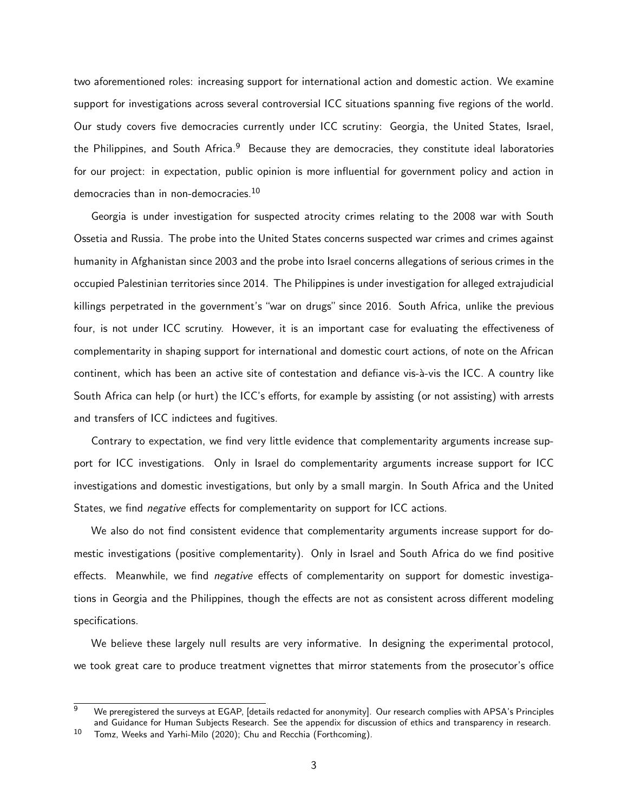two aforementioned roles: increasing support for international action and domestic action. We examine support for investigations across several controversial ICC situations spanning five regions of the world. Our study covers five democracies currently under ICC scrutiny: Georgia, the United States, Israel, the Philippines, and South Africa.<sup>[9](#page-0-0)</sup> Because they are democracies, they constitute ideal laboratories for our project: in expectation, public opinion is more influential for government policy and action in democracies than in non-democracies.<sup>[10](#page-0-0)</sup>

Georgia is under investigation for suspected atrocity crimes relating to the 2008 war with South Ossetia and Russia. The probe into the United States concerns suspected war crimes and crimes against humanity in Afghanistan since 2003 and the probe into Israel concerns allegations of serious crimes in the occupied Palestinian territories since 2014. The Philippines is under investigation for alleged extrajudicial killings perpetrated in the government's "war on drugs" since 2016. South Africa, unlike the previous four, is not under ICC scrutiny. However, it is an important case for evaluating the effectiveness of complementarity in shaping support for international and domestic court actions, of note on the African continent, which has been an active site of contestation and defiance vis-à-vis the ICC. A country like South Africa can help (or hurt) the ICC's efforts, for example by assisting (or not assisting) with arrests and transfers of ICC indictees and fugitives.

Contrary to expectation, we find very little evidence that complementarity arguments increase support for ICC investigations. Only in Israel do complementarity arguments increase support for ICC investigations and domestic investigations, but only by a small margin. In South Africa and the United States, we find negative effects for complementarity on support for ICC actions.

We also do not find consistent evidence that complementarity arguments increase support for domestic investigations (positive complementarity). Only in Israel and South Africa do we find positive effects. Meanwhile, we find *negative* effects of complementarity on support for domestic investigations in Georgia and the Philippines, though the effects are not as consistent across different modeling specifications.

We believe these largely null results are very informative. In designing the experimental protocol, we took great care to produce treatment vignettes that mirror statements from the prosecutor's office

We preregistered the surveys at EGAP, [details redacted for anonymity]. Our research complies with APSA's Principles and Guidance for Human Subjects Research. See the appendix for discussion of ethics and transparency in research.

 $10$  [Tomz, Weeks and Yarhi-Milo](#page-41-3) [\(2020\)](#page-41-3); [Chu and Recchia](#page-39-7) [\(Forthcoming\)](#page-39-7).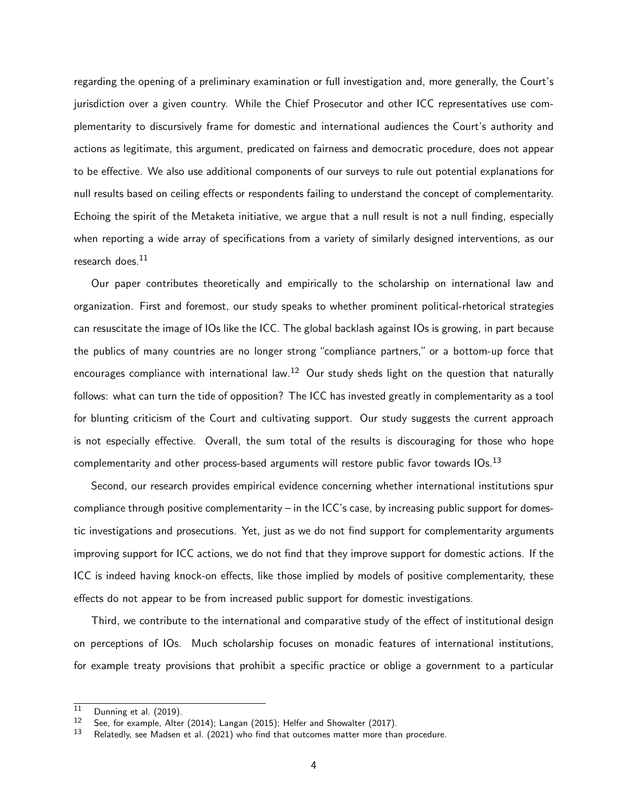regarding the opening of a preliminary examination or full investigation and, more generally, the Court's jurisdiction over a given country. While the Chief Prosecutor and other ICC representatives use complementarity to discursively frame for domestic and international audiences the Court's authority and actions as legitimate, this argument, predicated on fairness and democratic procedure, does not appear to be effective. We also use additional components of our surveys to rule out potential explanations for null results based on ceiling effects or respondents failing to understand the concept of complementarity. Echoing the spirit of the Metaketa initiative, we argue that a null result is not a null finding, especially when reporting a wide array of specifications from a variety of similarly designed interventions, as our research does. $11$ 

Our paper contributes theoretically and empirically to the scholarship on international law and organization. First and foremost, our study speaks to whether prominent political-rhetorical strategies can resuscitate the image of IOs like the ICC. The global backlash against IOs is growing, in part because the publics of many countries are no longer strong "compliance partners," or a bottom-up force that encourages compliance with international law.<sup>[12](#page-0-0)</sup> Our study sheds light on the question that naturally follows: what can turn the tide of opposition? The ICC has invested greatly in complementarity as a tool for blunting criticism of the Court and cultivating support. Our study suggests the current approach is not especially effective. Overall, the sum total of the results is discouraging for those who hope complementarity and other process-based arguments will restore public favor towards IOs.<sup>[13](#page-0-0)</sup>

Second, our research provides empirical evidence concerning whether international institutions spur compliance through positive complementarity – in the ICC's case, by increasing public support for domestic investigations and prosecutions. Yet, just as we do not find support for complementarity arguments improving support for ICC actions, we do not find that they improve support for domestic actions. If the ICC is indeed having knock-on effects, like those implied by models of positive complementarity, these effects do not appear to be from increased public support for domestic investigations.

Third, we contribute to the international and comparative study of the effect of institutional design on perceptions of IOs. Much scholarship focuses on monadic features of international institutions, for example treaty provisions that prohibit a specific practice or oblige a government to a particular

 $\frac{11}{12}$  [Dunning et al.](#page-40-1) [\(2019\)](#page-40-1).

<sup>&</sup>lt;sup>12</sup> See, for example, [Alter](#page-39-8) [\(2014\)](#page-39-8); [Langan](#page-40-2) [\(2015\)](#page-40-2); [Helfer and Showalter](#page-40-3) [\(2017\)](#page-40-3).<br><sup>13</sup> Belatedly see Madsen et al. (2021) who find that outcomes matter more tha

Relatedly, see [Madsen et al.](#page-40-4) [\(2021\)](#page-40-4) who find that outcomes matter more than procedure.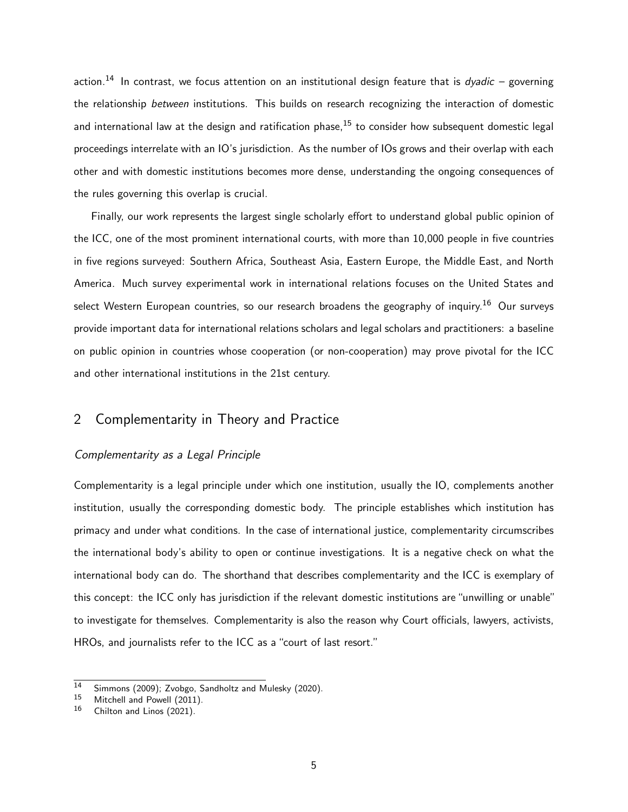action.<sup>[14](#page-0-0)</sup> In contrast, we focus attention on an institutional design feature that is *dyadic* – governing the relationship between institutions. This builds on research recognizing the interaction of domestic and international law at the design and ratification phase,  $15$  to consider how subsequent domestic legal proceedings interrelate with an IO's jurisdiction. As the number of IOs grows and their overlap with each other and with domestic institutions becomes more dense, understanding the ongoing consequences of the rules governing this overlap is crucial.

Finally, our work represents the largest single scholarly effort to understand global public opinion of the ICC, one of the most prominent international courts, with more than 10,000 people in five countries in five regions surveyed: Southern Africa, Southeast Asia, Eastern Europe, the Middle East, and North America. Much survey experimental work in international relations focuses on the United States and select Western European countries, so our research broadens the geography of inquiry.<sup>[16](#page-0-0)</sup> Our surveys provide important data for international relations scholars and legal scholars and practitioners: a baseline on public opinion in countries whose cooperation (or non-cooperation) may prove pivotal for the ICC and other international institutions in the 21st century.

# 2 Complementarity in Theory and Practice

#### Complementarity as a Legal Principle

Complementarity is a legal principle under which one institution, usually the IO, complements another institution, usually the corresponding domestic body. The principle establishes which institution has primacy and under what conditions. In the case of international justice, complementarity circumscribes the international body's ability to open or continue investigations. It is a negative check on what the international body can do. The shorthand that describes complementarity and the ICC is exemplary of this concept: the ICC only has jurisdiction if the relevant domestic institutions are "unwilling or unable" to investigate for themselves. Complementarity is also the reason why Court officials, lawyers, activists, HROs, and journalists refer to the ICC as a "court of last resort."

<sup>&</sup>lt;sup>14</sup> [Simmons](#page-41-4) [\(2009\)](#page-41-4); [Zvobgo, Sandholtz and Mulesky](#page-41-5) [\(2020\)](#page-41-5).<br>
15 Mitchell and Powell (2011)

 $15$  [Mitchell and Powell](#page-40-5) [\(2011\)](#page-40-5).<br> $16$  Chilton and Linos (2021)

[Chilton and Linos](#page-39-9) [\(2021\)](#page-39-9).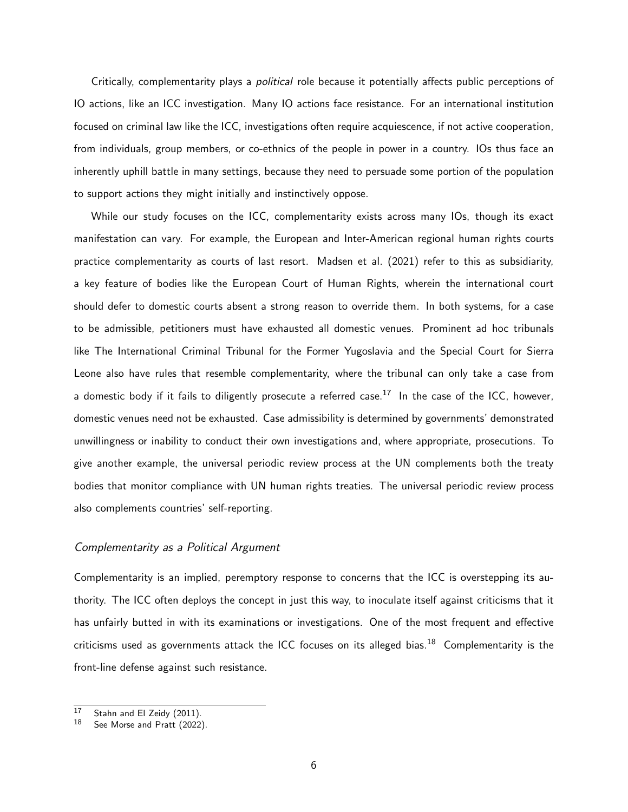Critically, complementarity plays a political role because it potentially affects public perceptions of IO actions, like an ICC investigation. Many IO actions face resistance. For an international institution focused on criminal law like the ICC, investigations often require acquiescence, if not active cooperation, from individuals, group members, or co-ethnics of the people in power in a country. IOs thus face an inherently uphill battle in many settings, because they need to persuade some portion of the population to support actions they might initially and instinctively oppose.

While our study focuses on the ICC, complementarity exists across many IOs, though its exact manifestation can vary. For example, the European and Inter-American regional human rights courts practice complementarity as courts of last resort. [Madsen et al.](#page-40-4) [\(2021\)](#page-40-4) refer to this as subsidiarity, a key feature of bodies like the European Court of Human Rights, wherein the international court should defer to domestic courts absent a strong reason to override them. In both systems, for a case to be admissible, petitioners must have exhausted all domestic venues. Prominent ad hoc tribunals like The International Criminal Tribunal for the Former Yugoslavia and the Special Court for Sierra Leone also have rules that resemble complementarity, where the tribunal can only take a case from a domestic body if it fails to diligently prosecute a referred case.<sup>[17](#page-0-0)</sup> In the case of the ICC, however, domestic venues need not be exhausted. Case admissibility is determined by governments' demonstrated unwillingness or inability to conduct their own investigations and, where appropriate, prosecutions. To give another example, the universal periodic review process at the UN complements both the treaty bodies that monitor compliance with UN human rights treaties. The universal periodic review process also complements countries' self-reporting.

#### Complementarity as a Political Argument

Complementarity is an implied, peremptory response to concerns that the ICC is overstepping its authority. The ICC often deploys the concept in just this way, to inoculate itself against criticisms that it has unfairly butted in with its examinations or investigations. One of the most frequent and effective criticisms used as governments attack the ICC focuses on its alleged bias.<sup>[18](#page-0-0)</sup> Complementarity is the front-line defense against such resistance.

 $\frac{17}{17}$  [Stahn and El Zeidy](#page-41-6) [\(2011\)](#page-41-6).

See [Morse and Pratt](#page-40-6) [\(2022\)](#page-40-6).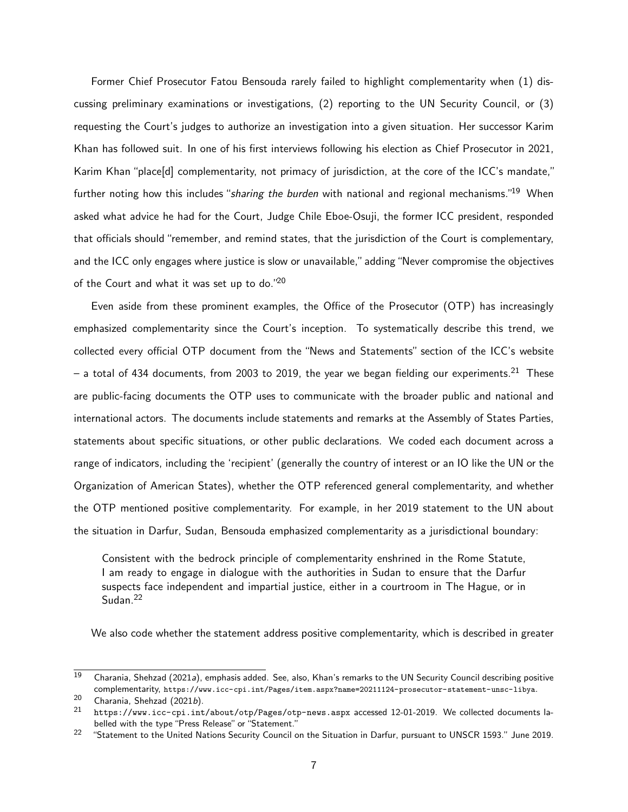Former Chief Prosecutor Fatou Bensouda rarely failed to highlight complementarity when (1) discussing preliminary examinations or investigations, (2) reporting to the UN Security Council, or (3) requesting the Court's judges to authorize an investigation into a given situation. Her successor Karim Khan has followed suit. In one of his first interviews following his election as Chief Prosecutor in 2021, Karim Khan "place[d] complementarity, not primacy of jurisdiction, at the core of the ICC's mandate," further noting how this includes "sharing the burden with national and regional mechanisms."<sup>[19](#page-0-0)</sup> When asked what advice he had for the Court, Judge Chile Eboe-Osuji, the former ICC president, responded that officials should "remember, and remind states, that the jurisdiction of the Court is complementary, and the ICC only engages where justice is slow or unavailable," adding "Never compromise the objectives of the Court and what it was set up to do."[20](#page-0-0)

Even aside from these prominent examples, the Office of the Prosecutor (OTP) has increasingly emphasized complementarity since the Court's inception. To systematically describe this trend, we collected every official OTP document from the "News and Statements" section of the ICC's website  $-$  a total of 434 documents, from 2003 to 2019, the year we began fielding our experiments.<sup>[21](#page-0-0)</sup> These are public-facing documents the OTP uses to communicate with the broader public and national and international actors. The documents include statements and remarks at the Assembly of States Parties, statements about specific situations, or other public declarations. We coded each document across a range of indicators, including the 'recipient' (generally the country of interest or an IO like the UN or the Organization of American States), whether the OTP referenced general complementarity, and whether the OTP mentioned positive complementarity. For example, in her 2019 statement to the UN about the situation in Darfur, Sudan, Bensouda emphasized complementarity as a jurisdictional boundary:

Consistent with the bedrock principle of complementarity enshrined in the Rome Statute, I am ready to engage in dialogue with the authorities in Sudan to ensure that the Darfur suspects face independent and impartial justice, either in a courtroom in The Hague, or in Sudan.<sup>[22](#page-0-0)</sup>

We also code whether the statement address positive complementarity, which is described in greater

 $\overline{19}$  [Charania, Shehzad](#page-39-10) [\(2021](#page-39-10)a), emphasis added. See, also, Khan's remarks to the UN Security Council describing positive complementarity, <https://www.icc-cpi.int/Pages/item.aspx?name=20211124-prosecutor-statement-unsc-libya>.

<sup>20</sup> [Charania, Shehzad](#page-39-11)  $(2021b)$  $(2021b)$ .<br>21 bttps://www.ies.com

<https://www.icc-cpi.int/about/otp/Pages/otp-news.aspx> accessed 12-01-2019. We collected documents labelled with the type "Press Release" or "Statement."

<sup>&</sup>lt;sup>22</sup> "Statement to the United Nations Security Council on the Situation in Darfur, pursuant to UNSCR 1593." June 2019.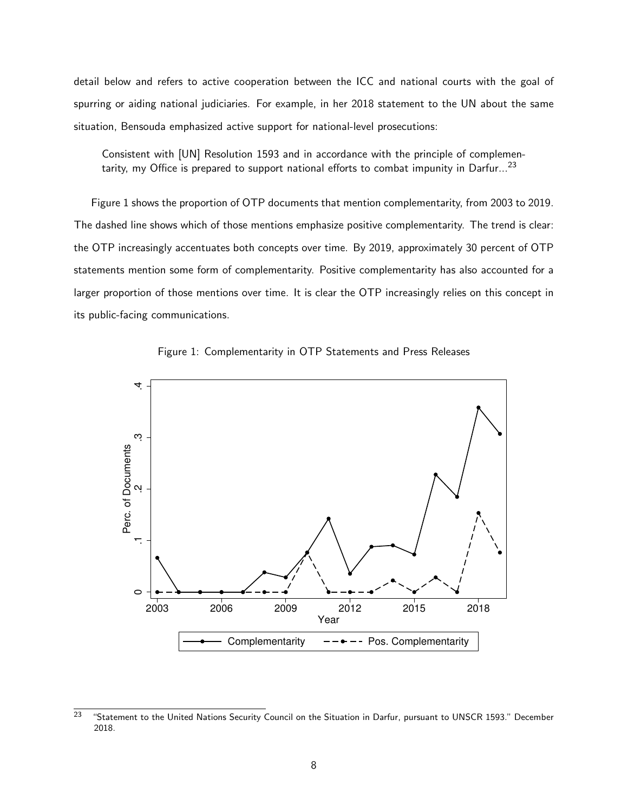detail below and refers to active cooperation between the ICC and national courts with the goal of spurring or aiding national judiciaries. For example, in her 2018 statement to the UN about the same situation, Bensouda emphasized active support for national-level prosecutions:

Consistent with [UN] Resolution 1593 and in accordance with the principle of complemen-tarity, my Office is prepared to support national efforts to combat impunity in Darfur...<sup>[23](#page-0-0)</sup>

[Figure 1](#page-8-0) shows the proportion of OTP documents that mention complementarity, from 2003 to 2019. The dashed line shows which of those mentions emphasize positive complementarity. The trend is clear: the OTP increasingly accentuates both concepts over time. By 2019, approximately 30 percent of OTP statements mention some form of complementarity. Positive complementarity has also accounted for a larger proportion of those mentions over time. It is clear the OTP increasingly relies on this concept in its public-facing communications.

<span id="page-8-0"></span>



 $23$  "Statement to the United Nations Security Council on the Situation in Darfur, pursuant to UNSCR 1593." December 2018.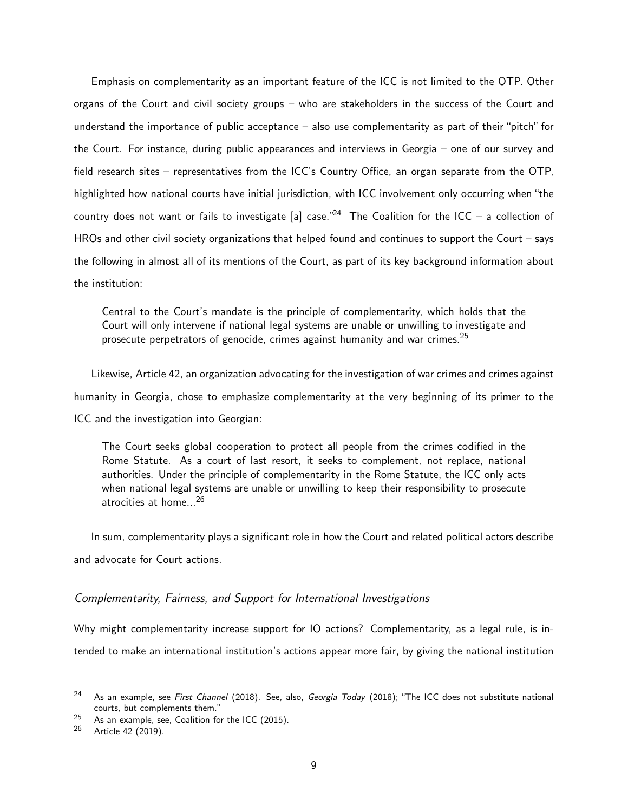Emphasis on complementarity as an important feature of the ICC is not limited to the OTP. Other organs of the Court and civil society groups – who are stakeholders in the success of the Court and understand the importance of public acceptance – also use complementarity as part of their "pitch" for the Court. For instance, during public appearances and interviews in Georgia – one of our survey and field research sites – representatives from the ICC's Country Office, an organ separate from the OTP, highlighted how national courts have initial jurisdiction, with ICC involvement only occurring when "the country does not want or fails to investigate [a] case."<sup>[24](#page-0-0)</sup> The Coalition for the ICC – a collection of HROs and other civil society organizations that helped found and continues to support the Court – says the following in almost all of its mentions of the Court, as part of its key background information about the institution:

Central to the Court's mandate is the principle of complementarity, which holds that the Court will only intervene if national legal systems are unable or unwilling to investigate and prosecute perpetrators of genocide, crimes against humanity and war crimes.<sup>[25](#page-0-0)</sup>

Likewise, Article 42, an organization advocating for the investigation of war crimes and crimes against humanity in Georgia, chose to emphasize complementarity at the very beginning of its primer to the ICC and the investigation into Georgian:

The Court seeks global cooperation to protect all people from the crimes codified in the Rome Statute. As a court of last resort, it seeks to complement, not replace, national authorities. Under the principle of complementarity in the Rome Statute, the ICC only acts when national legal systems are unable or unwilling to keep their responsibility to prosecute atrocities at home... $^{26}$  $^{26}$  $^{26}$ 

In sum, complementarity plays a significant role in how the Court and related political actors describe and advocate for Court actions.

## Complementarity, Fairness, and Support for International Investigations

Why might complementarity increase support for IO actions? Complementarity, as a legal rule, is intended to make an international institution's actions appear more fair, by giving the national institution

 $24$  As an example, see [First Channel](https://1tv.ge/en/news/kaupo-kand-hague-court-no-mandate-investigate-started-war/) (2018). See, also, [Georgia Today](http://georgiatoday.ge/news/9128/Int) (2018); "The ICC does not substitute national courts, but complements them."

 $25$  As an example, see, [Coalition for the ICC \(2015\).](http://www.coalitionfortheicc.org/news/20151014/icc-considers-georgia-investigation-key-facts-reaction)

<sup>26</sup> [Article 42 \(2019\).](https://article42.ge/media/1001447/2019/07/17/50229b999d37d7b10be8a9b552af24cf.pdf)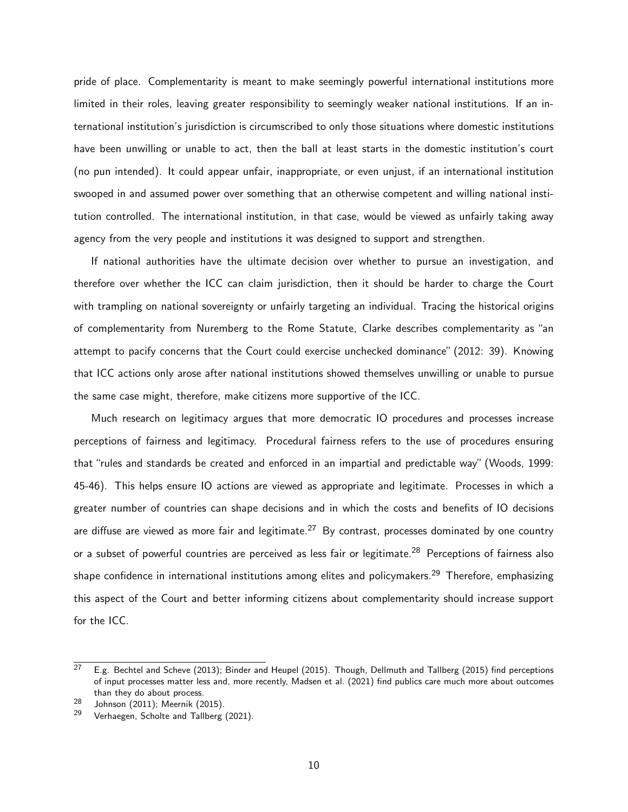pride of place. Complementarity is meant to make seemingly powerful international institutions more limited in their roles, leaving greater responsibility to seemingly weaker national institutions. If an international institution's jurisdiction is circumscribed to only those situations where domestic institutions have been unwilling or unable to act, then the ball at least starts in the domestic institution's court (no pun intended). It could appear unfair, inappropriate, or even unjust, if an international institution swooped in and assumed power over something that an otherwise competent and willing national institution controlled. The international institution, in that case, would be viewed as unfairly taking away agency from the very people and institutions it was designed to support and strengthen.

If national authorities have the ultimate decision over whether to pursue an investigation, and therefore over whether the ICC can claim jurisdiction, then it should be harder to charge the Court with trampling on national sovereignty or unfairly targeting an individual. Tracing the historical origins of complementarity from Nuremberg to the Rome Statute, [Clarke](#page-39-12) describes complementarity as "an attempt to pacify concerns that the Court could exercise unchecked dominance" [\(2012:](#page-39-12) 39). Knowing that ICC actions only arose after national institutions showed themselves unwilling or unable to pursue the same case might, therefore, make citizens more supportive of the ICC.

Much research on legitimacy argues that more democratic IO procedures and processes increase perceptions of fairness and legitimacy. Procedural fairness refers to the use of procedures ensuring that "rules and standards be created and enforced in an impartial and predictable way" [\(Woods, 1999:](#page-41-7) 45-46). This helps ensure IO actions are viewed as appropriate and legitimate. Processes in which a greater number of countries can shape decisions and in which the costs and benefits of IO decisions are diffuse are viewed as more fair and legitimate.<sup>[27](#page-0-0)</sup> By contrast, processes dominated by one country or a subset of powerful countries are perceived as less fair or legitimate.<sup>[28](#page-0-0)</sup> Perceptions of fairness also shape confidence in international institutions among elites and policymakers.<sup>[29](#page-0-0)</sup> Therefore, emphasizing this aspect of the Court and better informing citizens about complementarity should increase support for the ICC.

 $27$  E.g. [Bechtel and Scheve](#page-39-2) [\(2013\)](#page-39-2); [Binder and Heupel](#page-39-4) [\(2015\)](#page-39-3). Though, [Dellmuth and Tallberg](#page-39-3) (2015) find perceptions of input processes matter less and, more recently, [Madsen et al.](#page-40-4) [\(2021\)](#page-40-4) find publics care much more about outcomes than they do about process.

<sup>28</sup> [Johnson](#page-40-7) [\(2011\)](#page-40-7); [Meernik](#page-40-8) [\(2015\)](#page-40-8).

<sup>&</sup>lt;sup>29</sup> [Verhaegen, Scholte and Tallberg](#page-41-8) [\(2021\)](#page-41-8).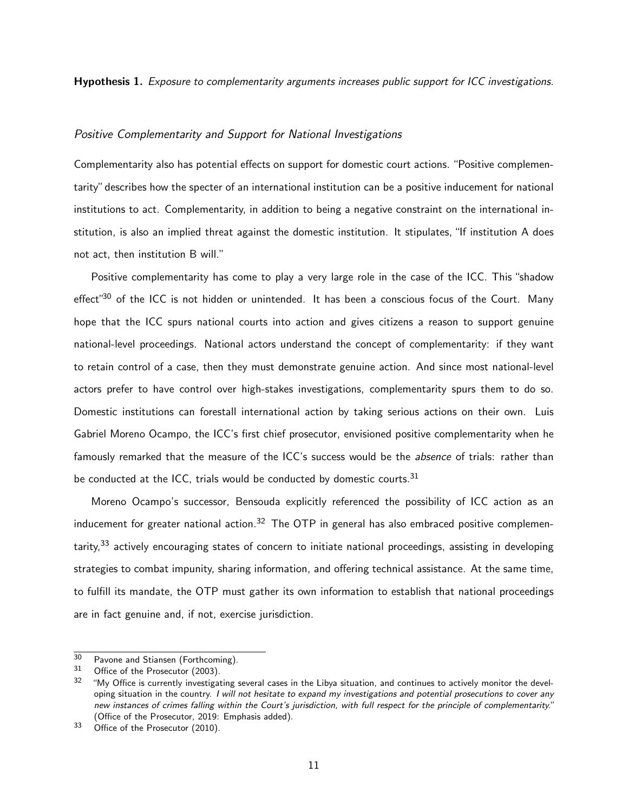Hypothesis 1. Exposure to complementarity arguments increases public support for ICC investigations.

## Positive Complementarity and Support for National Investigations

Complementarity also has potential effects on support for domestic court actions. "Positive complementarity"describes how the specter of an international institution can be a positive inducement for national institutions to act. Complementarity, in addition to being a negative constraint on the international institution, is also an implied threat against the domestic institution. It stipulates, "If institution A does not act, then institution B will."

Positive complementarity has come to play a very large role in the case of the ICC. This "shadow effect<sup>"[30](#page-0-0)</sup> of the ICC is not hidden or unintended. It has been a conscious focus of the Court. Many hope that the ICC spurs national courts into action and gives citizens a reason to support genuine national-level proceedings. National actors understand the concept of complementarity: if they want to retain control of a case, then they must demonstrate genuine action. And since most national-level actors prefer to have control over high-stakes investigations, complementarity spurs them to do so. Domestic institutions can forestall international action by taking serious actions on their own. Luis Gabriel Moreno Ocampo, the ICC's first chief prosecutor, envisioned positive complementarity when he famously remarked that the measure of the ICC's success would be the *absence* of trials: rather than be conducted at the ICC, trials would be conducted by domestic courts.  $31$ 

Moreno Ocampo's successor, Bensouda explicitly referenced the possibility of ICC action as an inducement for greater national action.<sup>[32](#page-0-0)</sup> The OTP in general has also embraced positive complemen-tarity,<sup>[33](#page-0-0)</sup> actively encouraging states of concern to initiate national proceedings, assisting in developing strategies to combat impunity, sharing information, and offering technical assistance. At the same time, to fulfill its mandate, the OTP must gather its own information to establish that national proceedings are in fact genuine and, if not, exercise jurisdiction.

 $30$  [Pavone and Stiansen](#page-41-9) [\(Forthcoming\)](#page-41-9).<br> $31$  Office of the Presenter (2002).

[Office of the Prosecutor](#page-41-10) [\(2003\)](#page-41-10).

 $32$  "My Office is currently investigating several cases in the Libya situation, and continues to actively monitor the developing situation in the country. I will not hesitate to expand my investigations and potential prosecutions to cover any new instances of crimes falling within the Court's jurisdiction, with full respect for the principle of complementarity." [\(Office of the Prosecutor, 2019:](#page-41-11) Emphasis added).

<sup>&</sup>lt;sup>33</sup> [Office of the Prosecutor](#page-41-12) [\(2010\)](#page-41-12).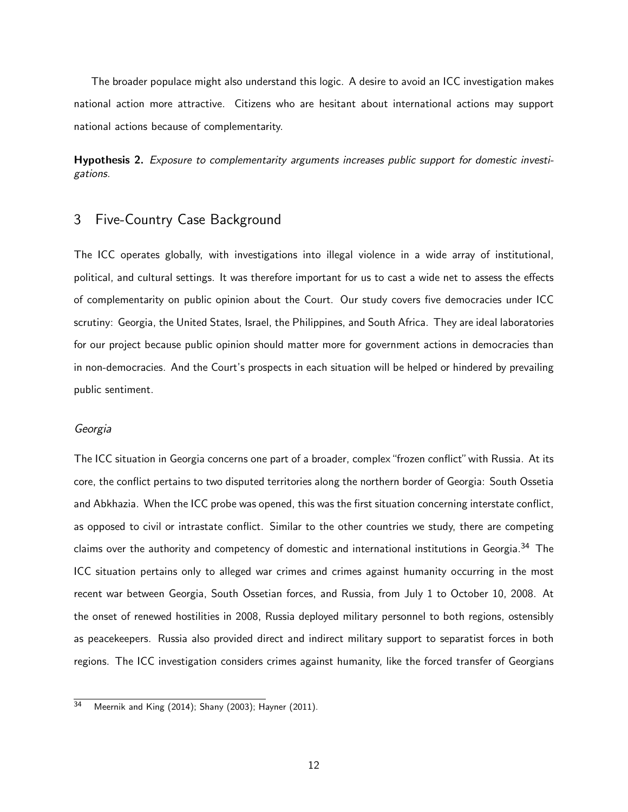The broader populace might also understand this logic. A desire to avoid an ICC investigation makes national action more attractive. Citizens who are hesitant about international actions may support national actions because of complementarity.

Hypothesis 2. Exposure to complementarity arguments increases public support for domestic investigations.

# 3 Five-Country Case Background

The ICC operates globally, with investigations into illegal violence in a wide array of institutional, political, and cultural settings. It was therefore important for us to cast a wide net to assess the effects of complementarity on public opinion about the Court. Our study covers five democracies under ICC scrutiny: Georgia, the United States, Israel, the Philippines, and South Africa. They are ideal laboratories for our project because public opinion should matter more for government actions in democracies than in non-democracies. And the Court's prospects in each situation will be helped or hindered by prevailing public sentiment.

#### Georgia

The ICC situation in Georgia concerns one part of a broader, complex"frozen conflict"with Russia. At its core, the conflict pertains to two disputed territories along the northern border of Georgia: South Ossetia and Abkhazia. When the ICC probe was opened, this was the first situation concerning interstate conflict, as opposed to civil or intrastate conflict. Similar to the other countries we study, there are competing claims over the authority and competency of domestic and international institutions in Georgia.<sup>[34](#page-0-0)</sup> The ICC situation pertains only to alleged war crimes and crimes against humanity occurring in the most recent war between Georgia, South Ossetian forces, and Russia, from July 1 to October 10, 2008. At the onset of renewed hostilities in 2008, Russia deployed military personnel to both regions, ostensibly as peacekeepers. Russia also provided direct and indirect military support to separatist forces in both regions. The ICC investigation considers crimes against humanity, like the forced transfer of Georgians

 $\overline{34}$  [Meernik and King](#page-40-9) [\(2014\)](#page-40-9); [Shany](#page-41-13) [\(2003\)](#page-41-13); [Hayner](#page-40-10) [\(2011\)](#page-40-10).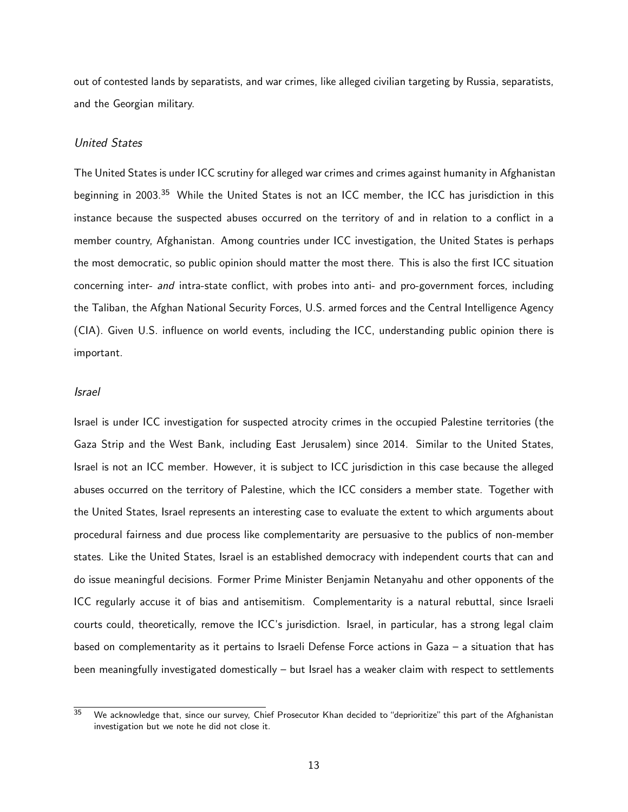out of contested lands by separatists, and war crimes, like alleged civilian targeting by Russia, separatists, and the Georgian military.

## United States

The United States is under ICC scrutiny for alleged war crimes and crimes against humanity in Afghanistan beginning in 2003.<sup>[35](#page-0-0)</sup> While the United States is not an ICC member, the ICC has jurisdiction in this instance because the suspected abuses occurred on the territory of and in relation to a conflict in a member country, Afghanistan. Among countries under ICC investigation, the United States is perhaps the most democratic, so public opinion should matter the most there. This is also the first ICC situation concerning inter- and intra-state conflict, with probes into anti- and pro-government forces, including the Taliban, the Afghan National Security Forces, U.S. armed forces and the Central Intelligence Agency (CIA). Given U.S. influence on world events, including the ICC, understanding public opinion there is important.

#### Israel

Israel is under ICC investigation for suspected atrocity crimes in the occupied Palestine territories (the Gaza Strip and the West Bank, including East Jerusalem) since 2014. Similar to the United States, Israel is not an ICC member. However, it is subject to ICC jurisdiction in this case because the alleged abuses occurred on the territory of Palestine, which the ICC considers a member state. Together with the United States, Israel represents an interesting case to evaluate the extent to which arguments about procedural fairness and due process like complementarity are persuasive to the publics of non-member states. Like the United States, Israel is an established democracy with independent courts that can and do issue meaningful decisions. Former Prime Minister Benjamin Netanyahu and other opponents of the ICC regularly accuse it of bias and antisemitism. Complementarity is a natural rebuttal, since Israeli courts could, theoretically, remove the ICC's jurisdiction. Israel, in particular, has a strong legal claim based on complementarity as it pertains to Israeli Defense Force actions in Gaza – a situation that has been meaningfully investigated domestically – but Israel has a weaker claim with respect to settlements

 $35$  We acknowledge that, since our survey, Chief Prosecutor Khan decided to "deprioritize" this part of the Afghanistan investigation but we note he did not close it.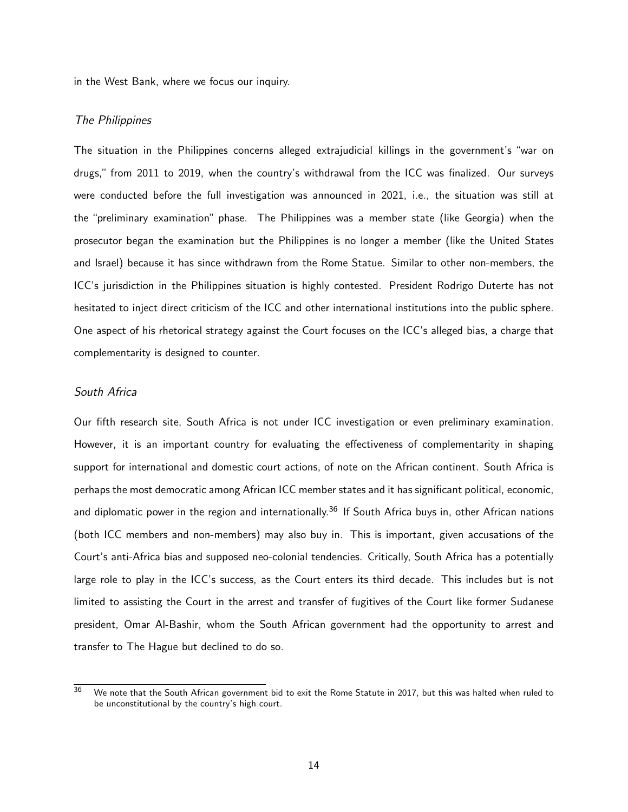in the West Bank, where we focus our inquiry.

## The Philippines

The situation in the Philippines concerns alleged extrajudicial killings in the government's "war on drugs," from 2011 to 2019, when the country's withdrawal from the ICC was finalized. Our surveys were conducted before the full investigation was announced in 2021, i.e., the situation was still at the "preliminary examination" phase. The Philippines was a member state (like Georgia) when the prosecutor began the examination but the Philippines is no longer a member (like the United States and Israel) because it has since withdrawn from the Rome Statue. Similar to other non-members, the ICC's jurisdiction in the Philippines situation is highly contested. President Rodrigo Duterte has not hesitated to inject direct criticism of the ICC and other international institutions into the public sphere. One aspect of his rhetorical strategy against the Court focuses on the ICC's alleged bias, a charge that complementarity is designed to counter.

## South Africa

Our fifth research site, South Africa is not under ICC investigation or even preliminary examination. However, it is an important country for evaluating the effectiveness of complementarity in shaping support for international and domestic court actions, of note on the African continent. South Africa is perhaps the most democratic among African ICC member states and it has significant political, economic, and diplomatic power in the region and internationally.<sup>[36](#page-0-0)</sup> If South Africa buys in, other African nations (both ICC members and non-members) may also buy in. This is important, given accusations of the Court's anti-Africa bias and supposed neo-colonial tendencies. Critically, South Africa has a potentially large role to play in the ICC's success, as the Court enters its third decade. This includes but is not limited to assisting the Court in the arrest and transfer of fugitives of the Court like former Sudanese president, Omar Al-Bashir, whom the South African government had the opportunity to arrest and transfer to The Hague but declined to do so.

<sup>&</sup>lt;sup>36</sup> We note that the South African government bid to exit the Rome Statute in 2017, but this was halted when ruled to be unconstitutional by the country's high court.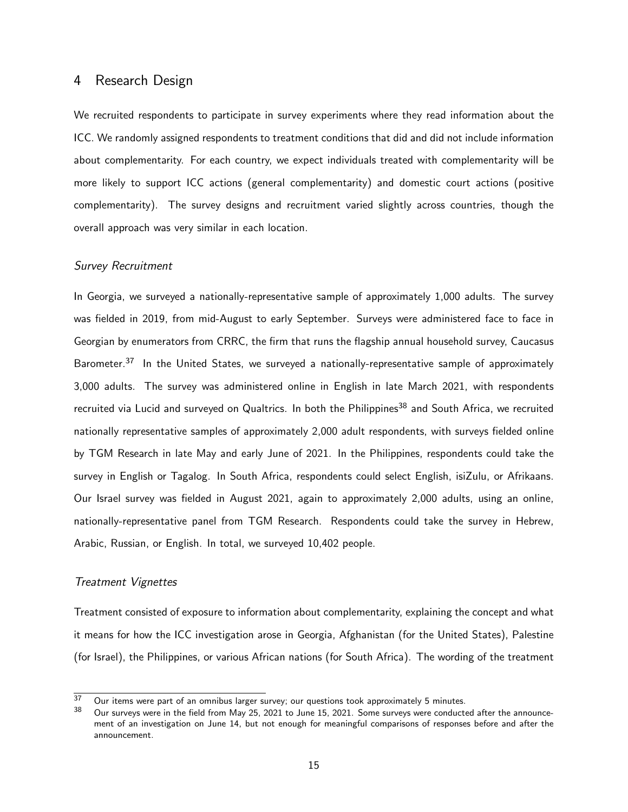## 4 Research Design

We recruited respondents to participate in survey experiments where they read information about the ICC. We randomly assigned respondents to treatment conditions that did and did not include information about complementarity. For each country, we expect individuals treated with complementarity will be more likely to support ICC actions (general complementarity) and domestic court actions (positive complementarity). The survey designs and recruitment varied slightly across countries, though the overall approach was very similar in each location.

#### Survey Recruitment

In Georgia, we surveyed a nationally-representative sample of approximately 1,000 adults. The survey was fielded in 2019, from mid-August to early September. Surveys were administered face to face in Georgian by enumerators from CRRC, the firm that runs the flagship annual household survey, Caucasus Barometer.<sup>[37](#page-0-0)</sup> In the United States, we surveyed a nationally-representative sample of approximately 3,000 adults. The survey was administered online in English in late March 2021, with respondents recruited via Lucid and surveyed on Qualtrics. In both the Philippines<sup>[38](#page-0-0)</sup> and South Africa, we recruited nationally representative samples of approximately 2,000 adult respondents, with surveys fielded online by TGM Research in late May and early June of 2021. In the Philippines, respondents could take the survey in English or Tagalog. In South Africa, respondents could select English, isiZulu, or Afrikaans. Our Israel survey was fielded in August 2021, again to approximately 2,000 adults, using an online, nationally-representative panel from TGM Research. Respondents could take the survey in Hebrew, Arabic, Russian, or English. In total, we surveyed 10,402 people.

## Treatment Vignettes

Treatment consisted of exposure to information about complementarity, explaining the concept and what it means for how the ICC investigation arose in Georgia, Afghanistan (for the United States), Palestine (for Israel), the Philippines, or various African nations (for South Africa). The wording of the treatment

 $\frac{37}{37}$  Our items were part of an omnibus larger survey; our questions took approximately 5 minutes.<br> $\frac{38}{36}$  Our gun our upso in the field from May 25, 2021 to June 15, 2021. Some gun our upso conducts

Our surveys were in the field from May 25, 2021 to June 15, 2021. Some surveys were conducted after the announcement of an investigation on June 14, but not enough for meaningful comparisons of responses before and after the announcement.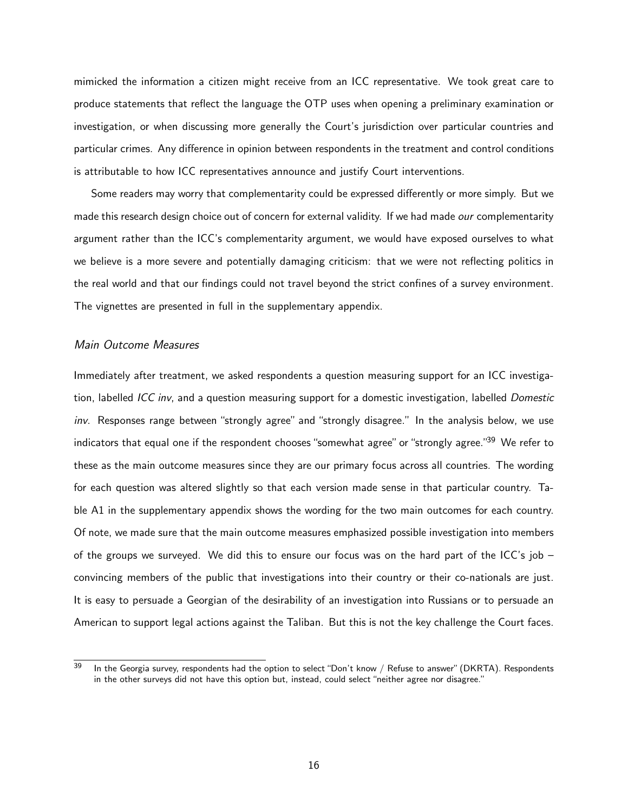mimicked the information a citizen might receive from an ICC representative. We took great care to produce statements that reflect the language the OTP uses when opening a preliminary examination or investigation, or when discussing more generally the Court's jurisdiction over particular countries and particular crimes. Any difference in opinion between respondents in the treatment and control conditions is attributable to how ICC representatives announce and justify Court interventions.

Some readers may worry that complementarity could be expressed differently or more simply. But we made this research design choice out of concern for external validity. If we had made our complementarity argument rather than the ICC's complementarity argument, we would have exposed ourselves to what we believe is a more severe and potentially damaging criticism: that we were not reflecting politics in the real world and that our findings could not travel beyond the strict confines of a survey environment. The vignettes are presented in full in the supplementary appendix.

#### Main Outcome Measures

Immediately after treatment, we asked respondents a question measuring support for an ICC investigation, labelled ICC inv, and a question measuring support for a domestic investigation, labelled Domestic inv. Responses range between "strongly agree" and "strongly disagree." In the analysis below, we use indicators that equal one if the respondent chooses "somewhat agree" or "strongly agree."<sup>[39](#page-0-0)</sup> We refer to these as the main outcome measures since they are our primary focus across all countries. The wording for each question was altered slightly so that each version made sense in that particular country. [Ta](#page-49-0)[ble A1](#page-49-0) in the supplementary appendix shows the wording for the two main outcomes for each country. Of note, we made sure that the main outcome measures emphasized possible investigation into members of the groups we surveyed. We did this to ensure our focus was on the hard part of the ICC's job – convincing members of the public that investigations into their country or their co-nationals are just. It is easy to persuade a Georgian of the desirability of an investigation into Russians or to persuade an American to support legal actions against the Taliban. But this is not the key challenge the Court faces.

 $39$  In the Georgia survey, respondents had the option to select "Don't know / Refuse to answer" (DKRTA). Respondents in the other surveys did not have this option but, instead, could select "neither agree nor disagree."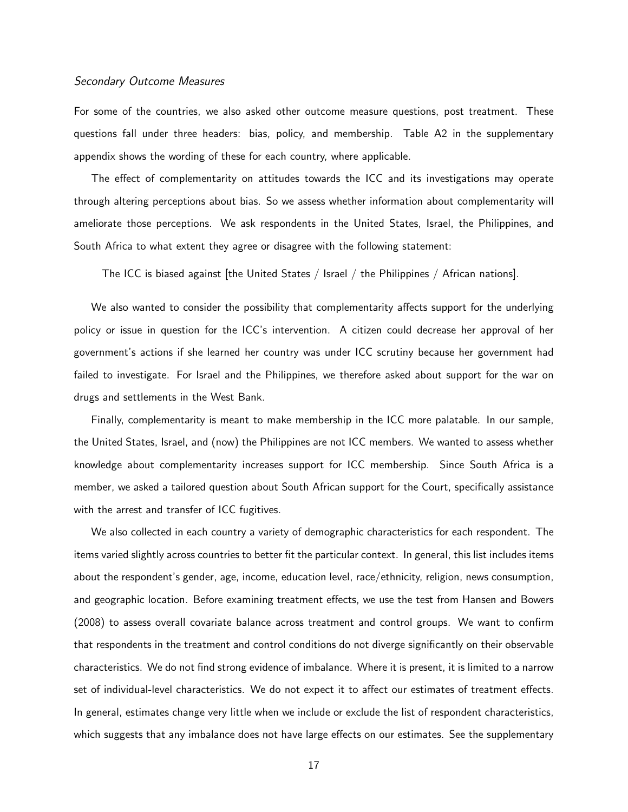#### Secondary Outcome Measures

For some of the countries, we also asked other outcome measure questions, post treatment. These questions fall under three headers: bias, policy, and membership. [Table A2](#page-49-1) in the supplementary appendix shows the wording of these for each country, where applicable.

The effect of complementarity on attitudes towards the ICC and its investigations may operate through altering perceptions about bias. So we assess whether information about complementarity will ameliorate those perceptions. We ask respondents in the United States, Israel, the Philippines, and South Africa to what extent they agree or disagree with the following statement:

The ICC is biased against [the United States / Israel / the Philippines / African nations].

We also wanted to consider the possibility that complementarity affects support for the underlying policy or issue in question for the ICC's intervention. A citizen could decrease her approval of her government's actions if she learned her country was under ICC scrutiny because her government had failed to investigate. For Israel and the Philippines, we therefore asked about support for the war on drugs and settlements in the West Bank.

Finally, complementarity is meant to make membership in the ICC more palatable. In our sample, the United States, Israel, and (now) the Philippines are not ICC members. We wanted to assess whether knowledge about complementarity increases support for ICC membership. Since South Africa is a member, we asked a tailored question about South African support for the Court, specifically assistance with the arrest and transfer of ICC fugitives.

We also collected in each country a variety of demographic characteristics for each respondent. The items varied slightly across countries to better fit the particular context. In general, this list includes items about the respondent's gender, age, income, education level, race/ethnicity, religion, news consumption, and geographic location. Before examining treatment effects, we use the test from [Hansen and Bowers](#page-40-11) [\(2008\)](#page-40-11) to assess overall covariate balance across treatment and control groups. We want to confirm that respondents in the treatment and control conditions do not diverge significantly on their observable characteristics. We do not find strong evidence of imbalance. Where it is present, it is limited to a narrow set of individual-level characteristics. We do not expect it to affect our estimates of treatment effects. In general, estimates change very little when we include or exclude the list of respondent characteristics, which suggests that any imbalance does not have large effects on our estimates. See the supplementary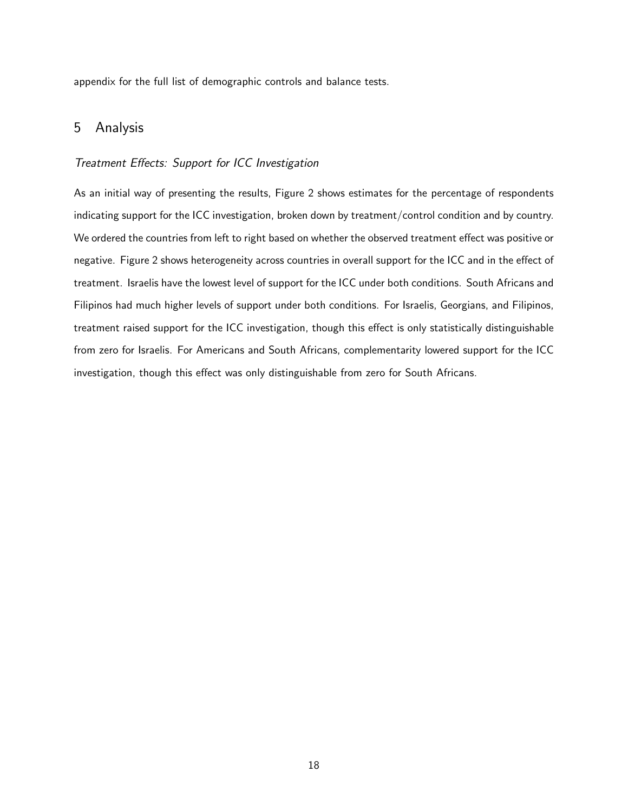appendix for the full list of demographic controls and balance tests.

# 5 Analysis

## Treatment Effects: Support for ICC Investigation

As an initial way of presenting the results, [Figure 2](#page-19-0) shows estimates for the percentage of respondents indicating support for the ICC investigation, broken down by treatment/control condition and by country. We ordered the countries from left to right based on whether the observed treatment effect was positive or negative. [Figure 2](#page-19-0) shows heterogeneity across countries in overall support for the ICC and in the effect of treatment. Israelis have the lowest level of support for the ICC under both conditions. South Africans and Filipinos had much higher levels of support under both conditions. For Israelis, Georgians, and Filipinos, treatment raised support for the ICC investigation, though this effect is only statistically distinguishable from zero for Israelis. For Americans and South Africans, complementarity lowered support for the ICC investigation, though this effect was only distinguishable from zero for South Africans.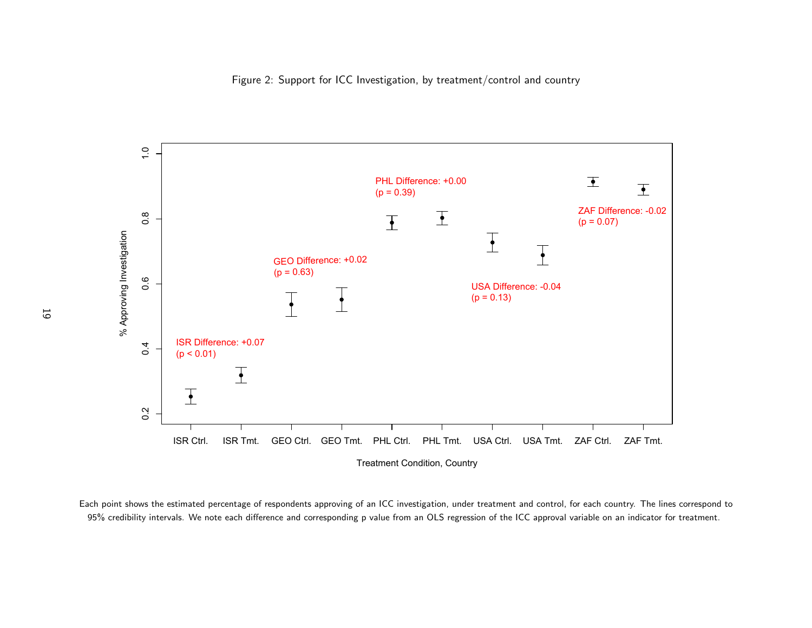

<span id="page-19-0"></span>Each point shows the estimated percentage of respondents approving of an ICC investigation, under treatment and control, for each country. The lines correspond to95% credibility intervals. We note each difference and corresponding <sup>p</sup> value from an OLS regression of the ICC approval variable on an indicator for treatment.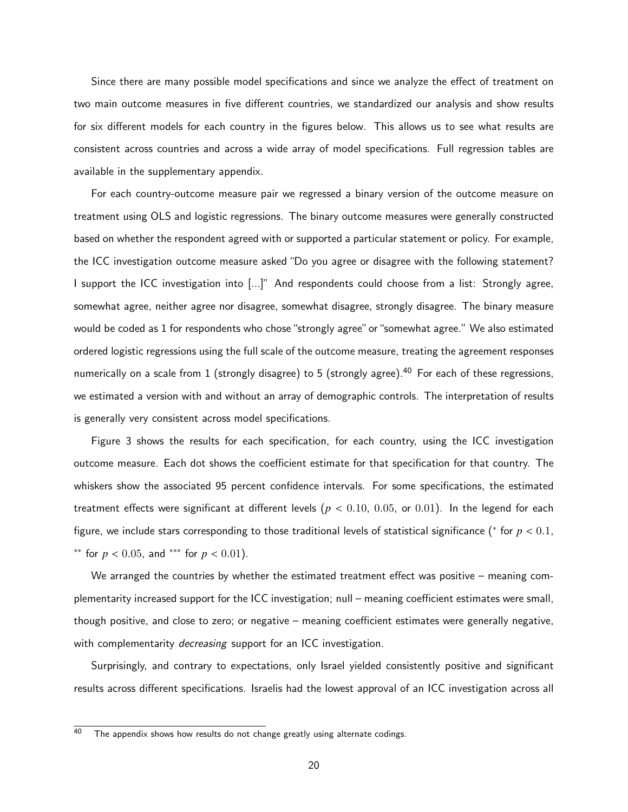Since there are many possible model specifications and since we analyze the effect of treatment on two main outcome measures in five different countries, we standardized our analysis and show results for six different models for each country in the figures below. This allows us to see what results are consistent across countries and across a wide array of model specifications. Full regression tables are available in the supplementary appendix.

For each country-outcome measure pair we regressed a binary version of the outcome measure on treatment using OLS and logistic regressions. The binary outcome measures were generally constructed based on whether the respondent agreed with or supported a particular statement or policy. For example, the ICC investigation outcome measure asked "Do you agree or disagree with the following statement? I support the ICC investigation into [...]" And respondents could choose from a list: Strongly agree, somewhat agree, neither agree nor disagree, somewhat disagree, strongly disagree. The binary measure would be coded as 1 for respondents who chose "strongly agree" or "somewhat agree." We also estimated ordered logistic regressions using the full scale of the outcome measure, treating the agreement responses numerically on a scale from 1 (strongly disagree) to 5 (strongly agree).<sup>[40](#page-0-0)</sup> For each of these regressions, we estimated a version with and without an array of demographic controls. The interpretation of results is generally very consistent across model specifications.

[Figure 3](#page-22-0) shows the results for each specification, for each country, using the ICC investigation outcome measure. Each dot shows the coefficient estimate for that specification for that country. The whiskers show the associated 95 percent confidence intervals. For some specifications, the estimated treatment effects were significant at different levels ( $p < 0.10, 0.05$ , or 0.01). In the legend for each figure, we include stars corresponding to those traditional levels of statistical significance (\* for  $p < 0.1$ , <sup>\*\*</sup> for *p* < 0.05, and <sup>\*\*\*</sup> for *p* < 0.01).

We arranged the countries by whether the estimated treatment effect was positive – meaning complementarity increased support for the ICC investigation; null – meaning coefficient estimates were small, though positive, and close to zero; or negative – meaning coefficient estimates were generally negative, with complementarity *decreasing* support for an ICC investigation.

Surprisingly, and contrary to expectations, only Israel yielded consistently positive and significant results across different specifications. Israelis had the lowest approval of an ICC investigation across all

 $40$  The appendix shows how results do not change greatly using alternate codings.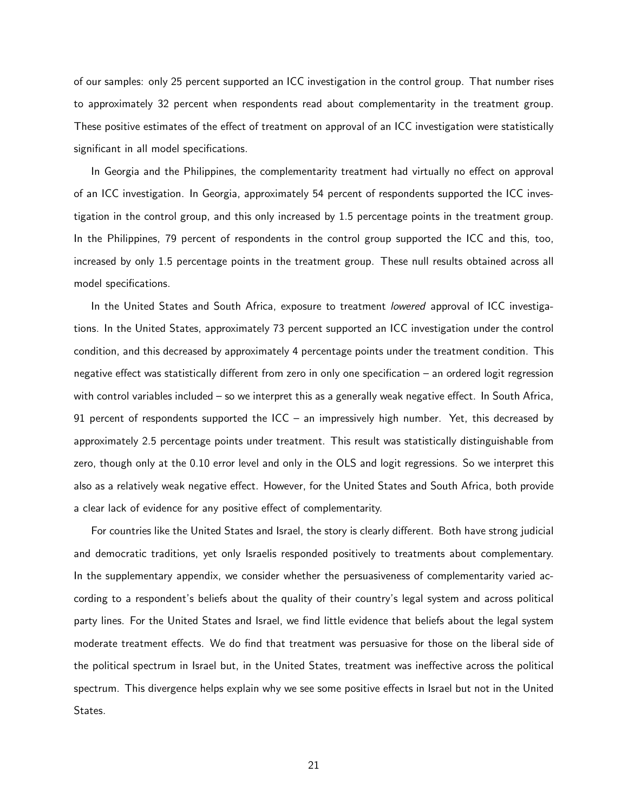of our samples: only 25 percent supported an ICC investigation in the control group. That number rises to approximately 32 percent when respondents read about complementarity in the treatment group. These positive estimates of the effect of treatment on approval of an ICC investigation were statistically significant in all model specifications.

In Georgia and the Philippines, the complementarity treatment had virtually no effect on approval of an ICC investigation. In Georgia, approximately 54 percent of respondents supported the ICC investigation in the control group, and this only increased by 1.5 percentage points in the treatment group. In the Philippines, 79 percent of respondents in the control group supported the ICC and this, too, increased by only 1.5 percentage points in the treatment group. These null results obtained across all model specifications.

In the United States and South Africa, exposure to treatment *lowered* approval of ICC investigations. In the United States, approximately 73 percent supported an ICC investigation under the control condition, and this decreased by approximately 4 percentage points under the treatment condition. This negative effect was statistically different from zero in only one specification – an ordered logit regression with control variables included – so we interpret this as a generally weak negative effect. In South Africa, 91 percent of respondents supported the ICC – an impressively high number. Yet, this decreased by approximately 2.5 percentage points under treatment. This result was statistically distinguishable from zero, though only at the 0.10 error level and only in the OLS and logit regressions. So we interpret this also as a relatively weak negative effect. However, for the United States and South Africa, both provide a clear lack of evidence for any positive effect of complementarity.

For countries like the United States and Israel, the story is clearly different. Both have strong judicial and democratic traditions, yet only Israelis responded positively to treatments about complementary. In the supplementary appendix, we consider whether the persuasiveness of complementarity varied according to a respondent's beliefs about the quality of their country's legal system and across political party lines. For the United States and Israel, we find little evidence that beliefs about the legal system moderate treatment effects. We do find that treatment was persuasive for those on the liberal side of the political spectrum in Israel but, in the United States, treatment was ineffective across the political spectrum. This divergence helps explain why we see some positive effects in Israel but not in the United States.

21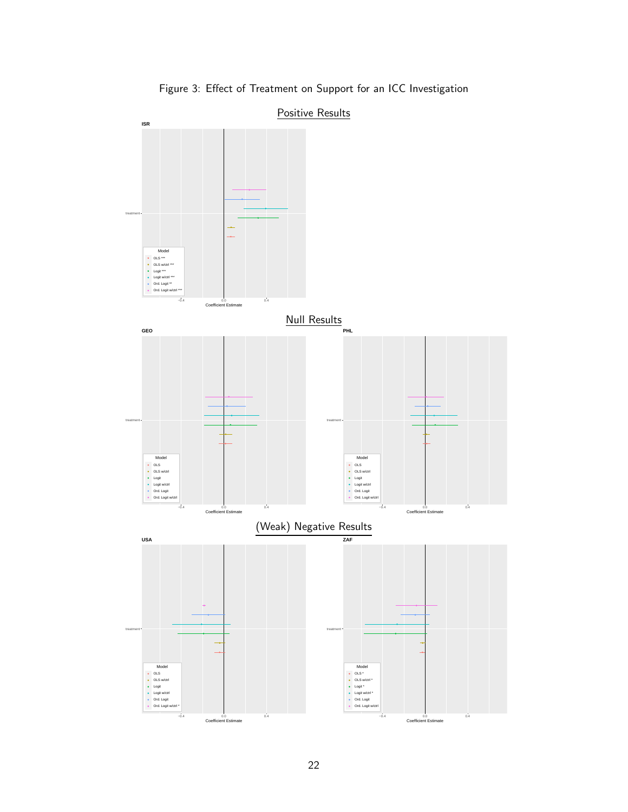<span id="page-22-0"></span>

Figure 3: Effect of Treatment on Support for an ICC Investigation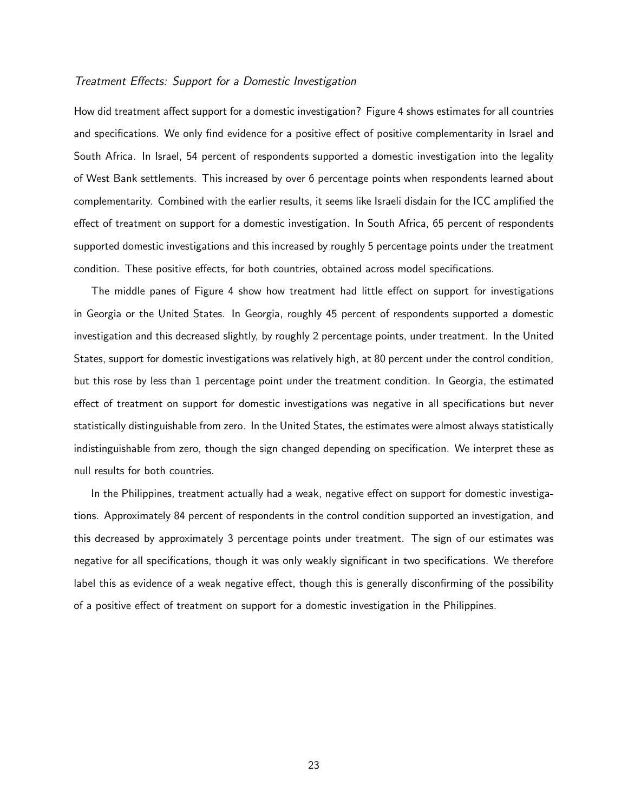## Treatment Effects: Support for a Domestic Investigation

How did treatment affect support for a domestic investigation? [Figure 4](#page-24-0) shows estimates for all countries and specifications. We only find evidence for a positive effect of positive complementarity in Israel and South Africa. In Israel, 54 percent of respondents supported a domestic investigation into the legality of West Bank settlements. This increased by over 6 percentage points when respondents learned about complementarity. Combined with the earlier results, it seems like Israeli disdain for the ICC amplified the effect of treatment on support for a domestic investigation. In South Africa, 65 percent of respondents supported domestic investigations and this increased by roughly 5 percentage points under the treatment condition. These positive effects, for both countries, obtained across model specifications.

The middle panes of [Figure 4](#page-24-0) show how treatment had little effect on support for investigations in Georgia or the United States. In Georgia, roughly 45 percent of respondents supported a domestic investigation and this decreased slightly, by roughly 2 percentage points, under treatment. In the United States, support for domestic investigations was relatively high, at 80 percent under the control condition, but this rose by less than 1 percentage point under the treatment condition. In Georgia, the estimated effect of treatment on support for domestic investigations was negative in all specifications but never statistically distinguishable from zero. In the United States, the estimates were almost always statistically indistinguishable from zero, though the sign changed depending on specification. We interpret these as null results for both countries.

In the Philippines, treatment actually had a weak, negative effect on support for domestic investigations. Approximately 84 percent of respondents in the control condition supported an investigation, and this decreased by approximately 3 percentage points under treatment. The sign of our estimates was negative for all specifications, though it was only weakly significant in two specifications. We therefore label this as evidence of a weak negative effect, though this is generally disconfirming of the possibility of a positive effect of treatment on support for a domestic investigation in the Philippines.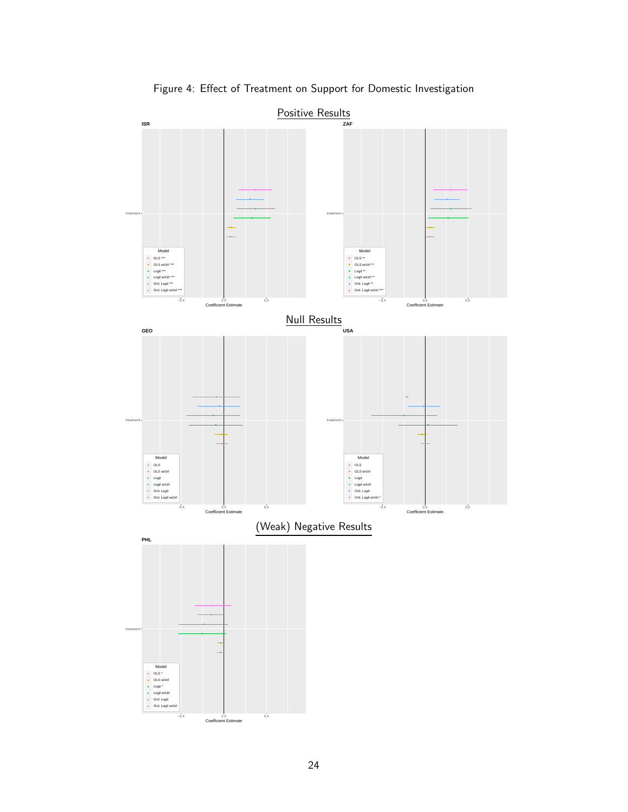<span id="page-24-0"></span>

Figure 4: Effect of Treatment on Support for Domestic Investigation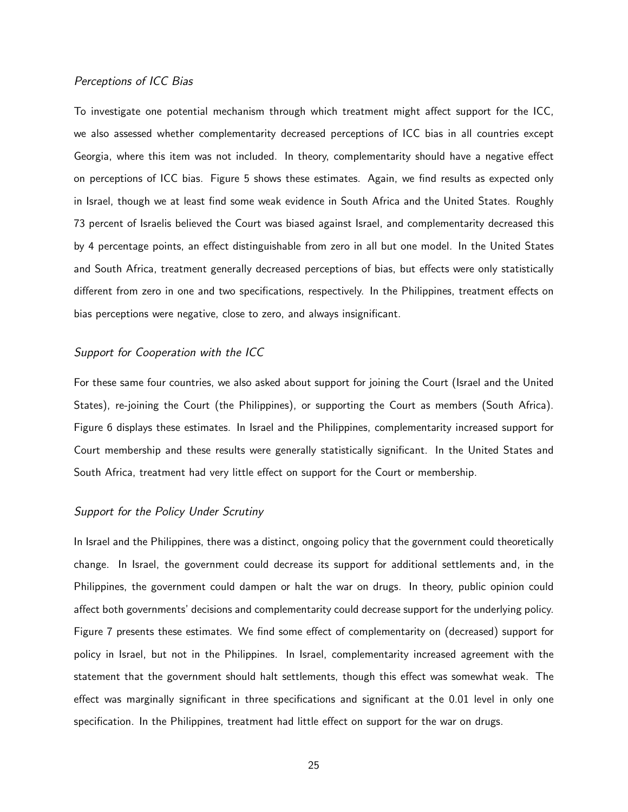## Perceptions of ICC Bias

To investigate one potential mechanism through which treatment might affect support for the ICC, we also assessed whether complementarity decreased perceptions of ICC bias in all countries except Georgia, where this item was not included. In theory, complementarity should have a negative effect on perceptions of ICC bias. [Figure 5](#page-26-0) shows these estimates. Again, we find results as expected only in Israel, though we at least find some weak evidence in South Africa and the United States. Roughly 73 percent of Israelis believed the Court was biased against Israel, and complementarity decreased this by 4 percentage points, an effect distinguishable from zero in all but one model. In the United States and South Africa, treatment generally decreased perceptions of bias, but effects were only statistically different from zero in one and two specifications, respectively. In the Philippines, treatment effects on bias perceptions were negative, close to zero, and always insignificant.

## Support for Cooperation with the ICC

For these same four countries, we also asked about support for joining the Court (Israel and the United States), re-joining the Court (the Philippines), or supporting the Court as members (South Africa). [Figure 6](#page-27-0) displays these estimates. In Israel and the Philippines, complementarity increased support for Court membership and these results were generally statistically significant. In the United States and South Africa, treatment had very little effect on support for the Court or membership.

#### Support for the Policy Under Scrutiny

In Israel and the Philippines, there was a distinct, ongoing policy that the government could theoretically change. In Israel, the government could decrease its support for additional settlements and, in the Philippines, the government could dampen or halt the war on drugs. In theory, public opinion could affect both governments' decisions and complementarity could decrease support for the underlying policy. [Figure 7](#page-28-0) presents these estimates. We find some effect of complementarity on (decreased) support for policy in Israel, but not in the Philippines. In Israel, complementarity increased agreement with the statement that the government should halt settlements, though this effect was somewhat weak. The effect was marginally significant in three specifications and significant at the 0.01 level in only one specification. In the Philippines, treatment had little effect on support for the war on drugs.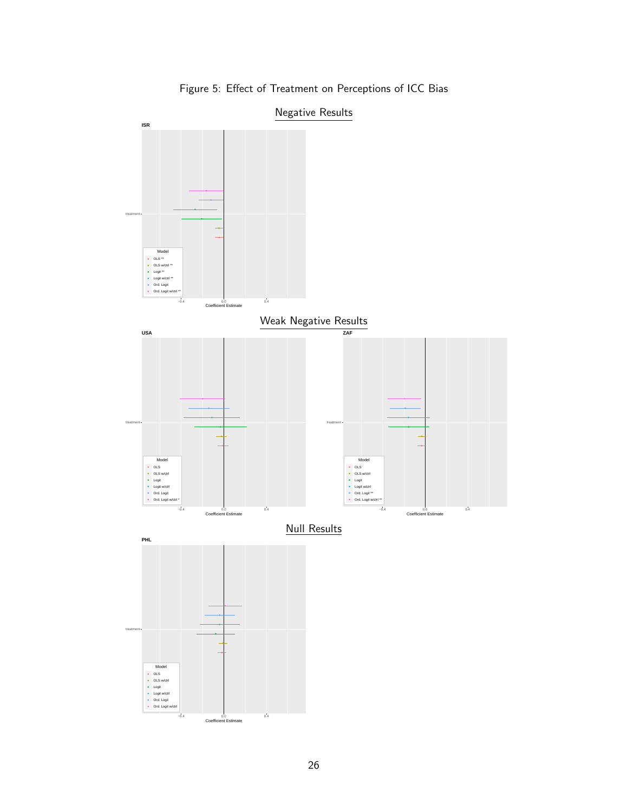<span id="page-26-0"></span>

Figure 5: Effect of Treatment on Perceptions of ICC Bias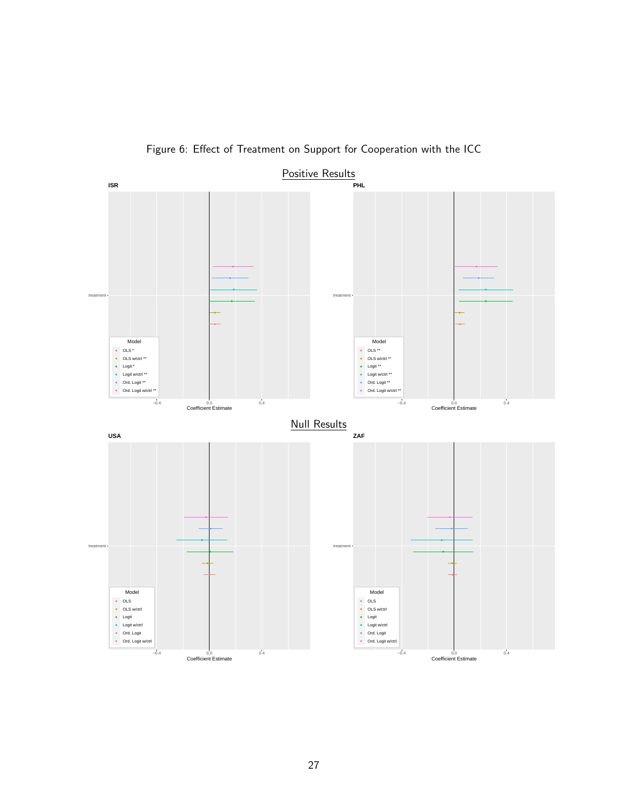<span id="page-27-0"></span>

Figure 6: Effect of Treatment on Support for Cooperation with the ICC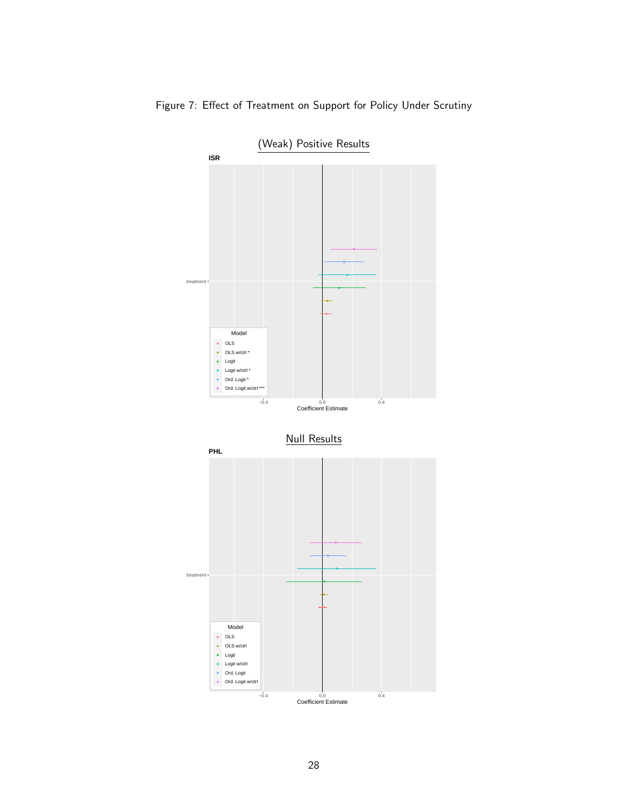

<span id="page-28-0"></span>Figure 7: Effect of Treatment on Support for Policy Under Scrutiny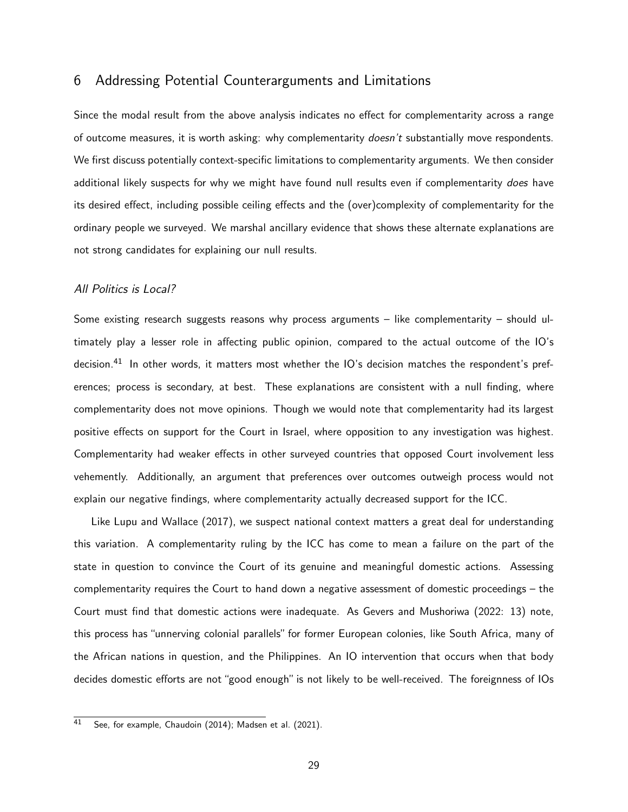# 6 Addressing Potential Counterarguments and Limitations

Since the modal result from the above analysis indicates no effect for complementarity across a range of outcome measures, it is worth asking: why complementarity doesn't substantially move respondents. We first discuss potentially context-specific limitations to complementarity arguments. We then consider additional likely suspects for why we might have found null results even if complementarity does have its desired effect, including possible ceiling effects and the (over)complexity of complementarity for the ordinary people we surveyed. We marshal ancillary evidence that shows these alternate explanations are not strong candidates for explaining our null results.

#### All Politics is Local?

Some existing research suggests reasons why process arguments – like complementarity – should ultimately play a lesser role in affecting public opinion, compared to the actual outcome of the IO's decision.[41](#page-0-0) In other words, it matters most whether the IO's decision matches the respondent's preferences; process is secondary, at best. These explanations are consistent with a null finding, where complementarity does not move opinions. Though we would note that complementarity had its largest positive effects on support for the Court in Israel, where opposition to any investigation was highest. Complementarity had weaker effects in other surveyed countries that opposed Court involvement less vehemently. Additionally, an argument that preferences over outcomes outweigh process would not explain our negative findings, where complementarity actually decreased support for the ICC.

Like [Lupu and Wallace](#page-40-12) [\(2017\)](#page-40-12), we suspect national context matters a great deal for understanding this variation. A complementarity ruling by the ICC has come to mean a failure on the part of the state in question to convince the Court of its genuine and meaningful domestic actions. Assessing complementarity requires the Court to hand down a negative assessment of domestic proceedings – the Court must find that domestic actions were inadequate. As [Gevers and Mushoriwa](#page-40-13) [\(2022:](#page-40-13) 13) note, this process has "unnerving colonial parallels" for former European colonies, like South Africa, many of the African nations in question, and the Philippines. An IO intervention that occurs when that body decides domestic efforts are not "good enough" is not likely to be well-received. The foreignness of IOs

<sup>41</sup> See, for example, [Chaudoin](#page-39-13) [\(2014\)](#page-39-13); [Madsen et al.](#page-40-4) [\(2021\)](#page-40-4).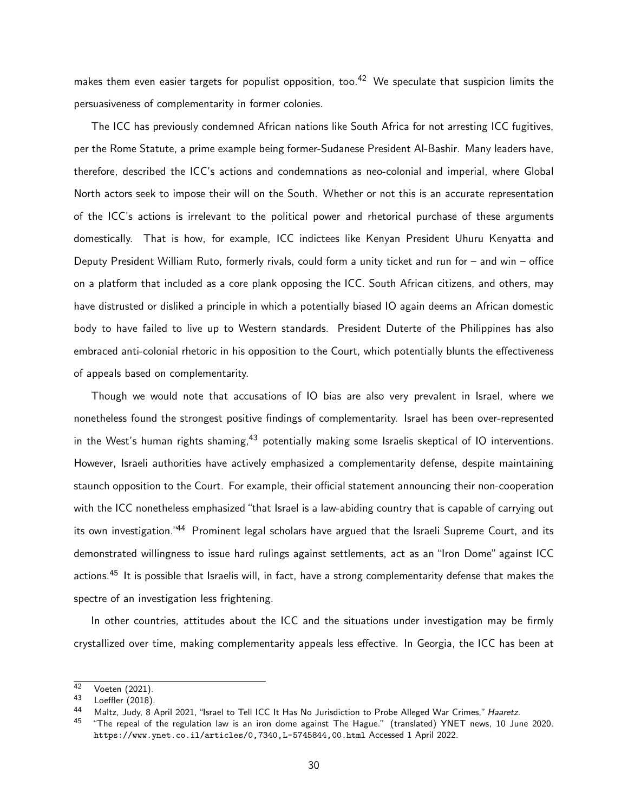makes them even easier targets for populist opposition, too.<sup>[42](#page-0-0)</sup> We speculate that suspicion limits the persuasiveness of complementarity in former colonies.

The ICC has previously condemned African nations like South Africa for not arresting ICC fugitives, per the Rome Statute, a prime example being former-Sudanese President Al-Bashir. Many leaders have, therefore, described the ICC's actions and condemnations as neo-colonial and imperial, where Global North actors seek to impose their will on the South. Whether or not this is an accurate representation of the ICC's actions is irrelevant to the political power and rhetorical purchase of these arguments domestically. That is how, for example, ICC indictees like Kenyan President Uhuru Kenyatta and Deputy President William Ruto, formerly rivals, could form a unity ticket and run for – and win – office on a platform that included as a core plank opposing the ICC. South African citizens, and others, may have distrusted or disliked a principle in which a potentially biased IO again deems an African domestic body to have failed to live up to Western standards. President Duterte of the Philippines has also embraced anti-colonial rhetoric in his opposition to the Court, which potentially blunts the effectiveness of appeals based on complementarity.

Though we would note that accusations of IO bias are also very prevalent in Israel, where we nonetheless found the strongest positive findings of complementarity. Israel has been over-represented in the West's human rights shaming,  $43$  potentially making some Israelis skeptical of IO interventions. However, Israeli authorities have actively emphasized a complementarity defense, despite maintaining staunch opposition to the Court. For example, their official statement announcing their non-cooperation with the ICC nonetheless emphasized "that Israel is a law-abiding country that is capable of carrying out its own investigation."<sup>[44](#page-0-0)</sup> Prominent legal scholars have argued that the Israeli Supreme Court, and its demonstrated willingness to issue hard rulings against settlements, act as an "Iron Dome" against ICC actions.<sup>[45](#page-0-0)</sup> It is possible that Israelis will, in fact, have a strong complementarity defense that makes the spectre of an investigation less frightening.

In other countries, attitudes about the ICC and the situations under investigation may be firmly crystallized over time, making complementarity appeals less effective. In Georgia, the ICC has been at

 $^{42}$  [Voeten](#page-41-14) [\(2021\)](#page-41-14).<br>43 Loofflox (2018)

[Loeffler](#page-40-14) [\(2018\)](#page-40-14).

<sup>44</sup> Maltz, Judy, 8 April 2021, "Israel to Tell ICC It Has No Jurisdiction to Probe Alleged War Crimes," Haaretz.

 $45$  "The repeal of the regulation law is an iron dome against The Hague." (translated) YNET news, 10 June 2020. <https://www.ynet.co.il/articles/0,7340,L-5745844,00.html> Accessed 1 April 2022.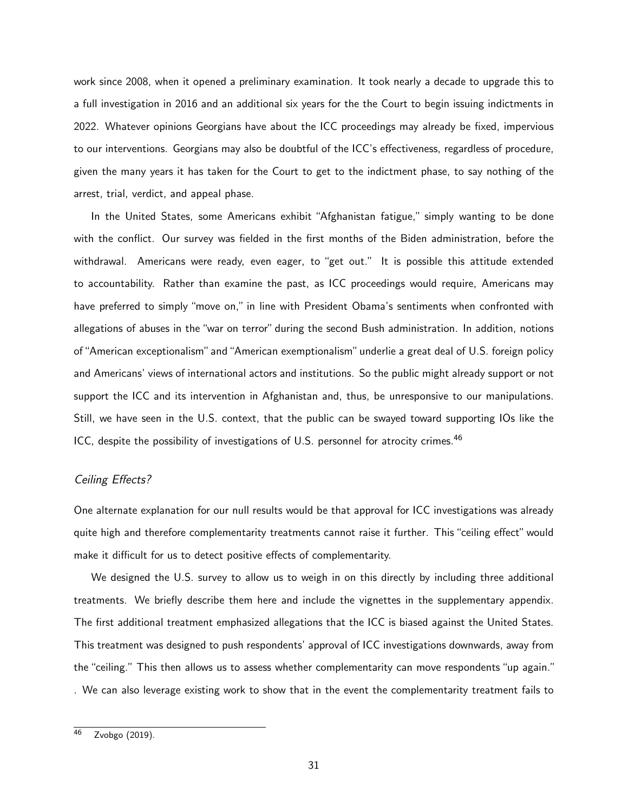work since 2008, when it opened a preliminary examination. It took nearly a decade to upgrade this to a full investigation in 2016 and an additional six years for the the Court to begin issuing indictments in 2022. Whatever opinions Georgians have about the ICC proceedings may already be fixed, impervious to our interventions. Georgians may also be doubtful of the ICC's effectiveness, regardless of procedure, given the many years it has taken for the Court to get to the indictment phase, to say nothing of the arrest, trial, verdict, and appeal phase.

In the United States, some Americans exhibit "Afghanistan fatigue," simply wanting to be done with the conflict. Our survey was fielded in the first months of the Biden administration, before the withdrawal. Americans were ready, even eager, to "get out." It is possible this attitude extended to accountability. Rather than examine the past, as ICC proceedings would require, Americans may have preferred to simply "move on," in line with President Obama's sentiments when confronted with allegations of abuses in the "war on terror" during the second Bush administration. In addition, notions of"American exceptionalism"and"American exemptionalism"underlie a great deal of U.S. foreign policy and Americans' views of international actors and institutions. So the public might already support or not support the ICC and its intervention in Afghanistan and, thus, be unresponsive to our manipulations. Still, we have seen in the U.S. context, that the public can be swayed toward supporting IOs like the ICC, despite the possibility of investigations of U.S. personnel for atrocity crimes.<sup>[46](#page-0-0)</sup>

## Ceiling Effects?

One alternate explanation for our null results would be that approval for ICC investigations was already quite high and therefore complementarity treatments cannot raise it further. This "ceiling effect" would make it difficult for us to detect positive effects of complementarity.

We designed the U.S. survey to allow us to weigh in on this directly by including three additional treatments. We briefly describe them here and include the vignettes in the supplementary appendix. The first additional treatment emphasized allegations that the ICC is biased against the United States. This treatment was designed to push respondents' approval of ICC investigations downwards, away from the "ceiling." This then allows us to assess whether complementarity can move respondents "up again." . We can also leverage existing work to show that in the event the complementarity treatment fails to

<sup>46</sup> [Zvobgo](#page-41-15) [\(2019\)](#page-41-15).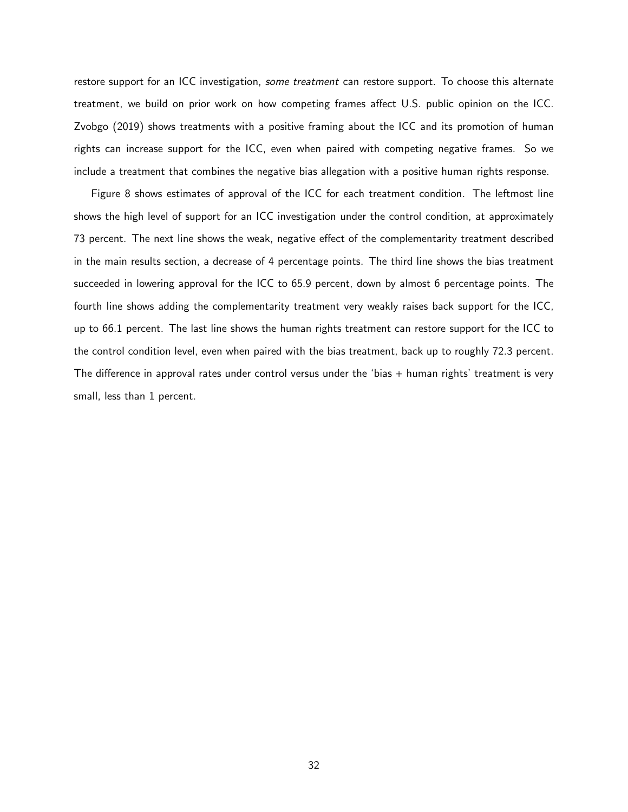restore support for an ICC investigation, some treatment can restore support. To choose this alternate treatment, we build on prior work on how competing frames affect U.S. public opinion on the ICC. [Zvobgo](#page-41-15) [\(2019\)](#page-41-15) shows treatments with a positive framing about the ICC and its promotion of human rights can increase support for the ICC, even when paired with competing negative frames. So we include a treatment that combines the negative bias allegation with a positive human rights response.

[Figure 8](#page-33-0) shows estimates of approval of the ICC for each treatment condition. The leftmost line shows the high level of support for an ICC investigation under the control condition, at approximately 73 percent. The next line shows the weak, negative effect of the complementarity treatment described in the main results section, a decrease of 4 percentage points. The third line shows the bias treatment succeeded in lowering approval for the ICC to 65.9 percent, down by almost 6 percentage points. The fourth line shows adding the complementarity treatment very weakly raises back support for the ICC, up to 66.1 percent. The last line shows the human rights treatment can restore support for the ICC to the control condition level, even when paired with the bias treatment, back up to roughly 72.3 percent. The difference in approval rates under control versus under the 'bias  $+$  human rights' treatment is very small, less than 1 percent.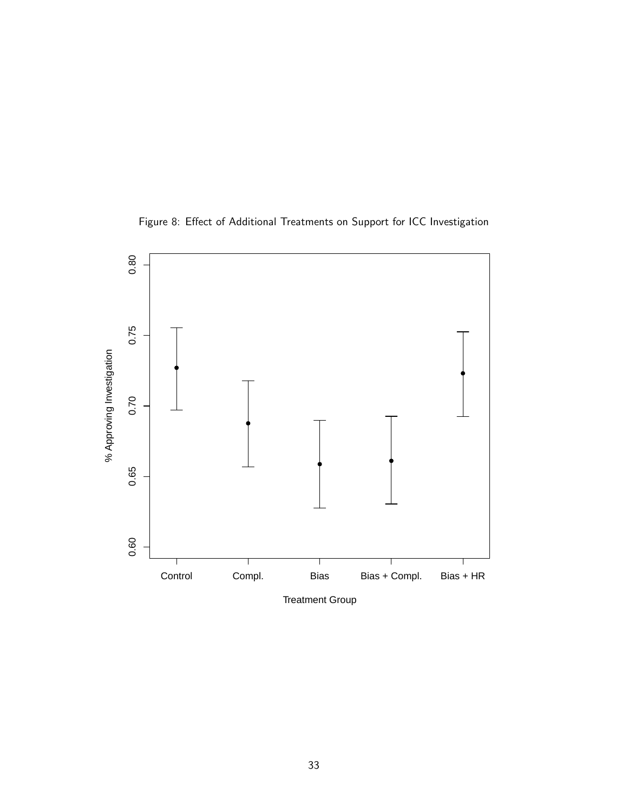<span id="page-33-0"></span>

Figure 8: Effect of Additional Treatments on Support for ICC Investigation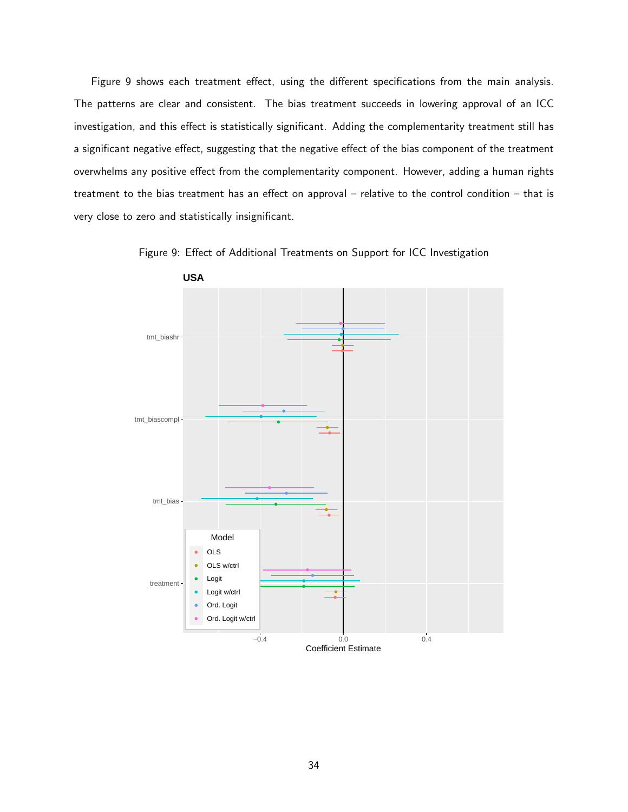[Figure 9](#page-34-0) shows each treatment effect, using the different specifications from the main analysis. The patterns are clear and consistent. The bias treatment succeeds in lowering approval of an ICC investigation, and this effect is statistically significant. Adding the complementarity treatment still has a significant negative effect, suggesting that the negative effect of the bias component of the treatment overwhelms any positive effect from the complementarity component. However, adding a human rights treatment to the bias treatment has an effect on approval – relative to the control condition – that is very close to zero and statistically insignificant.

<span id="page-34-0"></span>

Figure 9: Effect of Additional Treatments on Support for ICC Investigation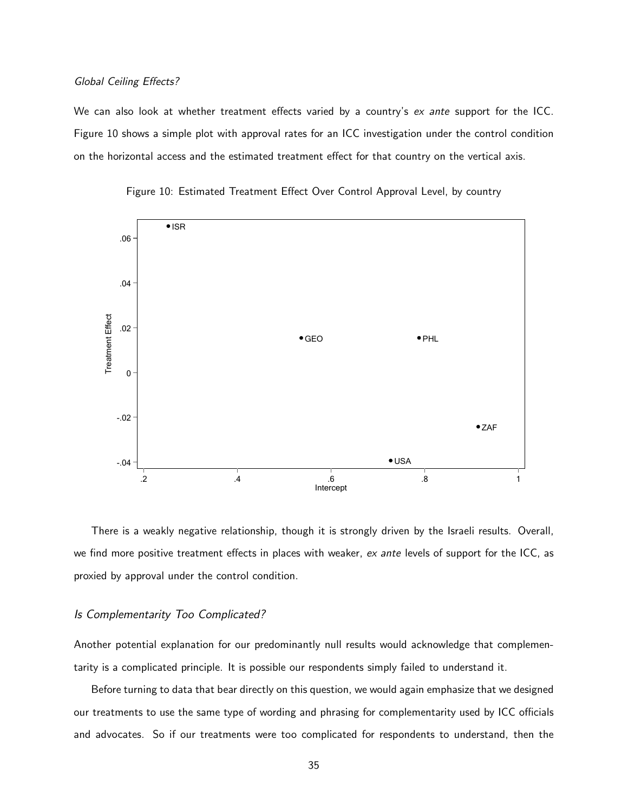#### Global Ceiling Effects?

We can also look at whether treatment effects varied by a country's ex ante support for the ICC. [Figure 10](#page-35-0) shows a simple plot with approval rates for an ICC investigation under the control condition on the horizontal access and the estimated treatment effect for that country on the vertical axis.

<span id="page-35-0"></span>



There is a weakly negative relationship, though it is strongly driven by the Israeli results. Overall, we find more positive treatment effects in places with weaker,  $ex$  ante levels of support for the ICC, as proxied by approval under the control condition.

### Is Complementarity Too Complicated?

Another potential explanation for our predominantly null results would acknowledge that complementarity is a complicated principle. It is possible our respondents simply failed to understand it.

Before turning to data that bear directly on this question, we would again emphasize that we designed our treatments to use the same type of wording and phrasing for complementarity used by ICC officials and advocates. So if our treatments were too complicated for respondents to understand, then the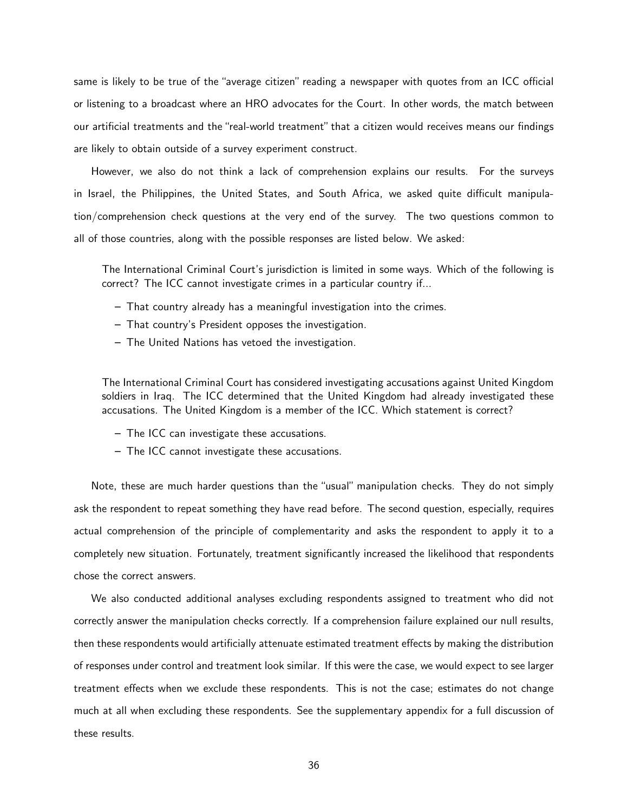same is likely to be true of the "average citizen" reading a newspaper with quotes from an ICC official or listening to a broadcast where an HRO advocates for the Court. In other words, the match between our artificial treatments and the "real-world treatment" that a citizen would receives means our findings are likely to obtain outside of a survey experiment construct.

However, we also do not think a lack of comprehension explains our results. For the surveys in Israel, the Philippines, the United States, and South Africa, we asked quite difficult manipulation/comprehension check questions at the very end of the survey. The two questions common to all of those countries, along with the possible responses are listed below. We asked:

The International Criminal Court's jurisdiction is limited in some ways. Which of the following is correct? The ICC cannot investigate crimes in a particular country if...

- That country already has a meaningful investigation into the crimes.
- That country's President opposes the investigation.
- The United Nations has vetoed the investigation.

The International Criminal Court has considered investigating accusations against United Kingdom soldiers in Iraq. The ICC determined that the United Kingdom had already investigated these accusations. The United Kingdom is a member of the ICC. Which statement is correct?

- The ICC can investigate these accusations.
- The ICC cannot investigate these accusations.

Note, these are much harder questions than the "usual" manipulation checks. They do not simply ask the respondent to repeat something they have read before. The second question, especially, requires actual comprehension of the principle of complementarity and asks the respondent to apply it to a completely new situation. Fortunately, treatment significantly increased the likelihood that respondents chose the correct answers.

We also conducted additional analyses excluding respondents assigned to treatment who did not correctly answer the manipulation checks correctly. If a comprehension failure explained our null results, then these respondents would artificially attenuate estimated treatment effects by making the distribution of responses under control and treatment look similar. If this were the case, we would expect to see larger treatment effects when we exclude these respondents. This is not the case; estimates do not change much at all when excluding these respondents. See the supplementary appendix for a full discussion of these results.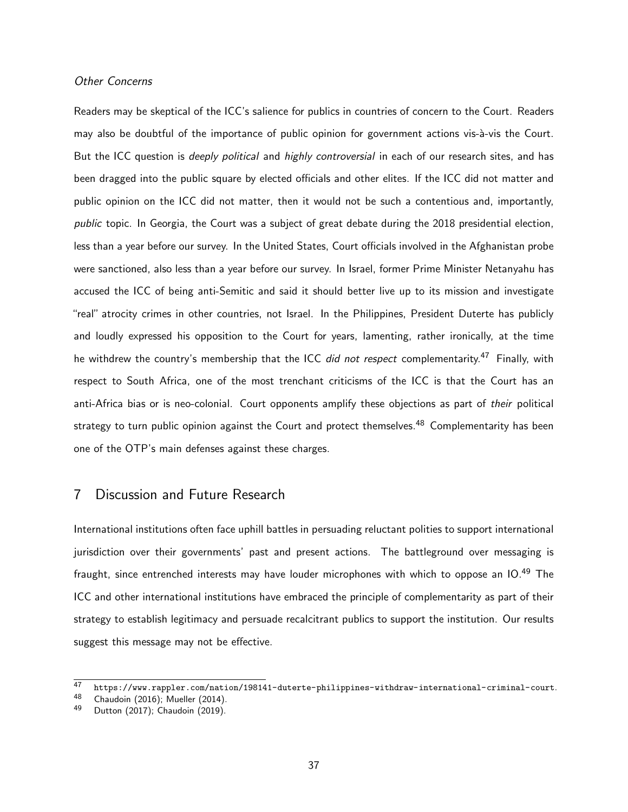#### Other Concerns

Readers may be skeptical of the ICC's salience for publics in countries of concern to the Court. Readers may also be doubtful of the importance of public opinion for government actions vis-à-vis the Court. But the ICC question is *deeply political* and *highly controversial* in each of our research sites, and has been dragged into the public square by elected officials and other elites. If the ICC did not matter and public opinion on the ICC did not matter, then it would not be such a contentious and, importantly, public topic. In Georgia, the Court was a subject of great debate during the 2018 presidential election, less than a year before our survey. In the United States, Court officials involved in the Afghanistan probe were sanctioned, also less than a year before our survey. In Israel, former Prime Minister Netanyahu has accused the ICC of being anti-Semitic and said it should better live up to its mission and investigate "real" atrocity crimes in other countries, not Israel. In the Philippines, President Duterte has publicly and loudly expressed his opposition to the Court for years, lamenting, rather ironically, at the time he withdrew the country's membership that the ICC did not respect complementarity.<sup>[47](#page-0-0)</sup> Finally, with respect to South Africa, one of the most trenchant criticisms of the ICC is that the Court has an anti-Africa bias or is neo-colonial. Court opponents amplify these objections as part of their political strategy to turn public opinion against the Court and protect themselves.<sup>[48](#page-0-0)</sup> Complementarity has been one of the OTP's main defenses against these charges.

## 7 Discussion and Future Research

International institutions often face uphill battles in persuading reluctant polities to support international jurisdiction over their governments' past and present actions. The battleground over messaging is fraught, since entrenched interests may have louder microphones with which to oppose an IO.<sup>[49](#page-0-0)</sup> The ICC and other international institutions have embraced the principle of complementarity as part of their strategy to establish legitimacy and persuade recalcitrant publics to support the institution. Our results suggest this message may not be effective.

<sup>47</sup> <https://www.rappler.com/nation/198141-duterte-philippines-withdraw-international-criminal-court>.<br>48 Chaudeir (2016): Mueller (2014)

<sup>&</sup>lt;sup>48</sup> [Chaudoin](#page-39-0) [\(2016\)](#page-39-0); [Mueller](#page-40-0) [\(2014\)](#page-40-0).<br><sup>49</sup> Dutton (2017): Chaudoin (2019).

[Dutton](#page-40-1) [\(2017\)](#page-40-1); [Chaudoin](#page-39-1) [\(2019\)](#page-39-1).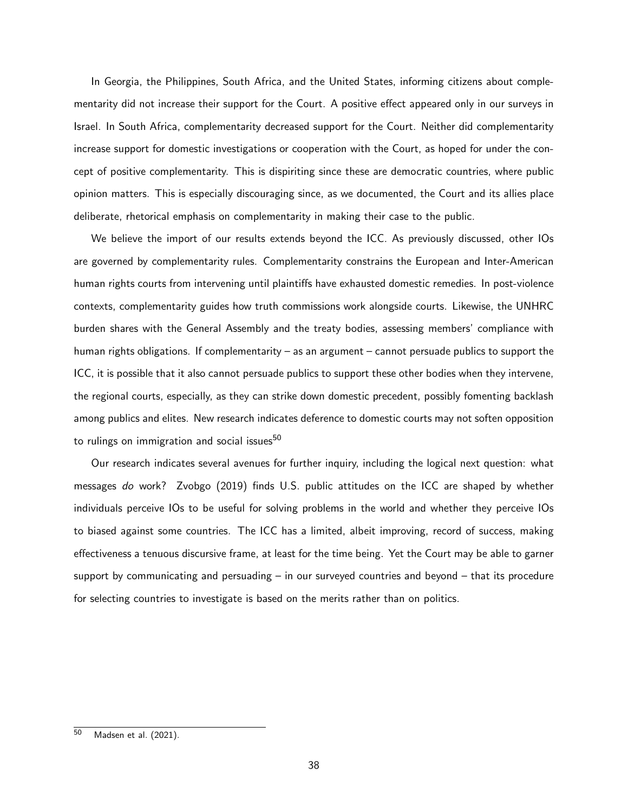In Georgia, the Philippines, South Africa, and the United States, informing citizens about complementarity did not increase their support for the Court. A positive effect appeared only in our surveys in Israel. In South Africa, complementarity decreased support for the Court. Neither did complementarity increase support for domestic investigations or cooperation with the Court, as hoped for under the concept of positive complementarity. This is dispiriting since these are democratic countries, where public opinion matters. This is especially discouraging since, as we documented, the Court and its allies place deliberate, rhetorical emphasis on complementarity in making their case to the public.

We believe the import of our results extends beyond the ICC. As previously discussed, other IOs are governed by complementarity rules. Complementarity constrains the European and Inter-American human rights courts from intervening until plaintiffs have exhausted domestic remedies. In post-violence contexts, complementarity guides how truth commissions work alongside courts. Likewise, the UNHRC burden shares with the General Assembly and the treaty bodies, assessing members' compliance with human rights obligations. If complementarity – as an argument – cannot persuade publics to support the ICC, it is possible that it also cannot persuade publics to support these other bodies when they intervene, the regional courts, especially, as they can strike down domestic precedent, possibly fomenting backlash among publics and elites. New research indicates deference to domestic courts may not soften opposition to rulings on immigration and social issues<sup>[50](#page-0-0)</sup>

Our research indicates several avenues for further inquiry, including the logical next question: what messages do work? [Zvobgo](#page-41-0) [\(2019\)](#page-41-0) finds U.S. public attitudes on the ICC are shaped by whether individuals perceive IOs to be useful for solving problems in the world and whether they perceive IOs to biased against some countries. The ICC has a limited, albeit improving, record of success, making effectiveness a tenuous discursive frame, at least for the time being. Yet the Court may be able to garner support by communicating and persuading  $-$  in our surveyed countries and beyond  $-$  that its procedure for selecting countries to investigate is based on the merits rather than on politics.

 $\overline{50}$  [Madsen et al.](#page-40-2) [\(2021\)](#page-40-2).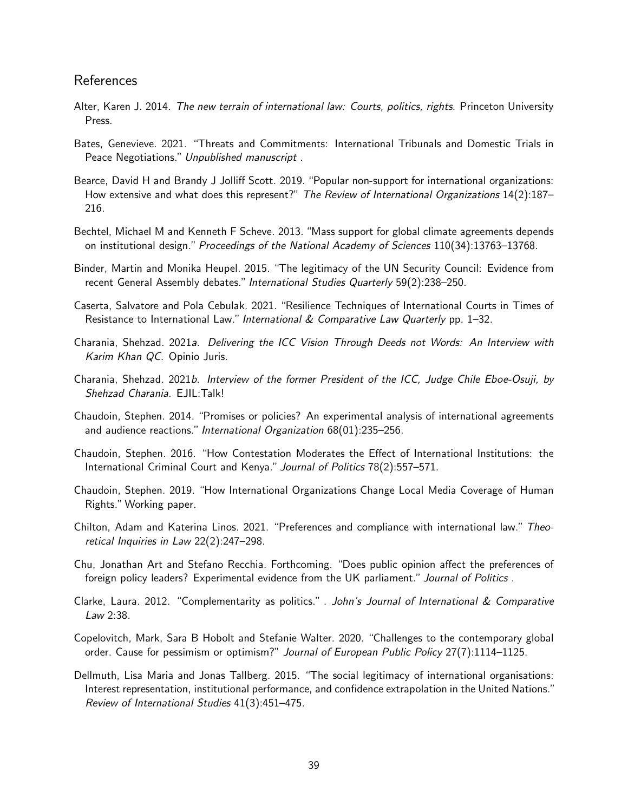## References

- <span id="page-39-2"></span>Alter, Karen J. 2014. The new terrain of international law: Courts, politics, rights. Princeton University Press.
- Bates, Genevieve. 2021. "Threats and Commitments: International Tribunals and Domestic Trials in Peace Negotiations." Unpublished manuscript.
- Bearce, David H and Brandy J Jolliff Scott. 2019. "Popular non-support for international organizations: How extensive and what does this represent?" The Review of International Organizations 14(2):187– 216.
- Bechtel, Michael M and Kenneth F Scheve. 2013. "Mass support for global climate agreements depends on institutional design." Proceedings of the National Academy of Sciences 110(34):13763–13768.
- Binder, Martin and Monika Heupel. 2015. "The legitimacy of the UN Security Council: Evidence from recent General Assembly debates." International Studies Quarterly 59(2):238–250.
- Caserta, Salvatore and Pola Cebulak. 2021. "Resilience Techniques of International Courts in Times of Resistance to International Law." International  $&$  Comparative Law Quarterly pp. 1–32.
- Charania, Shehzad. 2021a. Delivering the ICC Vision Through Deeds not Words: An Interview with Karim Khan QC. Opinio Juris.
- Charania, Shehzad. 2021b. Interview of the former President of the ICC, Judge Chile Eboe-Osuji, by Shehzad Charania. EJIL:Talk!
- Chaudoin, Stephen. 2014. "Promises or policies? An experimental analysis of international agreements and audience reactions." International Organization 68(01):235–256.
- <span id="page-39-0"></span>Chaudoin, Stephen. 2016. "How Contestation Moderates the Effect of International Institutions: the International Criminal Court and Kenya." Journal of Politics 78(2):557–571.
- <span id="page-39-1"></span>Chaudoin, Stephen. 2019. "How International Organizations Change Local Media Coverage of Human Rights."Working paper.
- Chilton, Adam and Katerina Linos. 2021. "Preferences and compliance with international law." Theoretical Inquiries in Law 22(2):247–298.
- Chu, Jonathan Art and Stefano Recchia. Forthcoming. "Does public opinion affect the preferences of foreign policy leaders? Experimental evidence from the UK parliament." Journal of Politics.
- Clarke, Laura. 2012. "Complementarity as politics." . John's Journal of International  $\&$  Comparative Law 2:38.
- Copelovitch, Mark, Sara B Hobolt and Stefanie Walter. 2020. "Challenges to the contemporary global order. Cause for pessimism or optimism?" Journal of European Public Policy 27(7):1114–1125.
- Dellmuth, Lisa Maria and Jonas Tallberg. 2015. "The social legitimacy of international organisations: Interest representation, institutional performance, and confidence extrapolation in the United Nations." Review of International Studies 41(3):451–475.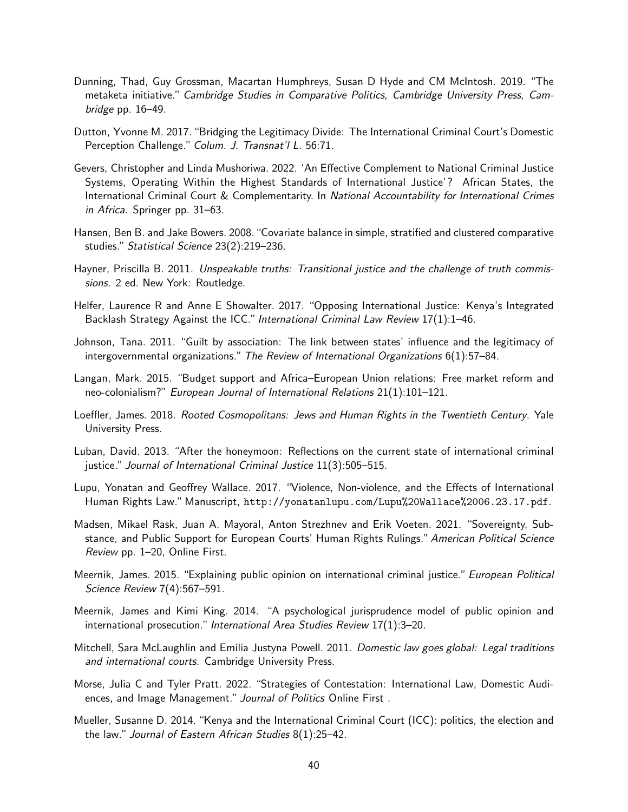- Dunning, Thad, Guy Grossman, Macartan Humphreys, Susan D Hyde and CM McIntosh. 2019. "The metaketa initiative." Cambridge Studies in Comparative Politics, Cambridge University Press, Cambridge pp. 16–49.
- <span id="page-40-1"></span>Dutton, Yvonne M. 2017. "Bridging the Legitimacy Divide: The International Criminal Court's Domestic Perception Challenge." Colum. J. Transnat'l L. 56:71.
- Gevers, Christopher and Linda Mushoriwa. 2022. 'An Effective Complement to National Criminal Justice Systems, Operating Within the Highest Standards of International Justice'? African States, the International Criminal Court & Complementarity. In National Accountability for International Crimes in Africa. Springer pp. 31–63.
- Hansen, Ben B. and Jake Bowers. 2008."Covariate balance in simple, stratified and clustered comparative studies." Statistical Science 23(2):219–236.
- Hayner, Priscilla B. 2011. Unspeakable truths: Transitional justice and the challenge of truth commissions. 2 ed. New York: Routledge.
- Helfer, Laurence R and Anne E Showalter. 2017. "Opposing International Justice: Kenya's Integrated Backlash Strategy Against the ICC." International Criminal Law Review 17(1):1–46.
- Johnson, Tana. 2011. "Guilt by association: The link between states' influence and the legitimacy of intergovernmental organizations."The Review of International Organizations 6(1):57–84.
- Langan, Mark. 2015. "Budget support and Africa–European Union relations: Free market reform and neo-colonialism?" European Journal of International Relations 21(1):101–121.
- Loeffler, James. 2018. Rooted Cosmopolitans: Jews and Human Rights in the Twentieth Century. Yale University Press.
- Luban, David. 2013. "After the honeymoon: Reflections on the current state of international criminal justice." Journal of International Criminal Justice 11(3):505–515.
- Lupu, Yonatan and Geoffrey Wallace. 2017. "Violence, Non-violence, and the Effects of International Human Rights Law." Manuscript, <http://yonatanlupu.com/Lupu%20Wallace%2006.23.17.pdf>.
- <span id="page-40-2"></span>Madsen, Mikael Rask, Juan A. Mayoral, Anton Strezhnev and Erik Voeten. 2021. "Sovereignty, Substance, and Public Support for European Courts' Human Rights Rulings." American Political Science Review pp. 1–20, Online First.
- Meernik, James. 2015. "Explaining public opinion on international criminal justice." European Political Science Review 7(4):567–591.
- Meernik, James and Kimi King. 2014. "A psychological jurisprudence model of public opinion and international prosecution." International Area Studies Review 17(1):3–20.
- Mitchell, Sara McLaughlin and Emilia Justyna Powell. 2011. Domestic law goes global: Legal traditions and international courts. Cambridge University Press.
- Morse, Julia C and Tyler Pratt. 2022. "Strategies of Contestation: International Law, Domestic Audiences, and Image Management." Journal of Politics Online First.
- <span id="page-40-0"></span>Mueller, Susanne D. 2014. "Kenya and the International Criminal Court (ICC): politics, the election and the law." Journal of Eastern African Studies 8(1):25–42.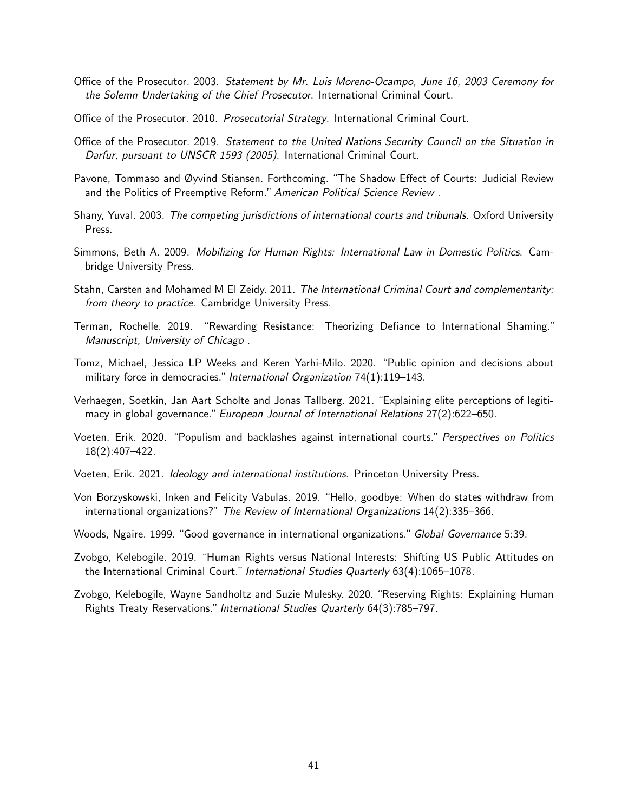- Office of the Prosecutor. 2003. Statement by Mr. Luis Moreno-Ocampo, June 16, 2003 Ceremony for the Solemn Undertaking of the Chief Prosecutor. International Criminal Court.
- Office of the Prosecutor. 2010. Prosecutorial Strategy. International Criminal Court.
- Office of the Prosecutor. 2019. Statement to the United Nations Security Council on the Situation in Darfur, pursuant to UNSCR 1593 (2005). International Criminal Court.
- Pavone, Tommaso and Øyvind Stiansen. Forthcoming. "The Shadow Effect of Courts: Judicial Review and the Politics of Preemptive Reform." American Political Science Review.
- Shany, Yuval. 2003. The competing jurisdictions of international courts and tribunals. Oxford University Press.
- Simmons, Beth A. 2009. Mobilizing for Human Rights: International Law in Domestic Politics. Cambridge University Press.
- Stahn, Carsten and Mohamed M El Zeidy. 2011. The International Criminal Court and complementarity: from theory to practice. Cambridge University Press.
- Terman, Rochelle. 2019. "Rewarding Resistance: Theorizing Defiance to International Shaming." Manuscript, University of Chicago .
- Tomz, Michael, Jessica LP Weeks and Keren Yarhi-Milo. 2020. "Public opinion and decisions about military force in democracies." International Organization 74(1):119-143.
- Verhaegen, Soetkin, Jan Aart Scholte and Jonas Tallberg. 2021. "Explaining elite perceptions of legitimacy in global governance." European Journal of International Relations  $27(2)$ :622–650.
- Voeten, Erik. 2020. "Populism and backlashes against international courts." Perspectives on Politics 18(2):407–422.
- Voeten, Erik. 2021. Ideology and international institutions. Princeton University Press.
- Von Borzyskowski, Inken and Felicity Vabulas. 2019. "Hello, goodbye: When do states withdraw from international organizations?" The Review of International Organizations 14(2):335–366.
- Woods, Ngaire. 1999. "Good governance in international organizations." Global Governance 5:39.
- <span id="page-41-0"></span>Zvobgo, Kelebogile. 2019. "Human Rights versus National Interests: Shifting US Public Attitudes on the International Criminal Court." International Studies Quarterly 63(4):1065–1078.
- Zvobgo, Kelebogile, Wayne Sandholtz and Suzie Mulesky. 2020. "Reserving Rights: Explaining Human Rights Treaty Reservations." International Studies Quarterly 64(3):785–797.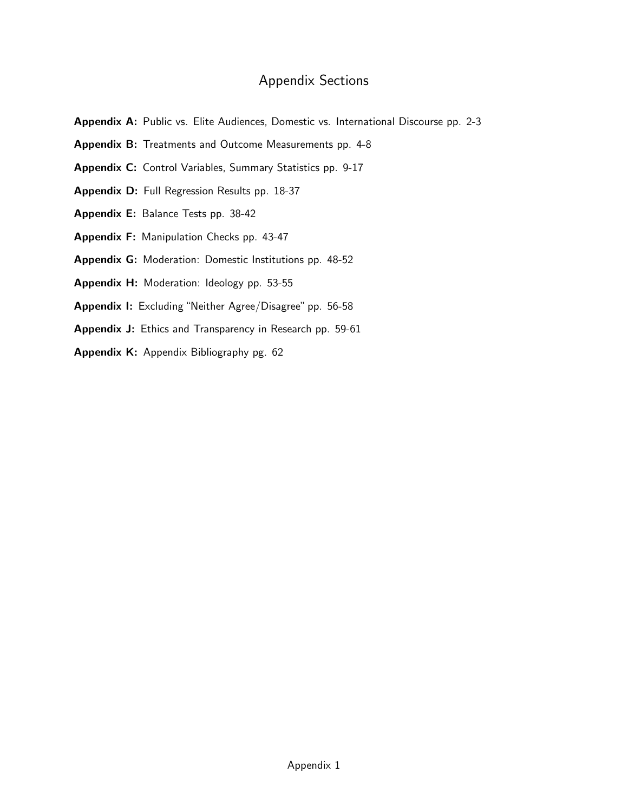# Appendix Sections

- Appendix [A:](#page-43-0) Public vs. Elite Audiences, Domestic vs. International Discourse pp. 2-3
- Appendix [B:](#page-45-0) Treatments and Outcome Measurements pp. 4-8
- Appendix [C:](#page-50-0) Control Variables, Summary Statistics pp. 9-17
- Appendix [D:](#page-59-0) Full Regression Results pp. 18-37
- Appendix [E:](#page-79-0) Balance Tests pp. 38-42
- Appendix [F:](#page-84-0) Manipulation Checks pp. 43-47
- Appendix [G:](#page-89-0) Moderation: Domestic Institutions pp. 48-52
- Appendix [H:](#page-94-0) Moderation: Ideology pp. 53-55
- Appendix [I:](#page-97-0) Excluding "Neither Agree/Disagree" pp. 56-58
- Appendix [J:](#page-100-0) Ethics and Transparency in Research pp. 59-61
- Appendix [K:](#page-103-0) Appendix Bibliography pg. 62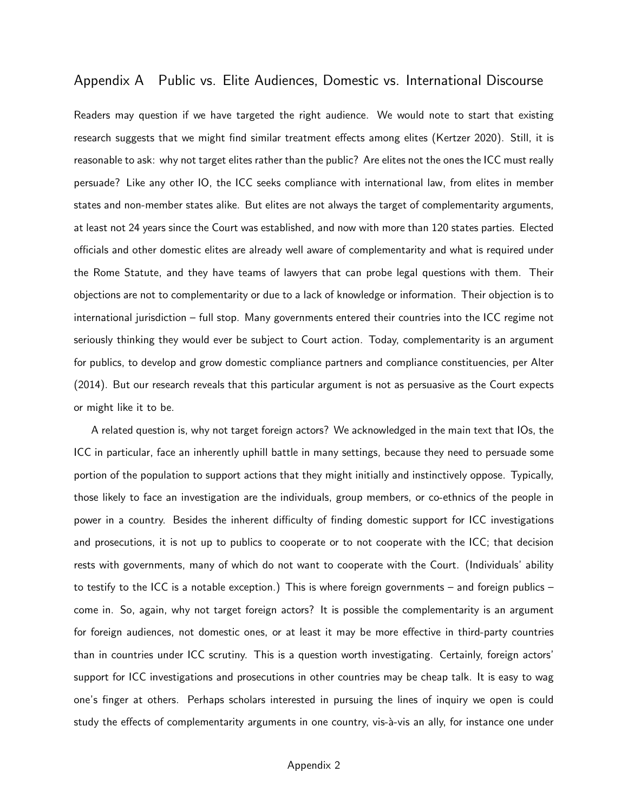# <span id="page-43-0"></span>Appendix A Public vs. Elite Audiences, Domestic vs. International Discourse

Readers may question if we have targeted the right audience. We would note to start that existing research suggests that we might find similar treatment effects among elites (Kertzer 2020). Still, it is reasonable to ask: why not target elites rather than the public? Are elites not the ones the ICC must really persuade? Like any other IO, the ICC seeks compliance with international law, from elites in member states and non-member states alike. But elites are not always the target of complementarity arguments, at least not 24 years since the Court was established, and now with more than 120 states parties. Elected officials and other domestic elites are already well aware of complementarity and what is required under the Rome Statute, and they have teams of lawyers that can probe legal questions with them. Their objections are not to complementarity or due to a lack of knowledge or information. Their objection is to international jurisdiction – full stop. Many governments entered their countries into the ICC regime not seriously thinking they would ever be subject to Court action. Today, complementarity is an argument for publics, to develop and grow domestic compliance partners and compliance constituencies, per [Alter](#page-39-2) [\(2014\)](#page-39-2). But our research reveals that this particular argument is not as persuasive as the Court expects or might like it to be.

A related question is, why not target foreign actors? We acknowledged in the main text that IOs, the ICC in particular, face an inherently uphill battle in many settings, because they need to persuade some portion of the population to support actions that they might initially and instinctively oppose. Typically, those likely to face an investigation are the individuals, group members, or co-ethnics of the people in power in a country. Besides the inherent difficulty of finding domestic support for ICC investigations and prosecutions, it is not up to publics to cooperate or to not cooperate with the ICC; that decision rests with governments, many of which do not want to cooperate with the Court. (Individuals' ability to testify to the ICC is a notable exception.) This is where foreign governments – and foreign publics – come in. So, again, why not target foreign actors? It is possible the complementarity is an argument for foreign audiences, not domestic ones, or at least it may be more effective in third-party countries than in countries under ICC scrutiny. This is a question worth investigating. Certainly, foreign actors' support for ICC investigations and prosecutions in other countries may be cheap talk. It is easy to wag one's finger at others. Perhaps scholars interested in pursuing the lines of inquiry we open is could study the effects of complementarity arguments in one country, vis-à-vis an ally, for instance one under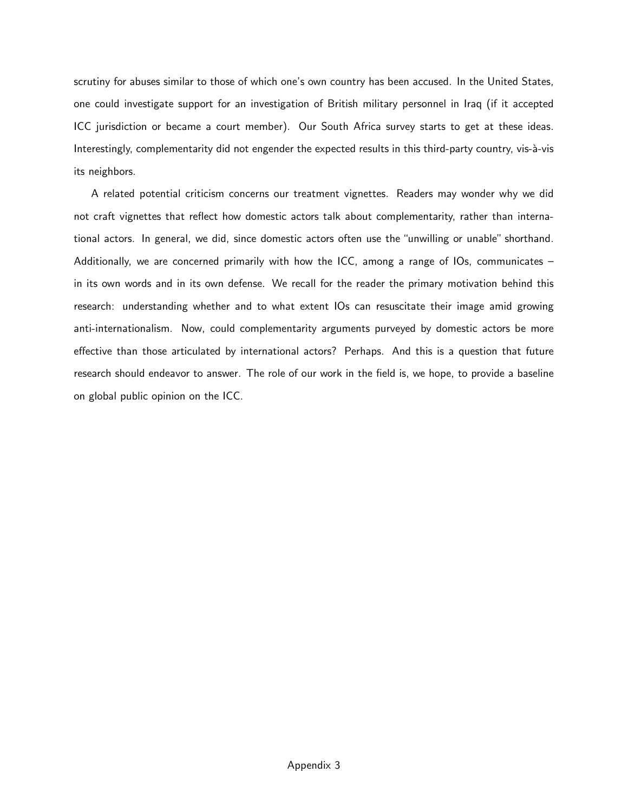scrutiny for abuses similar to those of which one's own country has been accused. In the United States, one could investigate support for an investigation of British military personnel in Iraq (if it accepted ICC jurisdiction or became a court member). Our South Africa survey starts to get at these ideas. Interestingly, complementarity did not engender the expected results in this third-party country, vis-à-vis its neighbors.

A related potential criticism concerns our treatment vignettes. Readers may wonder why we did not craft vignettes that reflect how domestic actors talk about complementarity, rather than international actors. In general, we did, since domestic actors often use the "unwilling or unable" shorthand. Additionally, we are concerned primarily with how the ICC, among a range of IOs, communicates  $$ in its own words and in its own defense. We recall for the reader the primary motivation behind this research: understanding whether and to what extent IOs can resuscitate their image amid growing anti-internationalism. Now, could complementarity arguments purveyed by domestic actors be more effective than those articulated by international actors? Perhaps. And this is a question that future research should endeavor to answer. The role of our work in the field is, we hope, to provide a baseline on global public opinion on the ICC.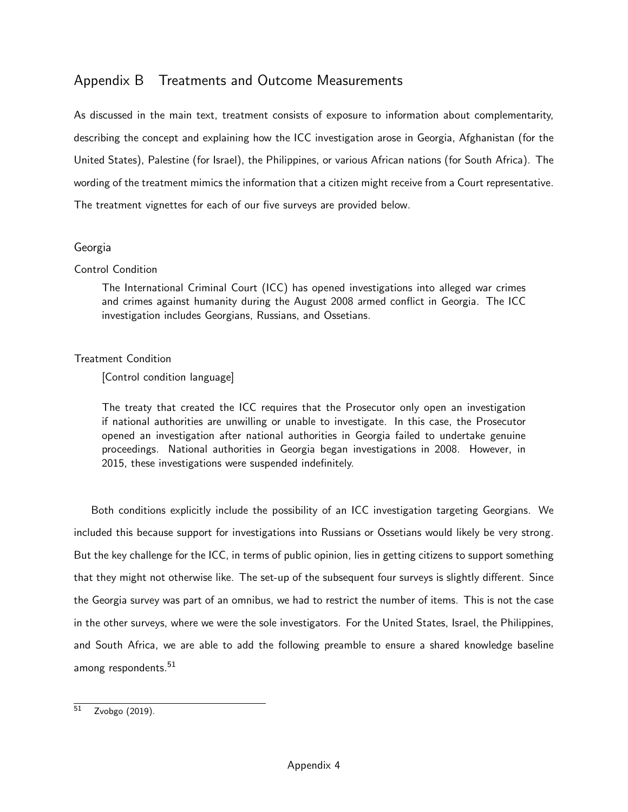# <span id="page-45-0"></span>Appendix B Treatments and Outcome Measurements

As discussed in the main text, treatment consists of exposure to information about complementarity, describing the concept and explaining how the ICC investigation arose in Georgia, Afghanistan (for the United States), Palestine (for Israel), the Philippines, or various African nations (for South Africa). The wording of the treatment mimics the information that a citizen might receive from a Court representative. The treatment vignettes for each of our five surveys are provided below.

## Georgia

## Control Condition

The International Criminal Court (ICC) has opened investigations into alleged war crimes and crimes against humanity during the August 2008 armed conflict in Georgia. The ICC investigation includes Georgians, Russians, and Ossetians.

## Treatment Condition

[Control condition language]

The treaty that created the ICC requires that the Prosecutor only open an investigation if national authorities are unwilling or unable to investigate. In this case, the Prosecutor opened an investigation after national authorities in Georgia failed to undertake genuine proceedings. National authorities in Georgia began investigations in 2008. However, in 2015, these investigations were suspended indefinitely.

Both conditions explicitly include the possibility of an ICC investigation targeting Georgians. We included this because support for investigations into Russians or Ossetians would likely be very strong. But the key challenge for the ICC, in terms of public opinion, lies in getting citizens to support something that they might not otherwise like. The set-up of the subsequent four surveys is slightly different. Since the Georgia survey was part of an omnibus, we had to restrict the number of items. This is not the case in the other surveys, where we were the sole investigators. For the United States, Israel, the Philippines, and South Africa, we are able to add the following preamble to ensure a shared knowledge baseline among respondents. $51$ 

<sup>51</sup> [Zvobgo](#page-41-0) [\(2019\)](#page-41-0).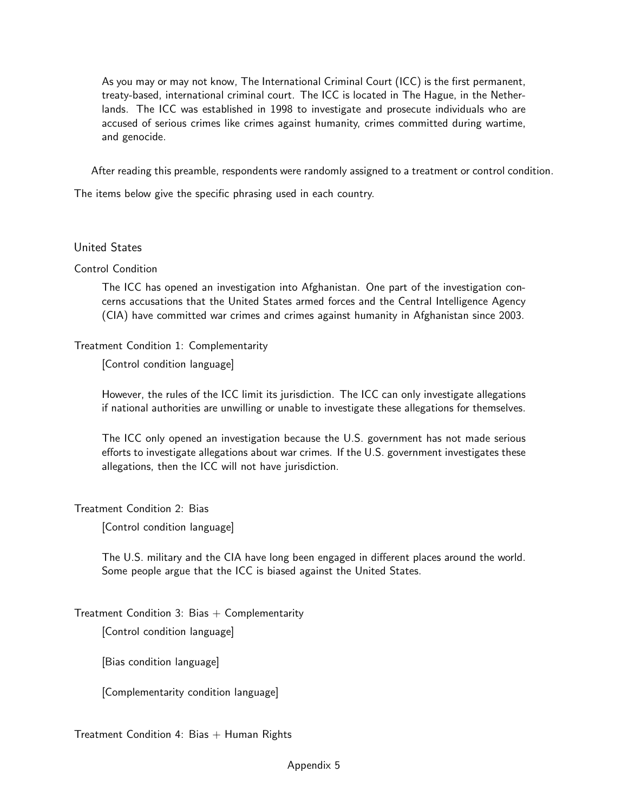As you may or may not know, The International Criminal Court (ICC) is the first permanent, treaty-based, international criminal court. The ICC is located in The Hague, in the Netherlands. The ICC was established in 1998 to investigate and prosecute individuals who are accused of serious crimes like crimes against humanity, crimes committed during wartime, and genocide.

After reading this preamble, respondents were randomly assigned to a treatment or control condition.

The items below give the specific phrasing used in each country.

### United States

#### Control Condition

The ICC has opened an investigation into Afghanistan. One part of the investigation concerns accusations that the United States armed forces and the Central Intelligence Agency (CIA) have committed war crimes and crimes against humanity in Afghanistan since 2003.

### Treatment Condition 1: Complementarity

[Control condition language]

However, the rules of the ICC limit its jurisdiction. The ICC can only investigate allegations if national authorities are unwilling or unable to investigate these allegations for themselves.

The ICC only opened an investigation because the U.S. government has not made serious efforts to investigate allegations about war crimes. If the U.S. government investigates these allegations, then the ICC will not have jurisdiction.

Treatment Condition 2: Bias

[Control condition language]

The U.S. military and the CIA have long been engaged in different places around the world. Some people argue that the ICC is biased against the United States.

## Treatment Condition 3: Bias  $+$  Complementarity

[Control condition language]

[Bias condition language]

[Complementarity condition language]

Treatment Condition 4: Bias  $+$  Human Rights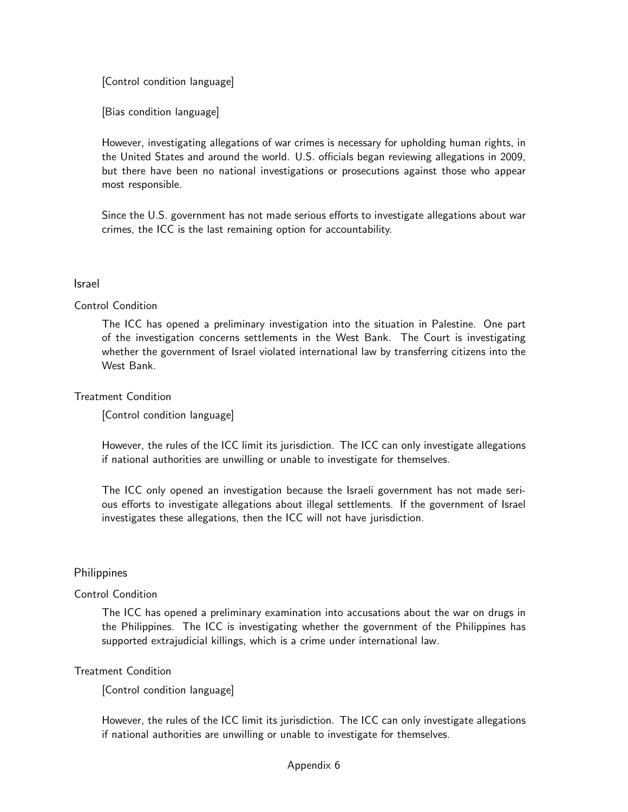[Control condition language]

[Bias condition language]

However, investigating allegations of war crimes is necessary for upholding human rights, in the United States and around the world. U.S. officials began reviewing allegations in 2009, but there have been no national investigations or prosecutions against those who appear most responsible.

Since the U.S. government has not made serious efforts to investigate allegations about war crimes, the ICC is the last remaining option for accountability.

#### Israel

### Control Condition

The ICC has opened a preliminary investigation into the situation in Palestine. One part of the investigation concerns settlements in the West Bank. The Court is investigating whether the government of Israel violated international law by transferring citizens into the West Bank.

### Treatment Condition

[Control condition language]

However, the rules of the ICC limit its jurisdiction. The ICC can only investigate allegations if national authorities are unwilling or unable to investigate for themselves.

The ICC only opened an investigation because the Israeli government has not made serious efforts to investigate allegations about illegal settlements. If the government of Israel investigates these allegations, then the ICC will not have jurisdiction.

## **Philippines**

#### Control Condition

The ICC has opened a preliminary examination into accusations about the war on drugs in the Philippines. The ICC is investigating whether the government of the Philippines has supported extrajudicial killings, which is a crime under international law.

## Treatment Condition

[Control condition language]

However, the rules of the ICC limit its jurisdiction. The ICC can only investigate allegations if national authorities are unwilling or unable to investigate for themselves.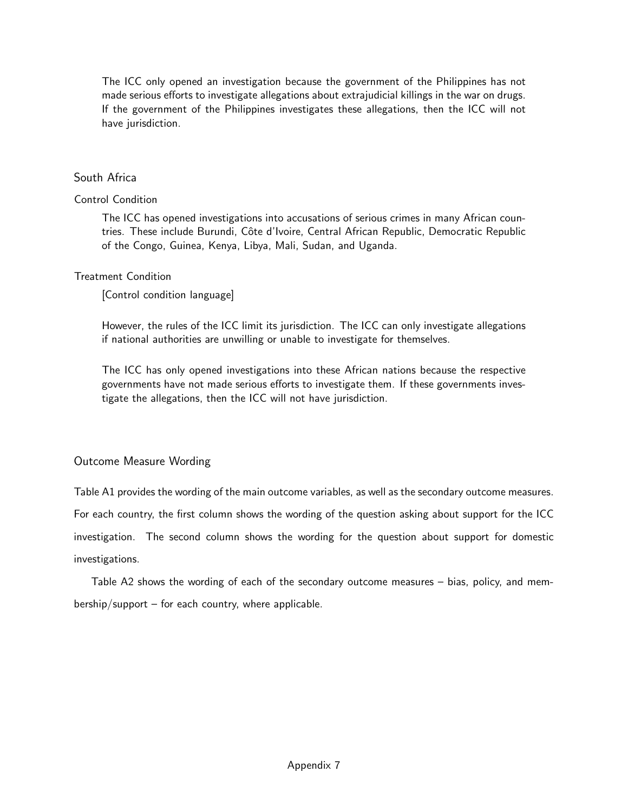The ICC only opened an investigation because the government of the Philippines has not made serious efforts to investigate allegations about extrajudicial killings in the war on drugs. If the government of the Philippines investigates these allegations, then the ICC will not have jurisdiction.

### South Africa

#### Control Condition

The ICC has opened investigations into accusations of serious crimes in many African countries. These include Burundi, Côte d'Ivoire, Central African Republic, Democratic Republic of the Congo, Guinea, Kenya, Libya, Mali, Sudan, and Uganda.

#### Treatment Condition

[Control condition language]

However, the rules of the ICC limit its jurisdiction. The ICC can only investigate allegations if national authorities are unwilling or unable to investigate for themselves.

The ICC has only opened investigations into these African nations because the respective governments have not made serious efforts to investigate them. If these governments investigate the allegations, then the ICC will not have jurisdiction.

## Outcome Measure Wording

[Table A1](#page-49-0) provides the wording of the main outcome variables, as well as the secondary outcome measures.

For each country, the first column shows the wording of the question asking about support for the ICC

investigation. The second column shows the wording for the question about support for domestic investigations.

[Table A2](#page-49-1) shows the wording of each of the secondary outcome measures – bias, policy, and membership/support – for each country, where applicable.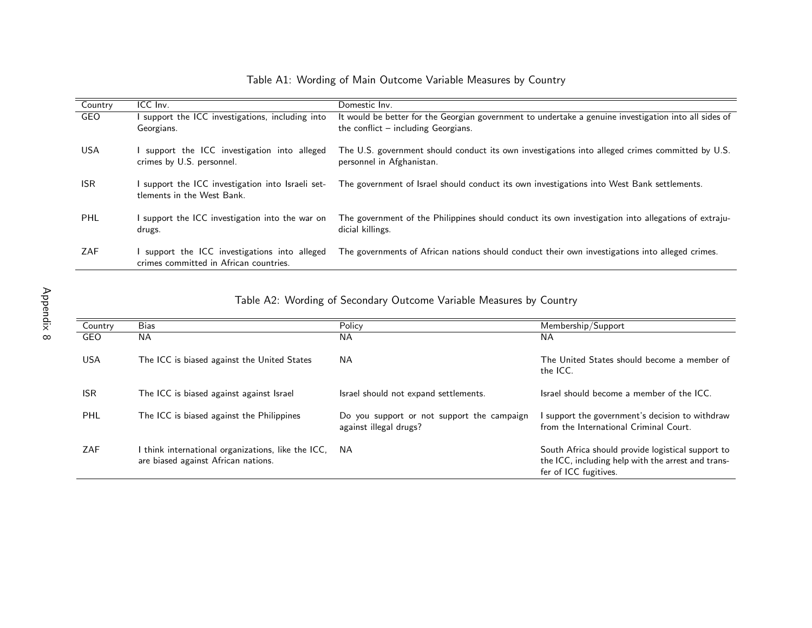| Country    | ICC Inv.                                                                              | Domestic Inv.                                                                                                                |
|------------|---------------------------------------------------------------------------------------|------------------------------------------------------------------------------------------------------------------------------|
| GEO        | support the ICC investigations, including into                                        | It would be better for the Georgian government to undertake a genuine investigation into all sides of                        |
|            | Georgians.                                                                            | the conflict $-$ including Georgians.                                                                                        |
| USA        | support the ICC investigation into alleged<br>crimes by U.S. personnel.               | The U.S. government should conduct its own investigations into alleged crimes committed by U.S.<br>personnel in Afghanistan. |
| <b>ISR</b> | support the ICC investigation into Israeli set-<br>tlements in the West Bank.         | The government of Israel should conduct its own investigations into West Bank settlements.                                   |
| <b>PHL</b> | support the ICC investigation into the war on<br>drugs.                               | The government of the Philippines should conduct its own investigation into allegations of extraju-<br>dicial killings.      |
| ZAF        | support the ICC investigations into alleged<br>crimes committed in African countries. | The governments of African nations should conduct their own investigations into alleged crimes.                              |

## Table A1: Wording of Main Outcome Variable Measures by Country

<span id="page-49-1"></span><span id="page-49-0"></span>Table A2: Wording of Secondary Outcome Variable Measures by Country

| Country    | <b>Bias</b>                                                                               | Policy                                                               | Membership/Support                                                                                                               |
|------------|-------------------------------------------------------------------------------------------|----------------------------------------------------------------------|----------------------------------------------------------------------------------------------------------------------------------|
| GEO        | <b>NA</b>                                                                                 | <b>NA</b>                                                            | NA.                                                                                                                              |
| <b>USA</b> | The ICC is biased against the United States                                               | <b>NA</b>                                                            | The United States should become a member of<br>the ICC.                                                                          |
| <b>ISR</b> | The ICC is biased against against Israel                                                  | Israel should not expand settlements.                                | Israel should become a member of the ICC.                                                                                        |
| <b>PHL</b> | The ICC is biased against the Philippines                                                 | Do you support or not support the campaign<br>against illegal drugs? | I support the government's decision to withdraw<br>from the International Criminal Court.                                        |
| ZAF        | I think international organizations, like the ICC,<br>are biased against African nations. | NA.                                                                  | South Africa should provide logistical support to<br>the ICC, including help with the arrest and trans-<br>fer of ICC fugitives. |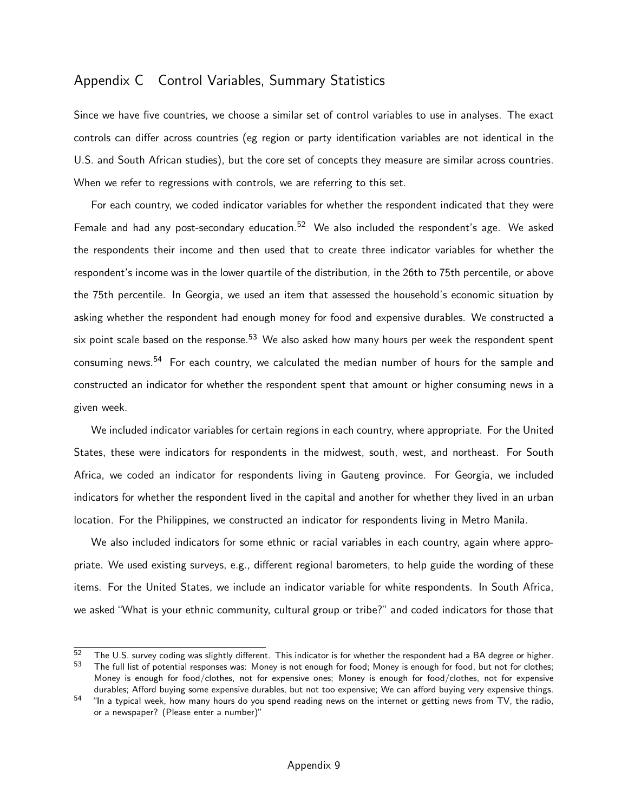# <span id="page-50-0"></span>Appendix C Control Variables, Summary Statistics

Since we have five countries, we choose a similar set of control variables to use in analyses. The exact controls can differ across countries (eg region or party identification variables are not identical in the U.S. and South African studies), but the core set of concepts they measure are similar across countries. When we refer to regressions with controls, we are referring to this set.

For each country, we coded indicator variables for whether the respondent indicated that they were Female and had any post-secondary education.<sup>[52](#page-0-0)</sup> We also included the respondent's age. We asked the respondents their income and then used that to create three indicator variables for whether the respondent's income was in the lower quartile of the distribution, in the 26th to 75th percentile, or above the 75th percentile. In Georgia, we used an item that assessed the household's economic situation by asking whether the respondent had enough money for food and expensive durables. We constructed a six point scale based on the response.<sup>[53](#page-0-0)</sup> We also asked how many hours per week the respondent spent consuming news.[54](#page-0-0) For each country, we calculated the median number of hours for the sample and constructed an indicator for whether the respondent spent that amount or higher consuming news in a given week.

We included indicator variables for certain regions in each country, where appropriate. For the United States, these were indicators for respondents in the midwest, south, west, and northeast. For South Africa, we coded an indicator for respondents living in Gauteng province. For Georgia, we included indicators for whether the respondent lived in the capital and another for whether they lived in an urban location. For the Philippines, we constructed an indicator for respondents living in Metro Manila.

We also included indicators for some ethnic or racial variables in each country, again where appropriate. We used existing surveys, e.g., different regional barometers, to help guide the wording of these items. For the United States, we include an indicator variable for white respondents. In South Africa, we asked "What is your ethnic community, cultural group or tribe?" and coded indicators for those that

 $\frac{52}{2}$  The U.S. survey coding was slightly different. This indicator is for whether the respondent had a BA degree or higher.<br> $\frac{53}{2}$  The full list of potential responses was: Money is not enough for food: Money is The full list of potential responses was: Money is not enough for food; Money is enough for food, but not for clothes; Money is enough for food/clothes, not for expensive ones; Money is enough for food/clothes, not for expensive

durables; Afford buying some expensive durables, but not too expensive; We can afford buying very expensive things.  $54$  "In a typical week, how many hours do you spend reading news on the internet or getting news from TV, the radio, or a newspaper? (Please enter a number)"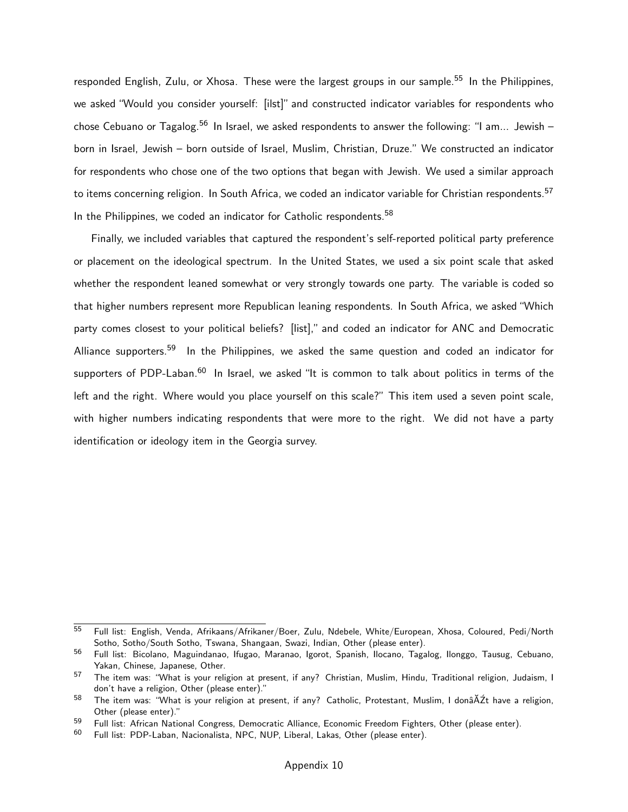responded English, Zulu, or Xhosa. These were the largest groups in our sample.<sup>[55](#page-0-0)</sup> In the Philippines, we asked "Would you consider yourself: [ilst]" and constructed indicator variables for respondents who chose Cebuano or Tagalog.<sup>[56](#page-0-0)</sup> In Israel, we asked respondents to answer the following: "I am... Jewish – born in Israel, Jewish – born outside of Israel, Muslim, Christian, Druze." We constructed an indicator for respondents who chose one of the two options that began with Jewish. We used a similar approach to items concerning religion. In South Africa, we coded an indicator variable for Christian respondents.<sup>[57](#page-0-0)</sup> In the Philippines, we coded an indicator for Catholic respondents.<sup>[58](#page-0-0)</sup>

Finally, we included variables that captured the respondent's self-reported political party preference or placement on the ideological spectrum. In the United States, we used a six point scale that asked whether the respondent leaned somewhat or very strongly towards one party. The variable is coded so that higher numbers represent more Republican leaning respondents. In South Africa, we asked "Which party comes closest to your political beliefs? [list]," and coded an indicator for ANC and Democratic Alliance supporters.<sup>[59](#page-0-0)</sup> In the Philippines, we asked the same question and coded an indicator for supporters of PDP-Laban.<sup>[60](#page-0-0)</sup> In Israel, we asked "It is common to talk about politics in terms of the left and the right. Where would you place yourself on this scale?" This item used a seven point scale, with higher numbers indicating respondents that were more to the right. We did not have a party identification or ideology item in the Georgia survey.

<sup>55</sup> Full list: English, Venda, Afrikaans/Afrikaner/Boer, Zulu, Ndebele, White/European, Xhosa, Coloured, Pedi/North Sotho, Sotho/South Sotho, Tswana, Shangaan, Swazi, Indian, Other (please enter).

<sup>56</sup> Full list: Bicolano, Maguindanao, Ifugao, Maranao, Igorot, Spanish, Ilocano, Tagalog, Ilonggo, Tausug, Cebuano, Yakan, Chinese, Japanese, Other.

<sup>57</sup> The item was: "What is your religion at present, if any? Christian, Muslim, Hindu, Traditional religion, Judaism, I don't have a religion, Other (please enter)."

 $58$  The item was: "What is your religion at present, if any? Catholic, Protestant, Muslim, I donâ $\tilde{A}Zt$  have a religion, Other (please enter)."

<sup>&</sup>lt;sup>59</sup> Full list: African National Congress, Democratic Alliance, Economic Freedom Fighters, Other (please enter).<br><sup>60</sup> Full list: PDP-Laban, Nacionalista, NPC, NUP Liberal, Lakas, Other (please enter).

Full list: PDP-Laban, Nacionalista, NPC, NUP, Liberal, Lakas, Other (please enter).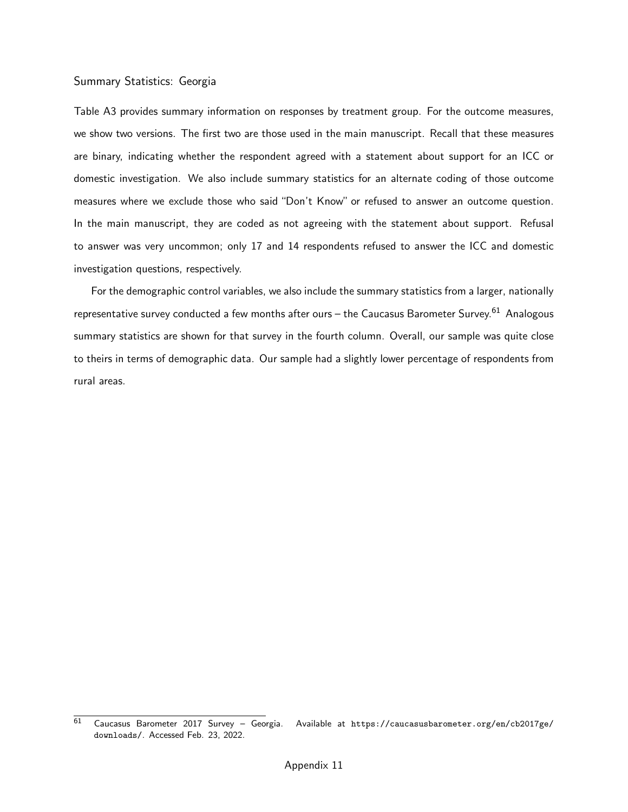#### Summary Statistics: Georgia

[Table A3](#page-53-0) provides summary information on responses by treatment group. For the outcome measures, we show two versions. The first two are those used in the main manuscript. Recall that these measures are binary, indicating whether the respondent agreed with a statement about support for an ICC or domestic investigation. We also include summary statistics for an alternate coding of those outcome measures where we exclude those who said "Don't Know" or refused to answer an outcome question. In the main manuscript, they are coded as not agreeing with the statement about support. Refusal to answer was very uncommon; only 17 and 14 respondents refused to answer the ICC and domestic investigation questions, respectively.

For the demographic control variables, we also include the summary statistics from a larger, nationally representative survey conducted a few months after ours - the Caucasus Barometer Survey.<sup>[61](#page-0-0)</sup> Analogous summary statistics are shown for that survey in the fourth column. Overall, our sample was quite close to theirs in terms of demographic data. Our sample had a slightly lower percentage of respondents from rural areas.

<sup>61</sup> Caucasus Barometer 2017 Survey – Georgia. Available at [https://caucasusbarometer.org/en/cb2017ge/](https://caucasusbarometer.org/en/cb2017ge/downloads/) [downloads/](https://caucasusbarometer.org/en/cb2017ge/downloads/). Accessed Feb. 23, 2022.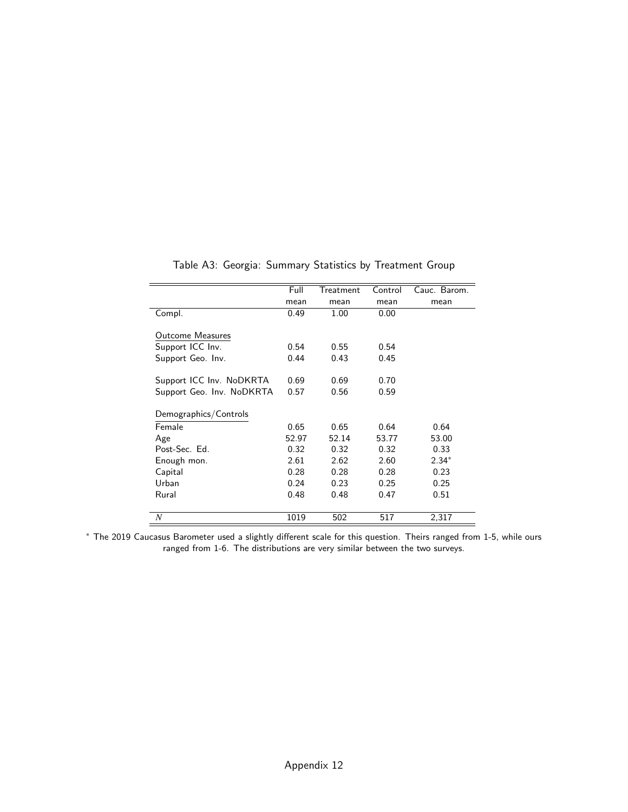<span id="page-53-0"></span>

|                           | Full  | Treatment | Control | Cauc. Barom. |
|---------------------------|-------|-----------|---------|--------------|
|                           | mean  | mean      | mean    | mean         |
| Compl.                    | 0.49  | 1.00      | 0.00    |              |
|                           |       |           |         |              |
| <b>Outcome Measures</b>   |       |           |         |              |
| Support ICC Inv.          | 0.54  | 0.55      | 0.54    |              |
| Support Geo. Inv.         | 0.44  | 0.43      | 0.45    |              |
|                           |       |           |         |              |
| Support ICC Inv. NoDKRTA  | 0.69  | 0.69      | 0.70    |              |
| Support Geo. Inv. NoDKRTA | 0.57  | 0.56      | 0.59    |              |
|                           |       |           |         |              |
| Demographics/Controls     |       |           |         |              |
| Female                    | 0.65  | 0.65      | 0.64    | 0.64         |
| Age                       | 52.97 | 52.14     | 53.77   | 53.00        |
| Post-Sec. Ed.             | 0.32  | 0.32      | 0.32    | 0.33         |
| Enough mon.               | 2.61  | 2.62      | 2.60    | $2.34*$      |
| Capital                   | 0.28  | 0.28      | 0.28    | 0.23         |
| Urban                     | 0.24  | 0.23      | 0.25    | 0.25         |
| Rural                     | 0.48  | 0.48      | 0.47    | 0.51         |
|                           |       |           |         |              |
| N                         | 1019  | 502       | 517     | 2,317        |

Table A3: Georgia: Summary Statistics by Treatment Group

<sup>∗</sup> The 2019 Caucasus Barometer used a slightly different scale for this question. Theirs ranged from 1-5, while ours ranged from 1-6. The distributions are very similar between the two surveys.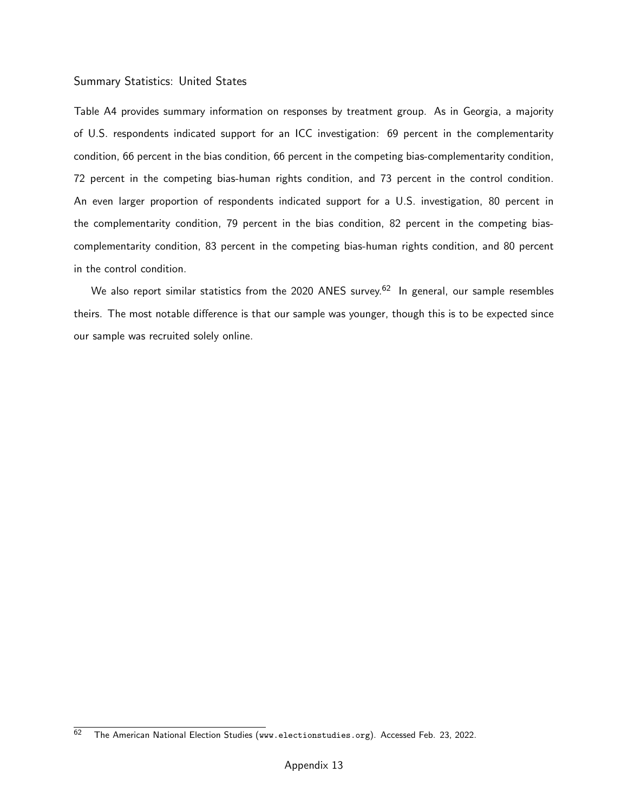#### Summary Statistics: United States

[Table A4](#page-55-0) provides summary information on responses by treatment group. As in Georgia, a majority of U.S. respondents indicated support for an ICC investigation: 69 percent in the complementarity condition, 66 percent in the bias condition, 66 percent in the competing bias-complementarity condition, 72 percent in the competing bias-human rights condition, and 73 percent in the control condition. An even larger proportion of respondents indicated support for a U.S. investigation, 80 percent in the complementarity condition, 79 percent in the bias condition, 82 percent in the competing biascomplementarity condition, 83 percent in the competing bias-human rights condition, and 80 percent in the control condition.

We also report similar statistics from the 2020 ANES survey.<sup>[62](#page-0-0)</sup> In general, our sample resembles theirs. The most notable difference is that our sample was younger, though this is to be expected since our sample was recruited solely online.

 $\overline{62}$  The American National Election Studies (<www.electionstudies.org>). Accessed Feb. 23, 2022.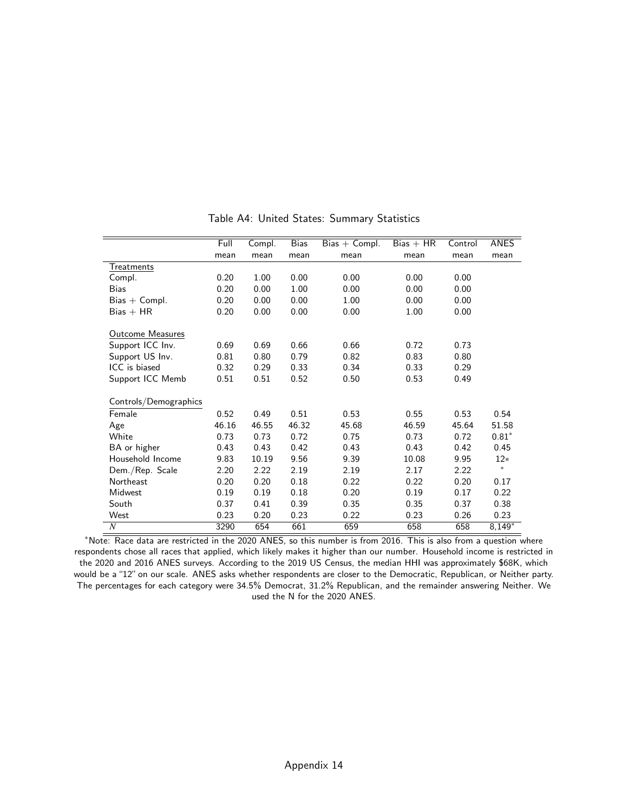<span id="page-55-0"></span>

|                         | Full  | Compl. | Bias  | $Bias + Compl.$ | $Bias + HR$ | Control | ANES     |
|-------------------------|-------|--------|-------|-----------------|-------------|---------|----------|
|                         | mean  | mean   | mean  | mean            | mean        | mean    | mean     |
| Treatments              |       |        |       |                 |             |         |          |
| Compl.                  | 0.20  | 1.00   | 0.00  | 0.00            | 0.00        | 0.00    |          |
| <b>Bias</b>             | 0.20  | 0.00   | 1.00  | 0.00            | 0.00        | 0.00    |          |
| $Bias + Compl.$         | 0.20  | 0.00   | 0.00  | 1.00            | 0.00        | 0.00    |          |
| $Bias + HR$             | 0.20  | 0.00   | 0.00  | 0.00            | 1.00        | 0.00    |          |
|                         |       |        |       |                 |             |         |          |
| <b>Outcome Measures</b> |       |        |       |                 |             |         |          |
| Support ICC Inv.        | 0.69  | 0.69   | 0.66  | 0.66            | 0.72        | 0.73    |          |
| Support US Inv.         | 0.81  | 0.80   | 0.79  | 0.82            | 0.83        | 0.80    |          |
| ICC is biased           | 0.32  | 0.29   | 0.33  | 0.34            | 0.33        | 0.29    |          |
| Support ICC Memb        | 0.51  | 0.51   | 0.52  | 0.50            | 0.53        | 0.49    |          |
|                         |       |        |       |                 |             |         |          |
| Controls/Demographics   |       |        |       |                 |             |         |          |
| Female                  | 0.52  | 0.49   | 0.51  | 0.53            | 0.55        | 0.53    | 0.54     |
| Age                     | 46.16 | 46.55  | 46.32 | 45.68           | 46.59       | 45.64   | 51.58    |
| White                   | 0.73  | 0.73   | 0.72  | 0.75            | 0.73        | 0.72    | $0.81*$  |
| BA or higher            | 0.43  | 0.43   | 0.42  | 0.43            | 0.43        | 0.42    | 0.45     |
| Household Income        | 9.83  | 10.19  | 9.56  | 9.39            | 10.08       | 9.95    | $12*$    |
| Dem./Rep. Scale         | 2.20  | 2.22   | 2.19  | 2.19            | 2.17        | 2.22    | *.       |
| Northeast               | 0.20  | 0.20   | 0.18  | 0.22            | 0.22        | 0.20    | 0.17     |
| Midwest                 | 0.19  | 0.19   | 0.18  | 0.20            | 0.19        | 0.17    | 0.22     |
| South                   | 0.37  | 0.41   | 0.39  | 0.35            | 0.35        | 0.37    | 0.38     |
| West                    | 0.23  | 0.20   | 0.23  | 0.22            | 0.23        | 0.26    | 0.23     |
| $\boldsymbol{N}$        | 3290  | 654    | 661   | 659             | 658         | 658     | $8,149*$ |

Table A4: United States: Summary Statistics

<sup>∗</sup>Note: Race data are restricted in the 2020 ANES, so this number is from 2016. This is also from a question where respondents chose all races that applied, which likely makes it higher than our number. Household income is restricted in the 2020 and 2016 ANES surveys. According to the 2019 US Census, the median HHI was approximately \$68K, which would be a "12" on our scale. ANES asks whether respondents are closer to the Democratic, Republican, or Neither party. The percentages for each category were 34.5% Democrat, 31.2% Republican, and the remainder answering Neither. We used the N for the 2020 ANES.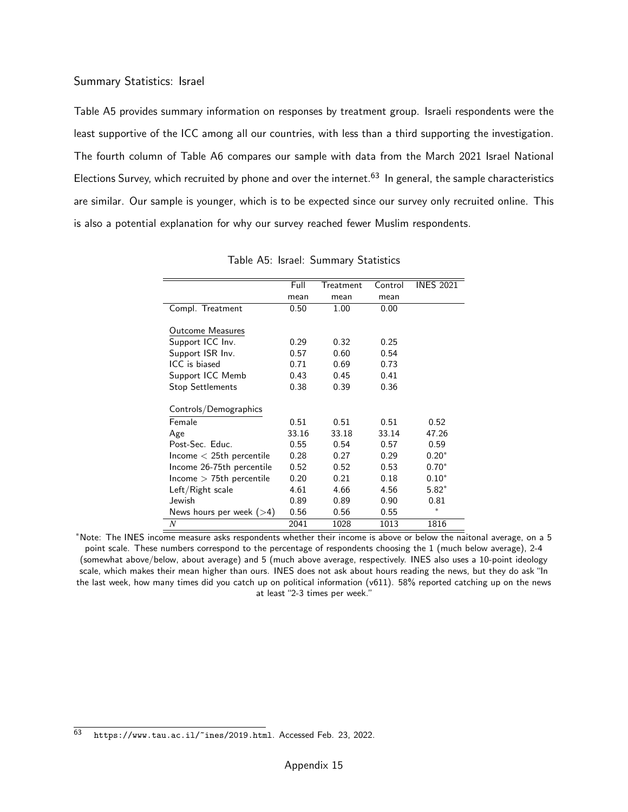#### Summary Statistics: Israel

[Table A5](#page-56-0) provides summary information on responses by treatment group. Israeli respondents were the least supportive of the ICC among all our countries, with less than a third supporting the investigation. The fourth column of [Table A6](#page-57-0) compares our sample with data from the March 2021 Israel National Elections Survey, which recruited by phone and over the internet.<sup>[63](#page-0-0)</sup> In general, the sample characteristics are similar. Our sample is younger, which is to be expected since our survey only recruited online. This is also a potential explanation for why our survey reached fewer Muslim respondents.

<span id="page-56-0"></span>

|                            | Full  | Treatment | Control | <b>INES 2021</b> |
|----------------------------|-------|-----------|---------|------------------|
|                            | mean  | mean      | mean    |                  |
| Compl. Treatment           | 0.50  | 1.00      | 0.00    |                  |
|                            |       |           |         |                  |
| <b>Outcome Measures</b>    |       |           |         |                  |
| Support ICC Inv.           | 0.29  | 0.32      | 0.25    |                  |
| Support ISR Inv.           | 0.57  | 0.60      | 0.54    |                  |
| ICC is biased              | 0.71  | 0.69      | 0.73    |                  |
| Support ICC Memb           | 0.43  | 0.45      | 0.41    |                  |
| <b>Stop Settlements</b>    | 0.38  | 0.39      | 0.36    |                  |
|                            |       |           |         |                  |
| Controls/Demographics      |       |           |         |                  |
| Female                     | 0.51  | 0.51      | 0.51    | 0.52             |
| Age                        | 33.16 | 33.18     | 33.14   | 47.26            |
| Post-Sec. Educ.            | 0.55  | 0.54      | 0.57    | 0.59             |
| $lncome < 25th$ percentile | 0.28  | 0.27      | 0.29    | $0.20*$          |
| Income 26-75th percentile  | 0.52  | 0.52      | 0.53    | $0.70*$          |
| $lncome > 75th$ percentile | 0.20  | 0.21      | 0.18    | $0.10*$          |
| Left/Right scale           | 4.61  | 4.66      | 4.56    | $5.82*$          |
| Jewish                     | 0.89  | 0.89      | 0.90    | 0.81             |
| News hours per week $(>4)$ | 0.56  | 0.56      | 0.55    | *                |
| N                          | 2041  | 1028      | 1013    | 1816             |

Table A5: Israel: Summary Statistics

<sup>∗</sup>Note: The INES income measure asks respondents whether their income is above or below the naitonal average, on a 5 point scale. These numbers correspond to the percentage of respondents choosing the 1 (much below average), 2-4 (somewhat above/below, about average) and 5 (much above average, respectively. INES also uses a 10-point ideology scale, which makes their mean higher than ours. INES does not ask about hours reading the news, but they do ask "In the last week, how many times did you catch up on political information  $(v611)$ . 58% reported catching up on the news at least "2-3 times per week."

 $\frac{63}{63}$  <https://www.tau.ac.il/~ines/2019.html>. Accessed Feb. 23, 2022.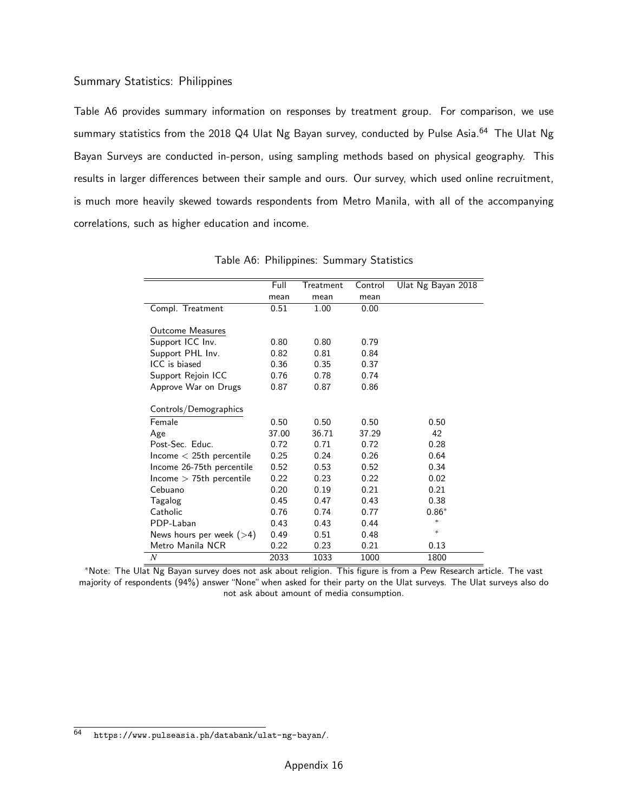#### Summary Statistics: Philippines

[Table A6](#page-57-0) provides summary information on responses by treatment group. For comparison, we use summary statistics from the 2018 Q4 Ulat Ng Bayan survey, conducted by Pulse Asia.<sup>[64](#page-0-0)</sup> The Ulat Ng Bayan Surveys are conducted in-person, using sampling methods based on physical geography. This results in larger differences between their sample and ours. Our survey, which used online recruitment, is much more heavily skewed towards respondents from Metro Manila, with all of the accompanying correlations, such as higher education and income.

<span id="page-57-0"></span>

|                            | Full  | Treatment | Control | Ulat Ng Bayan 2018 |
|----------------------------|-------|-----------|---------|--------------------|
|                            | mean  | mean      | mean    |                    |
| Compl. Treatment           | 0.51  | 1.00      | 0.00    |                    |
|                            |       |           |         |                    |
| <b>Outcome Measures</b>    |       |           |         |                    |
| Support ICC Inv.           | 0.80  | 0.80      | 0.79    |                    |
| Support PHL Inv.           | 0.82  | 0.81      | 0.84    |                    |
| ICC is biased              | 0.36  | 0.35      | 0.37    |                    |
| Support Rejoin ICC         | 0.76  | 0.78      | 0.74    |                    |
| Approve War on Drugs       | 0.87  | 0.87      | 0.86    |                    |
|                            |       |           |         |                    |
| Controls/Demographics      |       |           |         |                    |
| Female                     | 0.50  | 0.50      | 0.50    | 0.50               |
| Age                        | 37.00 | 36.71     | 37.29   | 42                 |
| Post-Sec. Educ.            | 0.72  | 0.71      | 0.72    | 0.28               |
| $lncome < 25th$ percentile | 0.25  | 0.24      | 0.26    | 0.64               |
| Income 26-75th percentile  | 0.52  | 0.53      | 0.52    | 0.34               |
| $lncome > 75th$ percentile | 0.22  | 0.23      | 0.22    | 0.02               |
| Cebuano                    | 0.20  | 0.19      | 0.21    | 0.21               |
| Tagalog                    | 0.45  | 0.47      | 0.43    | 0.38               |
| Catholic                   | 0.76  | 0.74      | 0.77    | $0.86*$            |
| PDP-Laban                  | 0.43  | 0.43      | 0.44    | $\ast$             |
| News hours per week $(>4)$ | 0.49  | 0.51      | 0.48    | $\ast$             |
| Metro Manila NCR           | 0.22  | 0.23      | 0.21    | 0.13               |
| $\boldsymbol{N}$           | 2033  | 1033      | 1000    | 1800               |

Table A6: Philippines: Summary Statistics

<sup>∗</sup>Note: The Ulat Ng Bayan survey does not ask about religion. This figure is from a Pew Research article. The vast majority of respondents (94%) answer "None" when asked for their party on the Ulat surveys. The Ulat surveys also do not ask about amount of media consumption.

<sup>64</sup> <https://www.pulseasia.ph/databank/ulat-ng-bayan/>.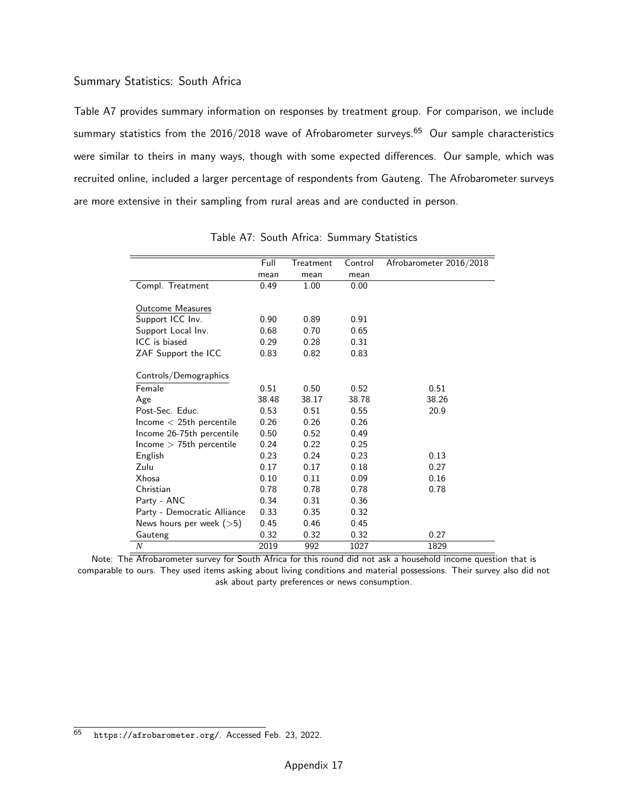#### Summary Statistics: South Africa

[Table A7](#page-58-0) provides summary information on responses by treatment group. For comparison, we include summary statistics from the  $2016/2018$  wave of Afrobarometer surveys.<sup>[65](#page-0-0)</sup> Our sample characteristics were similar to theirs in many ways, though with some expected differences. Our sample, which was recruited online, included a larger percentage of respondents from Gauteng. The Afrobarometer surveys are more extensive in their sampling from rural areas and are conducted in person.

<span id="page-58-0"></span>

|                               | Full  | Treatment | Control | Afrobarometer 2016/2018 |
|-------------------------------|-------|-----------|---------|-------------------------|
|                               | mean  | mean      | mean    |                         |
| Compl. Treatment              | 0.49  | 1.00      | 0.00    |                         |
|                               |       |           |         |                         |
| <b>Outcome Measures</b>       |       |           |         |                         |
| Support ICC Inv.              | 0.90  | 0.89      | 0.91    |                         |
| Support Local Inv.            | 0.68  | 0.70      | 0.65    |                         |
| ICC is biased                 | 0.29  | 0.28      | 0.31    |                         |
| ZAF Support the ICC           | 0.83  | 0.82      | 0.83    |                         |
| Controls/Demographics         |       |           |         |                         |
|                               |       |           |         |                         |
| Female                        | 0.51  | 0.50      | 0.52    | 0.51                    |
| Age                           | 38.48 | 38.17     | 38.78   | 38.26                   |
| Post-Sec. Educ.               | 0.53  | 0.51      | 0.55    | 20.9                    |
| $lncome < 25th$ percentile    | 0.26  | 0.26      | 0.26    |                         |
| Income 26-75th percentile     | 0.50  | 0.52      | 0.49    |                         |
| $h$ ncome $>$ 75th percentile | 0.24  | 0.22      | 0.25    |                         |
| English                       | 0.23  | 0.24      | 0.23    | 0.13                    |
| Zulu                          | 0.17  | 0.17      | 0.18    | 0.27                    |
| Xhosa                         | 0.10  | 0.11      | 0.09    | 0.16                    |
| Christian                     | 0.78  | 0.78      | 0.78    | 0.78                    |
| Party - ANC                   | 0.34  | 0.31      | 0.36    |                         |
| Party - Democratic Alliance   | 0.33  | 0.35      | 0.32    |                         |
| News hours per week $($ >5)   | 0.45  | 0.46      | 0.45    |                         |
| Gauteng                       | 0.32  | 0.32      | 0.32    | 0.27                    |
| $\boldsymbol{N}$              | 2019  | 992       | 1027    | 1829                    |

Table A7: South Africa: Summary Statistics

Note: The Afrobarometer survey for South Africa for this round did not ask a household income question that is comparable to ours. They used items asking about living conditions and material possessions. Their survey also did not ask about party preferences or news consumption.

<sup>65</sup> <https://afrobarometer.org/>. Accessed Feb. 23, 2022.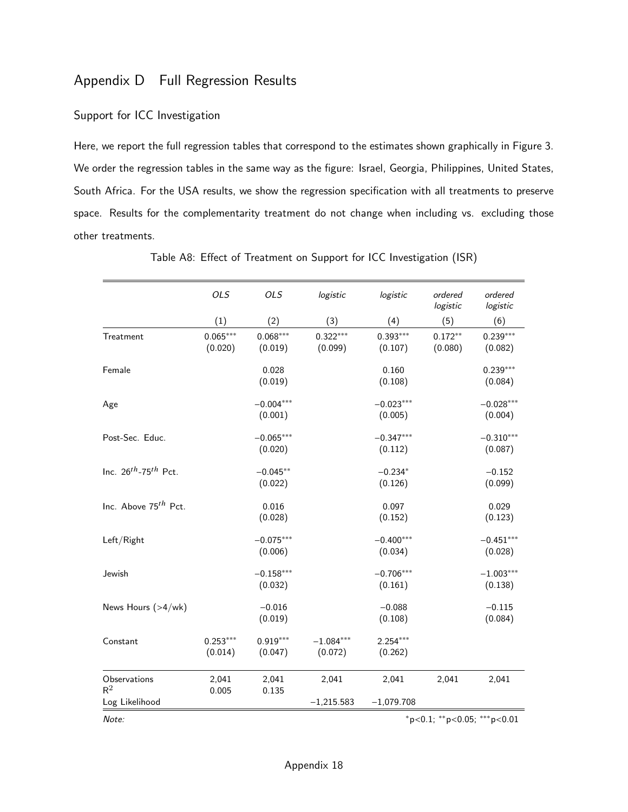# <span id="page-59-0"></span>Appendix D Full Regression Results

## Support for ICC Investigation

Here, we report the full regression tables that correspond to the estimates shown graphically in [Figure 3.](#page-22-0) We order the regression tables in the same way as the figure: Israel, Georgia, Philippines, United States, South Africa. For the USA results, we show the regression specification with all treatments to preserve space. Results for the complementarity treatment do not change when including vs. excluding those other treatments.

|                                       | <b>OLS</b>            | <b>OLS</b>             | logistic               | logistic               | ordered<br>logistic  | ordered<br>logistic               |
|---------------------------------------|-----------------------|------------------------|------------------------|------------------------|----------------------|-----------------------------------|
|                                       | (1)                   | (2)                    | (3)                    | (4)                    | (5)                  | (6)                               |
| Treatment                             | $0.065***$<br>(0.020) | $0.068***$<br>(0.019)  | $0.322***$<br>(0.099)  | $0.393***$<br>(0.107)  | $0.172**$<br>(0.080) | $0.239***$<br>(0.082)             |
| Female                                |                       | 0.028<br>(0.019)       |                        | 0.160<br>(0.108)       |                      | $0.239***$<br>(0.084)             |
| Age                                   |                       | $-0.004***$<br>(0.001) |                        | $-0.023***$<br>(0.005) |                      | $-0.028***$<br>(0.004)            |
| Post-Sec. Educ.                       |                       | $-0.065***$<br>(0.020) |                        | $-0.347***$<br>(0.112) |                      | $-0.310***$<br>(0.087)            |
| Inc. $26^{th}$ -75 <sup>th</sup> Pct. |                       | $-0.045**$<br>(0.022)  |                        | $-0.234*$<br>(0.126)   |                      | $-0.152$<br>(0.099)               |
| Inc. Above 75 <sup>th</sup> Pct.      |                       | 0.016<br>(0.028)       |                        | 0.097<br>(0.152)       |                      | 0.029<br>(0.123)                  |
| Left/Right                            |                       | $-0.075***$<br>(0.006) |                        | $-0.400***$<br>(0.034) |                      | $-0.451***$<br>(0.028)            |
| Jewish                                |                       | $-0.158***$<br>(0.032) |                        | $-0.706***$<br>(0.161) |                      | $-1.003***$<br>(0.138)            |
| News Hours (>4/wk)                    |                       | $-0.016$<br>(0.019)    |                        | $-0.088$<br>(0.108)    |                      | $-0.115$<br>(0.084)               |
| Constant                              | $0.253***$<br>(0.014) | $0.919***$<br>(0.047)  | $-1.084***$<br>(0.072) | $2.254***$<br>(0.262)  |                      |                                   |
| Observations<br>$R^2$                 | 2,041<br>0.005        | 2,041<br>0.135         | 2,041                  | 2,041                  | 2,041                | 2,041                             |
| Log Likelihood                        |                       |                        | $-1,215.583$           | $-1,079.708$           |                      |                                   |
| Note:                                 |                       |                        |                        |                        |                      | $*p<0.1$ ; $*p<0.05$ ; $**p<0.01$ |

Table A8: Effect of Treatment on Support for ICC Investigation (ISR)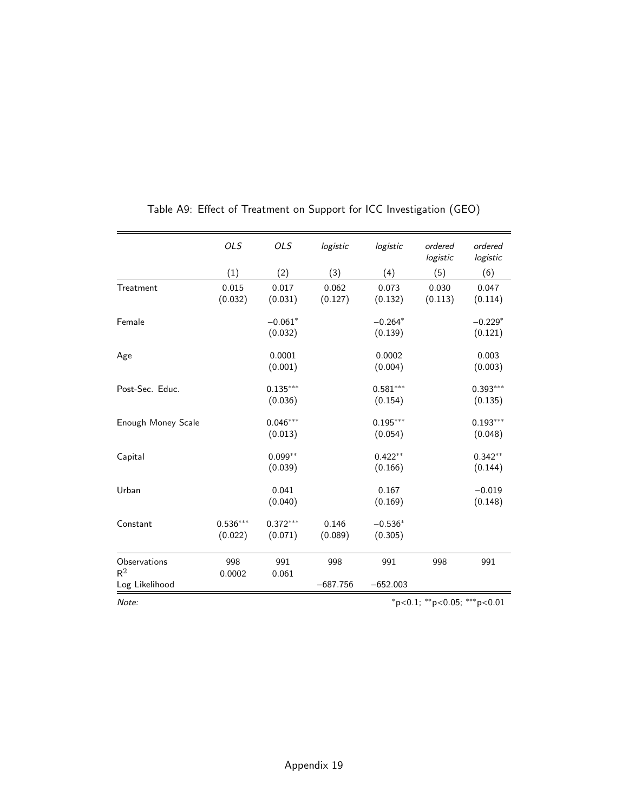|                                         | OLS                   | <b>OLS</b>            | logistic          | logistic              | ordered<br>logistic                | ordered<br>logistic   |
|-----------------------------------------|-----------------------|-----------------------|-------------------|-----------------------|------------------------------------|-----------------------|
|                                         | (1)                   | (2)                   | (3)               | (4)                   | (5)                                | (6)                   |
| Treatment                               | 0.015<br>(0.032)      | 0.017<br>(0.031)      | 0.062<br>(0.127)  | 0.073<br>(0.132)      | 0.030<br>(0.113)                   | 0.047<br>(0.114)      |
| Female                                  |                       | $-0.061*$<br>(0.032)  |                   | $-0.264*$<br>(0.139)  |                                    | $-0.229*$<br>(0.121)  |
| Age                                     |                       | 0.0001<br>(0.001)     |                   | 0.0002<br>(0.004)     |                                    | 0.003<br>(0.003)      |
| Post-Sec. Educ.                         |                       | $0.135***$<br>(0.036) |                   | $0.581***$<br>(0.154) |                                    | $0.393***$<br>(0.135) |
| Enough Money Scale                      |                       | $0.046***$<br>(0.013) |                   | $0.195***$<br>(0.054) |                                    | $0.193***$<br>(0.048) |
| Capital                                 |                       | $0.099**$<br>(0.039)  |                   | $0.422**$<br>(0.166)  |                                    | $0.342**$<br>(0.144)  |
| Urban                                   |                       | 0.041<br>(0.040)      |                   | 0.167<br>(0.169)      |                                    | $-0.019$<br>(0.148)   |
| Constant                                | $0.536***$<br>(0.022) | $0.372***$<br>(0.071) | 0.146<br>(0.089)  | $-0.536*$<br>(0.305)  |                                    |                       |
| Observations<br>$R^2$<br>Log Likelihood | 998<br>0.0002         | 991<br>0.061          | 998<br>$-687.756$ | 991<br>$-652.003$     | 998                                | 991                   |
| Note:                                   |                       |                       |                   |                       | $*_{p<0.1;}$ ** p<0.05; *** p<0.01 |                       |

# Table A9: Effect of Treatment on Support for ICC Investigation (GEO)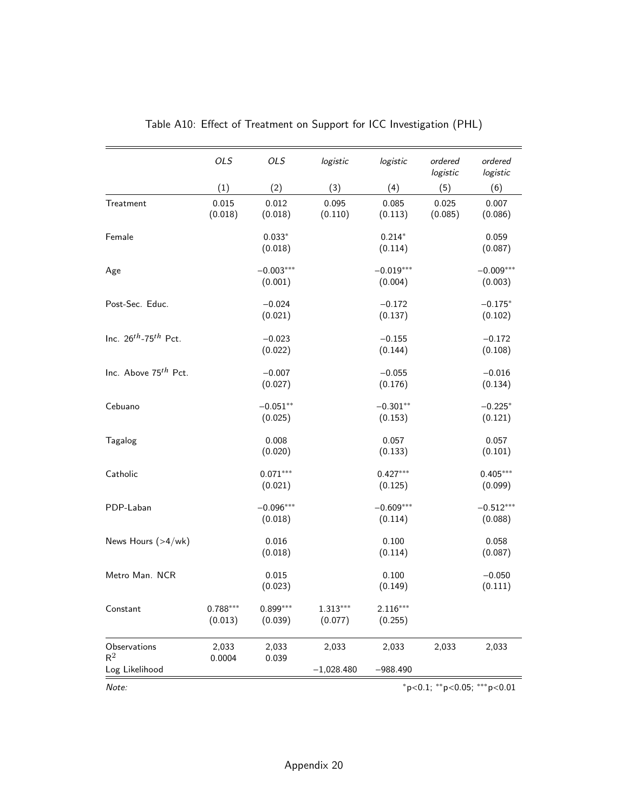|                                  | <b>OLS</b>            | OLS                    | logistic              | logistic               | ordered<br>logistic | ordered<br>logistic         |
|----------------------------------|-----------------------|------------------------|-----------------------|------------------------|---------------------|-----------------------------|
|                                  | (1)                   | (2)                    | (3)                   | (4)                    | (5)                 | (6)                         |
| Treatment                        | 0.015<br>(0.018)      | 0.012<br>(0.018)       | 0.095<br>(0.110)      | 0.085<br>(0.113)       | 0.025<br>(0.085)    | 0.007<br>(0.086)            |
| Female                           |                       | $0.033*$<br>(0.018)    |                       | $0.214*$<br>(0.114)    |                     | 0.059<br>(0.087)            |
| Age                              |                       | $-0.003***$<br>(0.001) |                       | $-0.019***$<br>(0.004) |                     | $-0.009***$<br>(0.003)      |
| Post-Sec. Educ.                  |                       | $-0.024$<br>(0.021)    |                       | $-0.172$<br>(0.137)    |                     | $-0.175*$<br>(0.102)        |
| Inc. $26^{th}$ -75 $^{th}$ Pct.  |                       | $-0.023$<br>(0.022)    |                       | $-0.155$<br>(0.144)    |                     | $-0.172$<br>(0.108)         |
| Inc. Above 75 <sup>th</sup> Pct. |                       | $-0.007$<br>(0.027)    |                       | $-0.055$<br>(0.176)    |                     | $-0.016$<br>(0.134)         |
| Cebuano                          |                       | $-0.051**$<br>(0.025)  |                       | $-0.301**$<br>(0.153)  |                     | $-0.225*$<br>(0.121)        |
| Tagalog                          |                       | 0.008<br>(0.020)       |                       | 0.057<br>(0.133)       |                     | 0.057<br>(0.101)            |
| Catholic                         |                       | $0.071***$<br>(0.021)  |                       | $0.427***$<br>(0.125)  |                     | $0.405***$<br>(0.099)       |
| PDP-Laban                        |                       | $-0.096***$<br>(0.018) |                       | $-0.609***$<br>(0.114) |                     | $-0.512***$<br>(0.088)      |
| News Hours (>4/wk)               |                       | 0.016<br>(0.018)       |                       | 0.100<br>(0.114)       |                     | 0.058<br>(0.087)            |
| Metro Man. NCR                   |                       | 0.015<br>(0.023)       |                       | 0.100<br>(0.149)       |                     | $-0.050$<br>(0.111)         |
| Constant                         | $0.788***$<br>(0.013) | $0.899***$<br>(0.039)  | $1.313***$<br>(0.077) | $2.116***$<br>(0.255)  |                     |                             |
| Observations<br>$R^2$            | 2,033<br>0.0004       | 2,033<br>0.039         | 2,033                 | 2,033                  | 2,033               | 2,033                       |
| Log Likelihood                   |                       |                        | $-1,028.480$          | $-988.490$             |                     |                             |
| Note:                            |                       |                        |                       |                        |                     | *p<0.1; **p<0.05; ***p<0.01 |

# Table A10: Effect of Treatment on Support for ICC Investigation (PHL)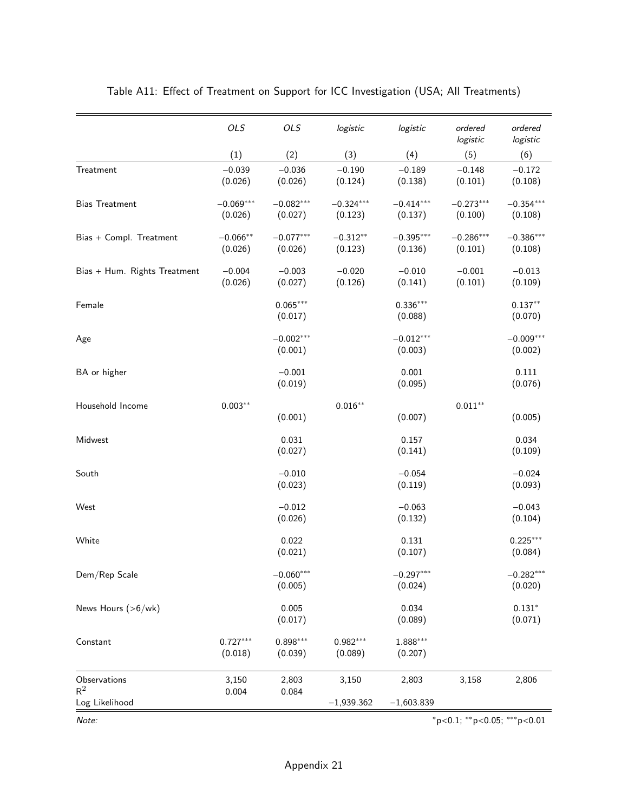|                              | OLS                    | OLS                    | logistic               | logistic               | ordered<br>logistic                        | ordered<br>logistic    |
|------------------------------|------------------------|------------------------|------------------------|------------------------|--------------------------------------------|------------------------|
|                              | (1)                    | (2)                    | (3)                    | (4)                    | (5)                                        | (6)                    |
| Treatment                    | $-0.039$<br>(0.026)    | $-0.036$<br>(0.026)    | $-0.190$<br>(0.124)    | $-0.189$<br>(0.138)    | $-0.148$<br>(0.101)                        | $-0.172$<br>(0.108)    |
| <b>Bias Treatment</b>        | $-0.069***$<br>(0.026) | $-0.082***$<br>(0.027) | $-0.324***$<br>(0.123) | $-0.414***$<br>(0.137) | $-0.273***$<br>(0.100)                     | $-0.354***$<br>(0.108) |
| Bias + Compl. Treatment      | $-0.066**$<br>(0.026)  | $-0.077***$<br>(0.026) | $-0.312**$<br>(0.123)  | $-0.395***$<br>(0.136) | $-0.286***$<br>(0.101)                     | $-0.386***$<br>(0.108) |
| Bias + Hum. Rights Treatment | $-0.004$<br>(0.026)    | $-0.003$<br>(0.027)    | $-0.020$<br>(0.126)    | $-0.010$<br>(0.141)    | $-0.001$<br>(0.101)                        | $-0.013$<br>(0.109)    |
| Female                       |                        | $0.065***$<br>(0.017)  |                        | $0.336***$<br>(0.088)  |                                            | $0.137**$<br>(0.070)   |
| Age                          |                        | $-0.002***$<br>(0.001) |                        | $-0.012***$<br>(0.003) |                                            | $-0.009***$<br>(0.002) |
| BA or higher                 |                        | $-0.001$<br>(0.019)    |                        | 0.001<br>(0.095)       |                                            | 0.111<br>(0.076)       |
| Household Income             | $0.003**$              | (0.001)                | $0.016**$              | (0.007)                | $0.011**$                                  | (0.005)                |
| Midwest                      |                        | 0.031<br>(0.027)       |                        | 0.157<br>(0.141)       |                                            | 0.034<br>(0.109)       |
| South                        |                        | $-0.010$<br>(0.023)    |                        | $-0.054$<br>(0.119)    |                                            | $-0.024$<br>(0.093)    |
| West                         |                        | $-0.012$<br>(0.026)    |                        | $-0.063$<br>(0.132)    |                                            | $-0.043$<br>(0.104)    |
| White                        |                        | 0.022<br>(0.021)       |                        | 0.131<br>(0.107)       |                                            | $0.225***$<br>(0.084)  |
| Dem/Rep Scale                |                        | $-0.060***$<br>(0.005) |                        | $-0.297***$<br>(0.024) |                                            | $-0.282***$<br>(0.020) |
| News Hours (>6/wk)           |                        | 0.005<br>(0.017)       |                        | 0.034<br>(0.089)       |                                            | $0.131*$<br>(0.071)    |
| Constant                     | $0.727***$<br>(0.018)  | $0.898***$<br>(0.039)  | $0.982***$<br>(0.089)  | 1.888***<br>(0.207)    |                                            |                        |
| Observations<br>$R^2$        | 3,150<br>0.004         | 2,803<br>0.084         | 3,150                  | 2,803                  | 3,158                                      | 2,806                  |
| Log Likelihood               |                        |                        | $-1,939.362$           | $-1,603.839$           |                                            |                        |
| Note:                        |                        |                        |                        |                        | $*_{p<0.1;}$ $**_{p<0.05;}$ $***_{p<0.01}$ |                        |

# Table A11: Effect of Treatment on Support for ICC Investigation (USA; All Treatments)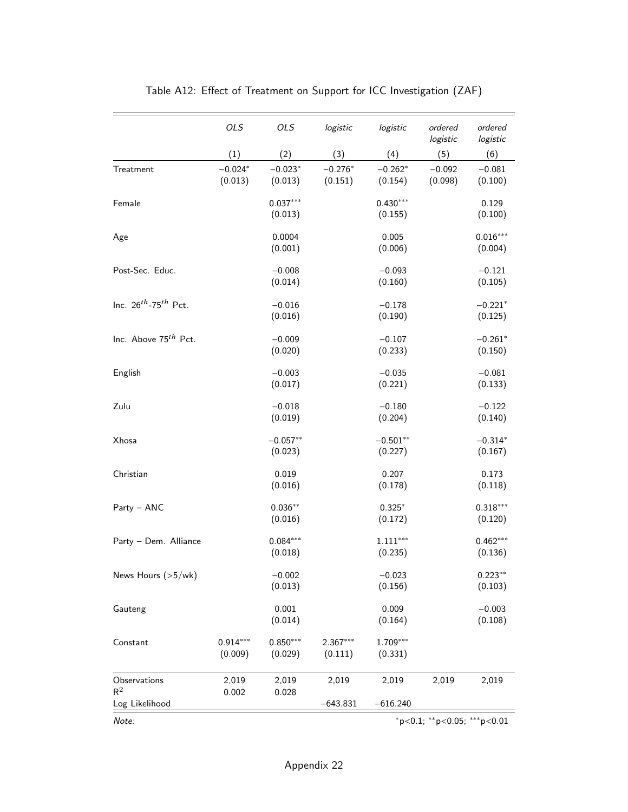|                                  | OLS                   | OLS                   | logistic              | logistic              | ordered<br>logistic            | ordered<br>logistic   |
|----------------------------------|-----------------------|-----------------------|-----------------------|-----------------------|--------------------------------|-----------------------|
|                                  | (1)                   | (2)                   | (3)                   | (4)                   | (5)                            | (6)                   |
| Treatment                        | $-0.024*$<br>(0.013)  | $-0.023*$<br>(0.013)  | $-0.276*$<br>(0.151)  | $-0.262*$<br>(0.154)  | $-0.092$<br>(0.098)            | $-0.081$<br>(0.100)   |
| Female                           |                       | $0.037***$<br>(0.013) |                       | $0.430***$<br>(0.155) |                                | 0.129<br>(0.100)      |
| Age                              |                       | 0.0004<br>(0.001)     |                       | 0.005<br>(0.006)      |                                | $0.016***$<br>(0.004) |
| Post-Sec. Educ.                  |                       | $-0.008$<br>(0.014)   |                       | $-0.093$<br>(0.160)   |                                | $-0.121$<br>(0.105)   |
| Inc. $26^{th}$ -75 $^{th}$ Pct.  |                       | $-0.016$<br>(0.016)   |                       | $-0.178$<br>(0.190)   |                                | $-0.221*$<br>(0.125)  |
| Inc. Above 75 <sup>th</sup> Pct. |                       | $-0.009$<br>(0.020)   |                       | $-0.107$<br>(0.233)   |                                | $-0.261*$<br>(0.150)  |
| English                          |                       | $-0.003$<br>(0.017)   |                       | $-0.035$<br>(0.221)   |                                | $-0.081$<br>(0.133)   |
| Zulu                             |                       | $-0.018$<br>(0.019)   |                       | $-0.180$<br>(0.204)   |                                | $-0.122$<br>(0.140)   |
| Xhosa                            |                       | $-0.057**$<br>(0.023) |                       | $-0.501**$<br>(0.227) |                                | $-0.314*$<br>(0.167)  |
| Christian                        |                       | 0.019<br>(0.016)      |                       | 0.207<br>(0.178)      |                                | 0.173<br>(0.118)      |
| Party - ANC                      |                       | $0.036**$<br>(0.016)  |                       | $0.325*$<br>(0.172)   |                                | $0.318***$<br>(0.120) |
| Party - Dem. Alliance            |                       | $0.084***$<br>(0.018) |                       | $1.111***$<br>(0.235) |                                | $0.462***$<br>(0.136) |
| News Hours $(>5/wk)$             |                       | $-0.002$<br>(0.013)   |                       | $-0.023$<br>(0.156)   |                                | $0.223**$<br>(0.103)  |
| Gauteng                          |                       | 0.001<br>(0.014)      |                       | 0.009<br>(0.164)      |                                | $-0.003$<br>(0.108)   |
| Constant                         | $0.914***$<br>(0.009) | $0.850***$<br>(0.029) | $2.367***$<br>(0.111) | 1.709***<br>(0.331)   |                                |                       |
| Observations<br>$R^2$            | 2,019<br>0.002        | 2,019<br>0.028        | 2,019                 | 2,019                 | 2,019                          | 2,019                 |
| Log Likelihood                   |                       |                       | $-643.831$            | $-616.240$            |                                |                       |
| Note:                            |                       |                       |                       |                       | $*p<0.1$ ; **p<0.05; ***p<0.01 |                       |

# Table A12: Effect of Treatment on Support for ICC Investigation (ZAF)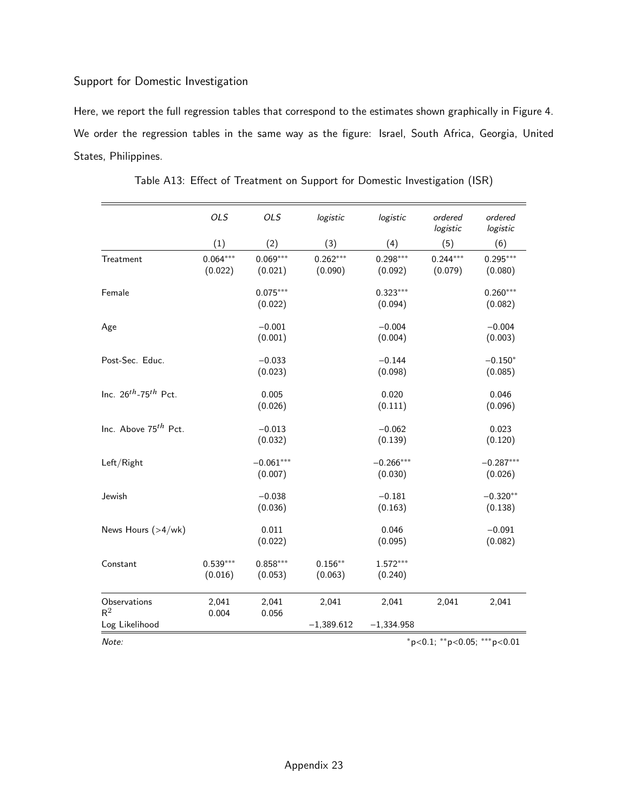## Support for Domestic Investigation

Here, we report the full regression tables that correspond to the estimates shown graphically in [Figure 4.](#page-24-0) We order the regression tables in the same way as the figure: Israel, South Africa, Georgia, United States, Philippines.

|                                  | OLS                   | <b>OLS</b>             | logistic              | logistic               | ordered<br>logistic   | ordered<br>logistic    |
|----------------------------------|-----------------------|------------------------|-----------------------|------------------------|-----------------------|------------------------|
|                                  | (1)                   | (2)                    | (3)                   | (4)                    | (5)                   | (6)                    |
| Treatment                        | $0.064***$<br>(0.022) | $0.069***$<br>(0.021)  | $0.262***$<br>(0.090) | $0.298***$<br>(0.092)  | $0.244***$<br>(0.079) | $0.295***$<br>(0.080)  |
| Female                           |                       | $0.075***$<br>(0.022)  |                       | $0.323***$<br>(0.094)  |                       | $0.260***$<br>(0.082)  |
| Age                              |                       | $-0.001$<br>(0.001)    |                       | $-0.004$<br>(0.004)    |                       | $-0.004$<br>(0.003)    |
| Post-Sec. Educ.                  |                       | $-0.033$<br>(0.023)    |                       | $-0.144$<br>(0.098)    |                       | $-0.150*$<br>(0.085)   |
| Inc. $26^{th}$ -75 $^{th}$ Pct.  |                       | 0.005<br>(0.026)       |                       | 0.020<br>(0.111)       |                       | 0.046<br>(0.096)       |
| Inc. Above 75 <sup>th</sup> Pct. |                       | $-0.013$<br>(0.032)    |                       | $-0.062$<br>(0.139)    |                       | 0.023<br>(0.120)       |
| Left/Right                       |                       | $-0.061***$<br>(0.007) |                       | $-0.266***$<br>(0.030) |                       | $-0.287***$<br>(0.026) |
| Jewish                           |                       | $-0.038$<br>(0.036)    |                       | $-0.181$<br>(0.163)    |                       | $-0.320**$<br>(0.138)  |
| News Hours $(>4/wk)$             |                       | 0.011<br>(0.022)       |                       | 0.046<br>(0.095)       |                       | $-0.091$<br>(0.082)    |
| Constant                         | $0.539***$<br>(0.016) | $0.858***$<br>(0.053)  | $0.156**$<br>(0.063)  | $1.572***$<br>(0.240)  |                       |                        |
| Observations<br>$R^2$            | 2,041<br>0.004        | 2,041<br>0.056         | 2,041                 | 2,041                  | 2,041                 | 2,041                  |
| Log Likelihood                   |                       |                        | $-1,389.612$          | $-1,334.958$           |                       |                        |

Table A13: Effect of Treatment on Support for Domestic Investigation (ISR)

Note: <sup>∗</sup>p<0.1; ∗∗p<0.05; ∗∗∗p<0.01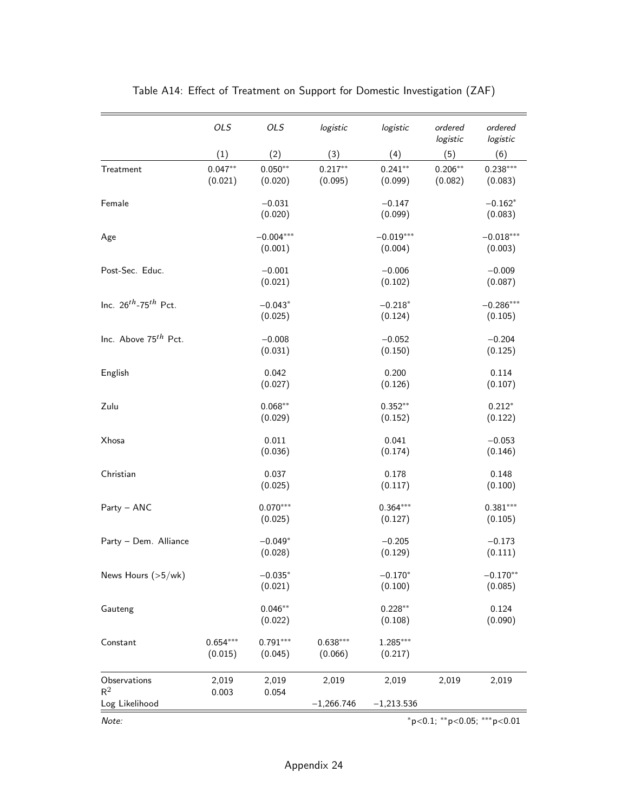|                                       | <b>OLS</b>            | OLS                    | logistic              | logistic               | ordered<br>logistic   | ordered<br>logistic            |
|---------------------------------------|-----------------------|------------------------|-----------------------|------------------------|-----------------------|--------------------------------|
|                                       | (1)                   | (2)                    | (3)                   | (4)                    | (5)                   | (6)                            |
| Treatment                             | $0.047**$<br>(0.021)  | $0.050**$<br>(0.020)   | $0.217**$<br>(0.095)  | $0.241**$<br>(0.099)   | $0.206***$<br>(0.082) | $0.238***$<br>(0.083)          |
| Female                                |                       | $-0.031$<br>(0.020)    |                       | $-0.147$<br>(0.099)    |                       | $-0.162*$<br>(0.083)           |
| Age                                   |                       | $-0.004***$<br>(0.001) |                       | $-0.019***$<br>(0.004) |                       | $-0.018***$<br>(0.003)         |
| Post-Sec. Educ.                       |                       | $-0.001$<br>(0.021)    |                       | $-0.006$<br>(0.102)    |                       | $-0.009$<br>(0.087)            |
| Inc. $26^{th}$ -75 <sup>th</sup> Pct. |                       | $-0.043*$<br>(0.025)   |                       | $-0.218*$<br>(0.124)   |                       | $-0.286***$<br>(0.105)         |
| Inc. Above 75th Pct.                  |                       | $-0.008$<br>(0.031)    |                       | $-0.052$<br>(0.150)    |                       | $-0.204$<br>(0.125)            |
| English                               |                       | 0.042<br>(0.027)       |                       | 0.200<br>(0.126)       |                       | 0.114<br>(0.107)               |
| Zulu                                  |                       | $0.068***$<br>(0.029)  |                       | $0.352**$<br>(0.152)   |                       | $0.212*$<br>(0.122)            |
| Xhosa                                 |                       | 0.011<br>(0.036)       |                       | 0.041<br>(0.174)       |                       | $-0.053$<br>(0.146)            |
| Christian                             |                       | 0.037<br>(0.025)       |                       | 0.178<br>(0.117)       |                       | 0.148<br>(0.100)               |
| Party - ANC                           |                       | $0.070***$<br>(0.025)  |                       | $0.364***$<br>(0.127)  |                       | $0.381***$<br>(0.105)          |
| Party - Dem. Alliance                 |                       | $-0.049*$<br>(0.028)   |                       | $-0.205$<br>(0.129)    |                       | $-0.173$<br>(0.111)            |
| News Hours $(>5/wk)$                  |                       | $-0.035*$<br>(0.021)   |                       | $-0.170*$<br>(0.100)   |                       | $-0.170**$<br>(0.085)          |
| Gauteng                               |                       | $0.046**$<br>(0.022)   |                       | $0.228**$<br>(0.108)   |                       | 0.124<br>(0.090)               |
| Constant                              | $0.654***$<br>(0.015) | $0.791***$<br>(0.045)  | $0.638***$<br>(0.066) | $1.285***$<br>(0.217)  |                       |                                |
| Observations<br>$R^2$                 | 2,019<br>0.003        | 2,019<br>0.054         | 2,019                 | 2,019                  | 2,019                 | 2,019                          |
| Log Likelihood                        |                       |                        | $-1,266.746$          | $-1,213.536$           |                       |                                |
| Note:                                 |                       |                        |                       |                        |                       | $*p<0.1$ ; **p<0.05; ***p<0.01 |

# Table A14: Effect of Treatment on Support for Domestic Investigation (ZAF)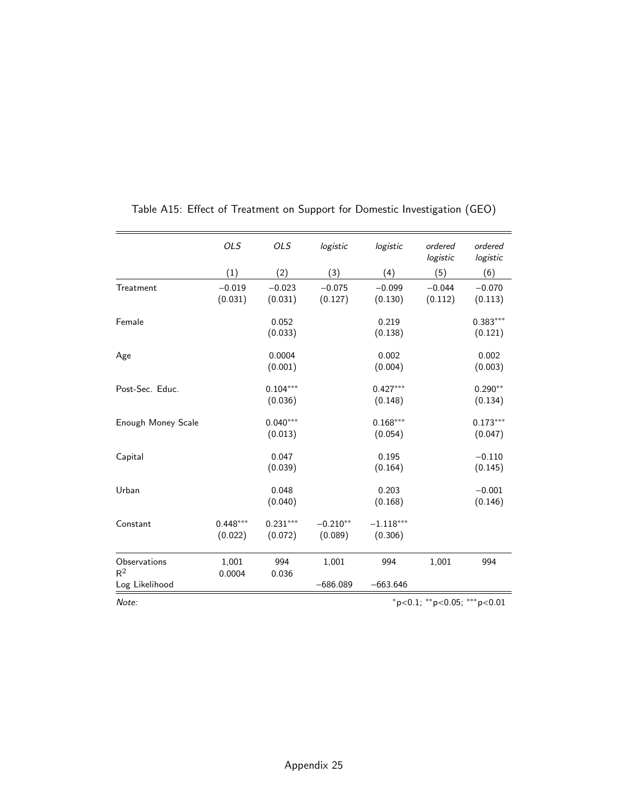|                                         | <b>OLS</b>            | <b>OLS</b>            | logistic              | logistic               | ordered<br>logistic                     | ordered<br>logistic   |
|-----------------------------------------|-----------------------|-----------------------|-----------------------|------------------------|-----------------------------------------|-----------------------|
|                                         | (1)                   | (2)                   | (3)                   | (4)                    | (5)                                     | (6)                   |
| Treatment                               | $-0.019$<br>(0.031)   | $-0.023$<br>(0.031)   | $-0.075$<br>(0.127)   | $-0.099$<br>(0.130)    | $-0.044$<br>(0.112)                     | $-0.070$<br>(0.113)   |
| Female                                  |                       | 0.052<br>(0.033)      |                       | 0.219<br>(0.138)       |                                         | $0.383***$<br>(0.121) |
| Age                                     |                       | 0.0004<br>(0.001)     |                       | 0.002<br>(0.004)       |                                         | 0.002<br>(0.003)      |
| Post-Sec. Educ.                         |                       | $0.104***$<br>(0.036) |                       | $0.427***$<br>(0.148)  |                                         | $0.290**$<br>(0.134)  |
| Enough Money Scale                      |                       | $0.040***$<br>(0.013) |                       | $0.168***$<br>(0.054)  |                                         | $0.173***$<br>(0.047) |
| Capital                                 |                       | 0.047<br>(0.039)      |                       | 0.195<br>(0.164)       |                                         | $-0.110$<br>(0.145)   |
| Urban                                   |                       | 0.048<br>(0.040)      |                       | 0.203<br>(0.168)       |                                         | $-0.001$<br>(0.146)   |
| Constant                                | $0.448***$<br>(0.022) | $0.231***$<br>(0.072) | $-0.210**$<br>(0.089) | $-1.118***$<br>(0.306) |                                         |                       |
| Observations<br>$R^2$<br>Log Likelihood | 1,001<br>0.0004       | 994<br>0.036          | 1,001<br>$-686.089$   | 994<br>$-663.646$      | 1,001                                   | 994                   |
| Note:                                   |                       |                       |                       |                        | $*_{p<0.1;}$ $*_{p<0.05;}$ $*_{p<0.01}$ |                       |

# Table A15: Effect of Treatment on Support for Domestic Investigation (GEO)

Appendix 25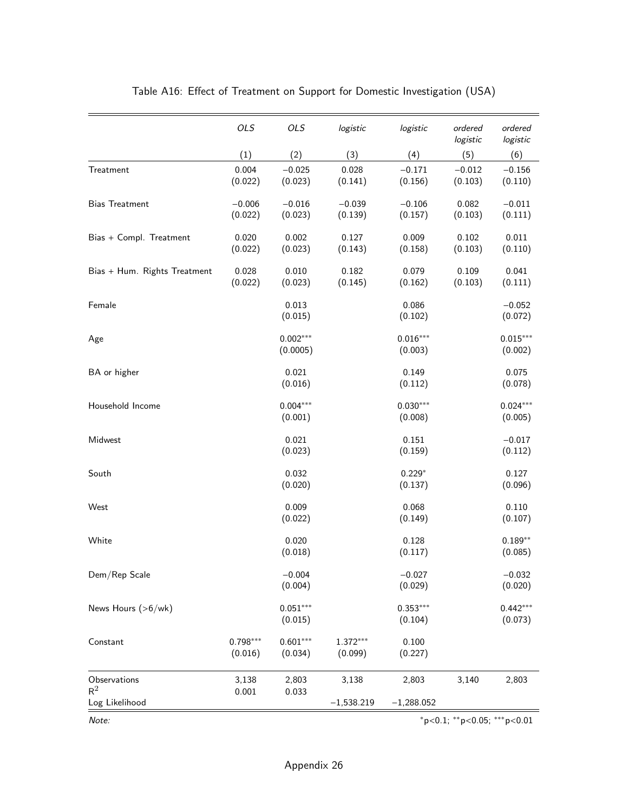|                              | OLS                   | OLS                    | logistic              | logistic              | ordered<br>logistic               | ordered<br>logistic   |
|------------------------------|-----------------------|------------------------|-----------------------|-----------------------|-----------------------------------|-----------------------|
|                              | (1)                   | (2)                    | (3)                   | (4)                   | (5)                               | (6)                   |
| Treatment                    | 0.004<br>(0.022)      | $-0.025$<br>(0.023)    | 0.028<br>(0.141)      | $-0.171$<br>(0.156)   | $-0.012$<br>(0.103)               | $-0.156$<br>(0.110)   |
| <b>Bias Treatment</b>        | $-0.006$<br>(0.022)   | $-0.016$<br>(0.023)    | $-0.039$<br>(0.139)   | $-0.106$<br>(0.157)   | 0.082<br>(0.103)                  | $-0.011$<br>(0.111)   |
| Bias + Compl. Treatment      | 0.020<br>(0.022)      | 0.002<br>(0.023)       | 0.127<br>(0.143)      | 0.009<br>(0.158)      | 0.102<br>(0.103)                  | 0.011<br>(0.110)      |
| Bias + Hum. Rights Treatment | 0.028<br>(0.022)      | 0.010<br>(0.023)       | 0.182<br>(0.145)      | 0.079<br>(0.162)      | 0.109<br>(0.103)                  | 0.041<br>(0.111)      |
| Female                       |                       | 0.013<br>(0.015)       |                       | 0.086<br>(0.102)      |                                   | $-0.052$<br>(0.072)   |
| Age                          |                       | $0.002***$<br>(0.0005) |                       | $0.016***$<br>(0.003) |                                   | $0.015***$<br>(0.002) |
| BA or higher                 |                       | 0.021<br>(0.016)       |                       | 0.149<br>(0.112)      |                                   | 0.075<br>(0.078)      |
| Household Income             |                       | $0.004***$<br>(0.001)  |                       | $0.030***$<br>(0.008) |                                   | $0.024***$<br>(0.005) |
| Midwest                      |                       | 0.021<br>(0.023)       |                       | 0.151<br>(0.159)      |                                   | $-0.017$<br>(0.112)   |
| South                        |                       | 0.032<br>(0.020)       |                       | $0.229*$<br>(0.137)   |                                   | 0.127<br>(0.096)      |
| West                         |                       | 0.009<br>(0.022)       |                       | 0.068<br>(0.149)      |                                   | 0.110<br>(0.107)      |
| White                        |                       | 0.020<br>(0.018)       |                       | 0.128<br>(0.117)      |                                   | $0.189**$<br>(0.085)  |
| Dem/Rep Scale                |                       | $-0.004$<br>(0.004)    |                       | $-0.027$<br>(0.029)   |                                   | $-0.032$<br>(0.020)   |
| News Hours $(>6$ /wk)        |                       | $0.051***$<br>(0.015)  |                       | $0.353***$<br>(0.104) |                                   | $0.442***$<br>(0.073) |
| Constant                     | $0.798***$<br>(0.016) | $0.601***$<br>(0.034)  | $1.372***$<br>(0.099) | 0.100<br>(0.227)      |                                   |                       |
| Observations<br>$R^2$        | 3,138<br>0.001        | 2,803<br>0.033         | 3,138                 | 2,803                 | 3,140                             | 2,803                 |
| Log Likelihood               |                       |                        | $-1,538.219$          | $-1,288.052$          |                                   |                       |
| Note:                        |                       |                        |                       |                       | $*p<0.1$ ; $*p<0.05$ ; $**p<0.01$ |                       |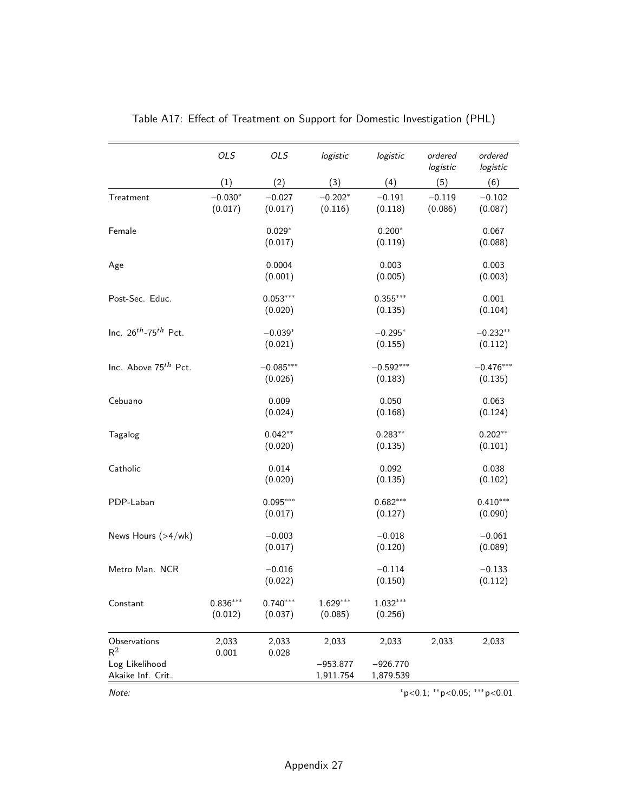|                                         | OLS                   | OLS                    | logistic                | logistic                | ordered<br>logistic | ordered<br>logistic    |
|-----------------------------------------|-----------------------|------------------------|-------------------------|-------------------------|---------------------|------------------------|
|                                         | (1)                   | (2)                    | (3)                     | (4)                     | (5)                 | (6)                    |
| Treatment                               | $-0.030*$<br>(0.017)  | $-0.027$<br>(0.017)    | $-0.202*$<br>(0.116)    | $-0.191$<br>(0.118)     | $-0.119$<br>(0.086) | $-0.102$<br>(0.087)    |
| Female                                  |                       | $0.029*$<br>(0.017)    |                         | $0.200*$<br>(0.119)     |                     | 0.067<br>(0.088)       |
| Age                                     |                       | 0.0004<br>(0.001)      |                         | 0.003<br>(0.005)        |                     | 0.003<br>(0.003)       |
| Post-Sec. Educ.                         |                       | $0.053***$<br>(0.020)  |                         | $0.355***$<br>(0.135)   |                     | 0.001<br>(0.104)       |
| Inc. $26^{th}$ -75 <sup>th</sup> Pct.   |                       | $-0.039*$<br>(0.021)   |                         | $-0.295*$<br>(0.155)    |                     | $-0.232**$<br>(0.112)  |
| Inc. Above 75 <sup>th</sup> Pct.        |                       | $-0.085***$<br>(0.026) |                         | $-0.592***$<br>(0.183)  |                     | $-0.476***$<br>(0.135) |
| Cebuano                                 |                       | 0.009<br>(0.024)       |                         | 0.050<br>(0.168)        |                     | 0.063<br>(0.124)       |
| Tagalog                                 |                       | $0.042**$<br>(0.020)   |                         | $0.283**$<br>(0.135)    |                     | $0.202**$<br>(0.101)   |
| Catholic                                |                       | 0.014<br>(0.020)       |                         | 0.092<br>(0.135)        |                     | 0.038<br>(0.102)       |
| PDP-Laban                               |                       | $0.095***$<br>(0.017)  |                         | $0.682***$<br>(0.127)   |                     | $0.410***$<br>(0.090)  |
| News Hours (>4/wk)                      |                       | $-0.003$<br>(0.017)    |                         | $-0.018$<br>(0.120)     |                     | $-0.061$<br>(0.089)    |
| Metro Man. NCR                          |                       | $-0.016$<br>(0.022)    |                         | $-0.114$<br>(0.150)     |                     | $-0.133$<br>(0.112)    |
| Constant                                | $0.836***$<br>(0.012) | $0.740***$<br>(0.037)  | $1.629***$<br>(0.085)   | $1.032***$<br>(0.256)   |                     |                        |
| Observations<br>$R^2$<br>Log Likelihood | 2,033<br>0.001        | 2,033<br>0.028         | 2,033                   | 2,033                   | 2,033               | 2,033                  |
| Akaike Inf. Crit.                       |                       |                        | $-953.877$<br>1,911.754 | $-926.770$<br>1,879.539 |                     |                        |

# Table A17: Effect of Treatment on Support for Domestic Investigation (PHL)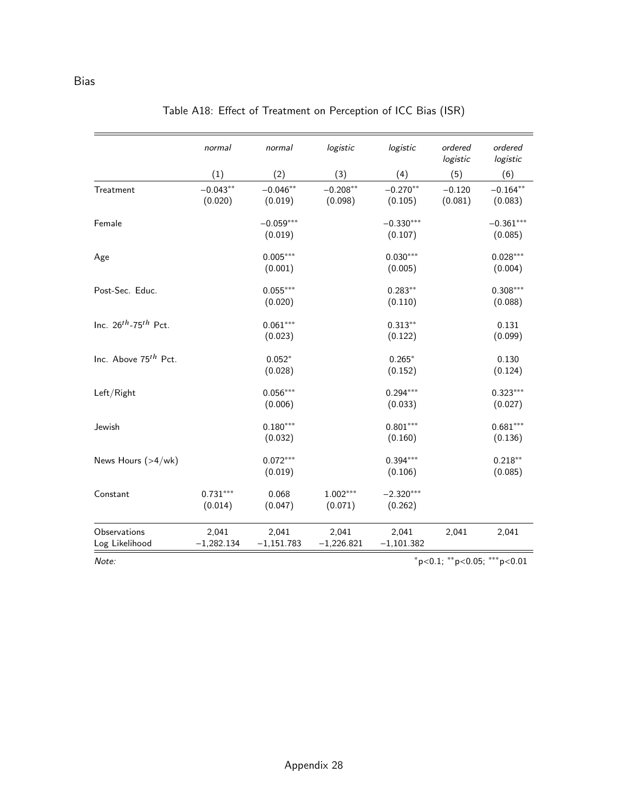|                                  | normal                | normal                 | logistic              | logistic               | ordered<br>logistic | ordered<br>logistic    |
|----------------------------------|-----------------------|------------------------|-----------------------|------------------------|---------------------|------------------------|
|                                  | (1)                   | (2)                    | (3)                   | (4)                    | (5)                 | (6)                    |
| Treatment                        | $-0.043**$<br>(0.020) | $-0.046**$<br>(0.019)  | $-0.208**$<br>(0.098) | $-0.270**$<br>(0.105)  | $-0.120$<br>(0.081) | $-0.164**$<br>(0.083)  |
| Female                           |                       | $-0.059***$<br>(0.019) |                       | $-0.330***$<br>(0.107) |                     | $-0.361***$<br>(0.085) |
| Age                              |                       | $0.005***$<br>(0.001)  |                       | $0.030***$<br>(0.005)  |                     | $0.028***$<br>(0.004)  |
| Post-Sec. Educ.                  |                       | $0.055***$<br>(0.020)  |                       | $0.283**$<br>(0.110)   |                     | $0.308***$<br>(0.088)  |
| Inc. $26^{th}$ -75 $^{th}$ Pct.  |                       | $0.061***$<br>(0.023)  |                       | $0.313**$<br>(0.122)   |                     | 0.131<br>(0.099)       |
| Inc. Above 75 <sup>th</sup> Pct. |                       | $0.052*$<br>(0.028)    |                       | $0.265*$<br>(0.152)    |                     | 0.130<br>(0.124)       |
| Left/Right                       |                       | $0.056***$<br>(0.006)  |                       | $0.294***$<br>(0.033)  |                     | $0.323***$<br>(0.027)  |
| Jewish                           |                       | $0.180***$<br>(0.032)  |                       | $0.801***$<br>(0.160)  |                     | $0.681***$<br>(0.136)  |
| News Hours (>4/wk)               |                       | $0.072***$<br>(0.019)  |                       | $0.394***$<br>(0.106)  |                     | $0.218**$<br>(0.085)   |
| Constant                         | $0.731***$<br>(0.014) | 0.068<br>(0.047)       | $1.002***$<br>(0.071) | $-2.320***$<br>(0.262) |                     |                        |
| Observations<br>Log Likelihood   | 2,041<br>$-1,282.134$ | 2,041<br>$-1,151.783$  | 2,041<br>$-1,226.821$ | 2,041<br>$-1,101.382$  | 2,041               | 2,041                  |

# Table A18: Effect of Treatment on Perception of ICC Bias (ISR)

Note: \*\*p<0.05; \*\*\*p<0.01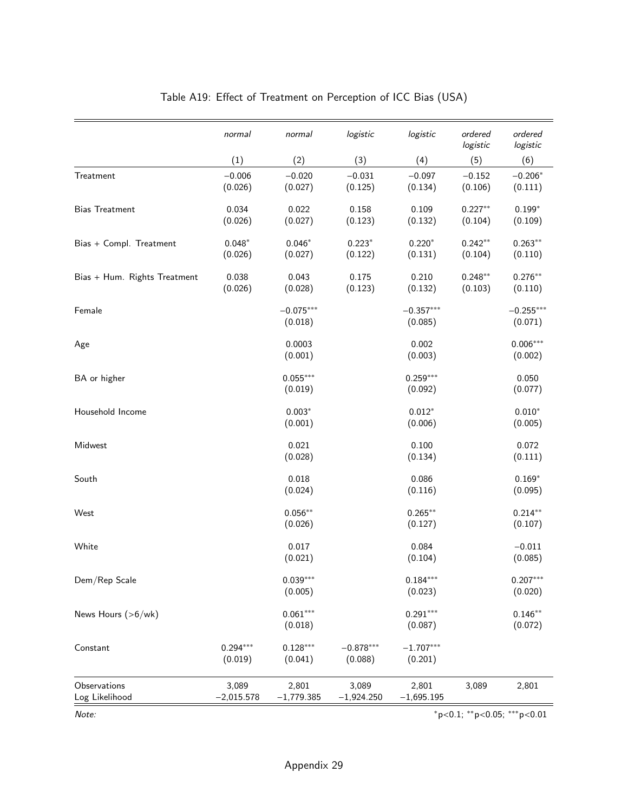|                                | normal                | normal                 | logistic               | logistic               | ordered<br>logistic  | ordered<br>logistic    |
|--------------------------------|-----------------------|------------------------|------------------------|------------------------|----------------------|------------------------|
|                                | (1)                   | (2)                    | (3)                    | (4)                    | (5)                  | (6)                    |
| Treatment                      | $-0.006$<br>(0.026)   | $-0.020$<br>(0.027)    | $-0.031$<br>(0.125)    | $-0.097$<br>(0.134)    | $-0.152$<br>(0.106)  | $-0.206*$<br>(0.111)   |
| <b>Bias Treatment</b>          | 0.034<br>(0.026)      | 0.022<br>(0.027)       | 0.158<br>(0.123)       | 0.109<br>(0.132)       | $0.227**$<br>(0.104) | $0.199*$<br>(0.109)    |
| Bias + Compl. Treatment        | $0.048*$<br>(0.026)   | $0.046*$<br>(0.027)    | $0.223*$<br>(0.122)    | $0.220*$<br>(0.131)    | $0.242**$<br>(0.104) | $0.263**$<br>(0.110)   |
| Bias + Hum. Rights Treatment   | 0.038<br>(0.026)      | 0.043<br>(0.028)       | 0.175<br>(0.123)       | 0.210<br>(0.132)       | $0.248**$<br>(0.103) | $0.276**$<br>(0.110)   |
| Female                         |                       | $-0.075***$<br>(0.018) |                        | $-0.357***$<br>(0.085) |                      | $-0.255***$<br>(0.071) |
| Age                            |                       | 0.0003<br>(0.001)      |                        | 0.002<br>(0.003)       |                      | $0.006***$<br>(0.002)  |
| BA or higher                   |                       | $0.055***$<br>(0.019)  |                        | $0.259***$<br>(0.092)  |                      | 0.050<br>(0.077)       |
| Household Income               |                       | $0.003*$<br>(0.001)    |                        | $0.012*$<br>(0.006)    |                      | $0.010*$<br>(0.005)    |
| Midwest                        |                       | 0.021<br>(0.028)       |                        | 0.100<br>(0.134)       |                      | 0.072<br>(0.111)       |
| South                          |                       | 0.018<br>(0.024)       |                        | 0.086<br>(0.116)       |                      | $0.169*$<br>(0.095)    |
| West                           |                       | $0.056***$<br>(0.026)  |                        | $0.265***$<br>(0.127)  |                      | $0.214***$<br>(0.107)  |
| White                          |                       | 0.017<br>(0.021)       |                        | 0.084<br>(0.104)       |                      | $-0.011$<br>(0.085)    |
| Dem/Rep Scale                  |                       | $0.039***$<br>(0.005)  |                        | $0.184***$<br>(0.023)  |                      | $0.207***$<br>(0.020)  |
| News Hours (>6/wk)             |                       | $0.061***$<br>(0.018)  |                        | $0.291***$<br>(0.087)  |                      | $0.146***$<br>(0.072)  |
| Constant                       | $0.294***$<br>(0.019) | $0.128***$<br>(0.041)  | $-0.878***$<br>(0.088) | $-1.707***$<br>(0.201) |                      |                        |
| Observations<br>Log Likelihood | 3,089<br>$-2,015.578$ | 2,801<br>$-1,779.385$  | 3,089<br>$-1,924.250$  | 2,801<br>$-1,695.195$  | 3,089                | 2,801                  |

# Table A19: Effect of Treatment on Perception of ICC Bias (USA)

Note: \*\*\*p<0.05; \*\*\*p<0.01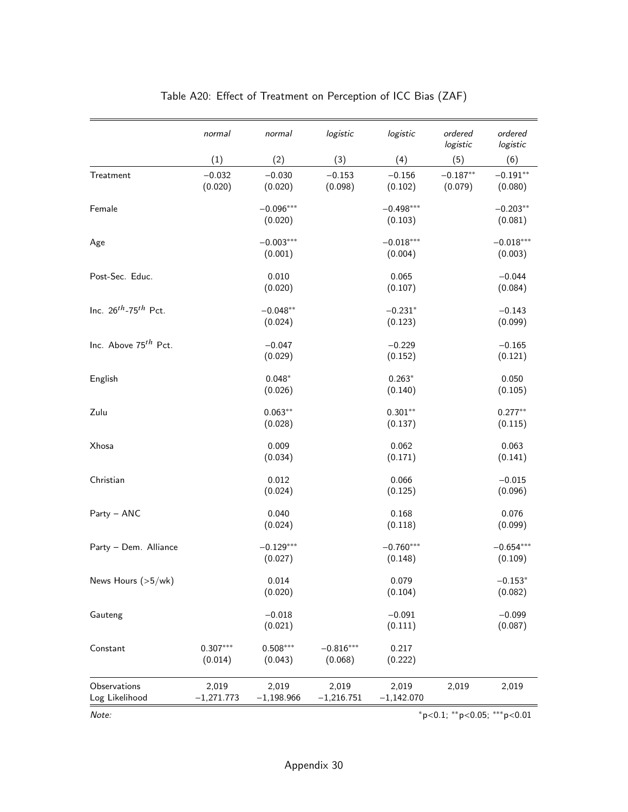|                                  | normal                | normal                 | logistic               | logistic               | ordered<br>logistic         | ordered<br>logistic    |
|----------------------------------|-----------------------|------------------------|------------------------|------------------------|-----------------------------|------------------------|
|                                  | (1)                   | (2)                    | (3)                    | (4)                    | (5)                         | (6)                    |
| Treatment                        | $-0.032$<br>(0.020)   | $-0.030$<br>(0.020)    | $-0.153$<br>(0.098)    | $-0.156$<br>(0.102)    | $-0.187**$<br>(0.079)       | $-0.191**$<br>(0.080)  |
| Female                           |                       | $-0.096***$<br>(0.020) |                        | $-0.498***$<br>(0.103) |                             | $-0.203**$<br>(0.081)  |
| Age                              |                       | $-0.003***$<br>(0.001) |                        | $-0.018***$<br>(0.004) |                             | $-0.018***$<br>(0.003) |
| Post-Sec. Educ.                  |                       | 0.010<br>(0.020)       |                        | 0.065<br>(0.107)       |                             | $-0.044$<br>(0.084)    |
| Inc. $26^{th}$ -75 $^{th}$ Pct.  |                       | $-0.048**$<br>(0.024)  |                        | $-0.231*$<br>(0.123)   |                             | $-0.143$<br>(0.099)    |
| Inc. Above 75 <sup>th</sup> Pct. |                       | $-0.047$<br>(0.029)    |                        | $-0.229$<br>(0.152)    |                             | $-0.165$<br>(0.121)    |
| English                          |                       | $0.048*$<br>(0.026)    |                        | $0.263*$<br>(0.140)    |                             | 0.050<br>(0.105)       |
| Zulu                             |                       | $0.063**$<br>(0.028)   |                        | $0.301**$<br>(0.137)   |                             | $0.277**$<br>(0.115)   |
| Xhosa                            |                       | 0.009<br>(0.034)       |                        | 0.062<br>(0.171)       |                             | 0.063<br>(0.141)       |
| Christian                        |                       | 0.012<br>(0.024)       |                        | 0.066<br>(0.125)       |                             | $-0.015$<br>(0.096)    |
| Party - ANC                      |                       | 0.040<br>(0.024)       |                        | 0.168<br>(0.118)       |                             | 0.076<br>(0.099)       |
| Party - Dem. Alliance            |                       | $-0.129***$<br>(0.027) |                        | $-0.760***$<br>(0.148) |                             | $-0.654***$<br>(0.109) |
| News Hours (>5/wk)               |                       | 0.014<br>(0.020)       |                        | 0.079<br>(0.104)       |                             | $-0.153*$<br>(0.082)   |
| Gauteng                          |                       | $-0.018$<br>(0.021)    |                        | $-0.091$<br>(0.111)    |                             | $-0.099$<br>(0.087)    |
| Constant                         | $0.307***$<br>(0.014) | $0.508***$<br>(0.043)  | $-0.816***$<br>(0.068) | 0.217<br>(0.222)       |                             |                        |
| Observations<br>Log Likelihood   | 2,019<br>$-1,271.773$ | 2,019<br>$-1,198.966$  | 2,019<br>$-1,216.751$  | 2,019<br>$-1,142.070$  | 2,019                       | 2,019                  |
| Note:                            |                       |                        |                        |                        | *p<0.1; **p<0.05; ***p<0.01 |                        |

# Table A20: Effect of Treatment on Perception of ICC Bias (ZAF)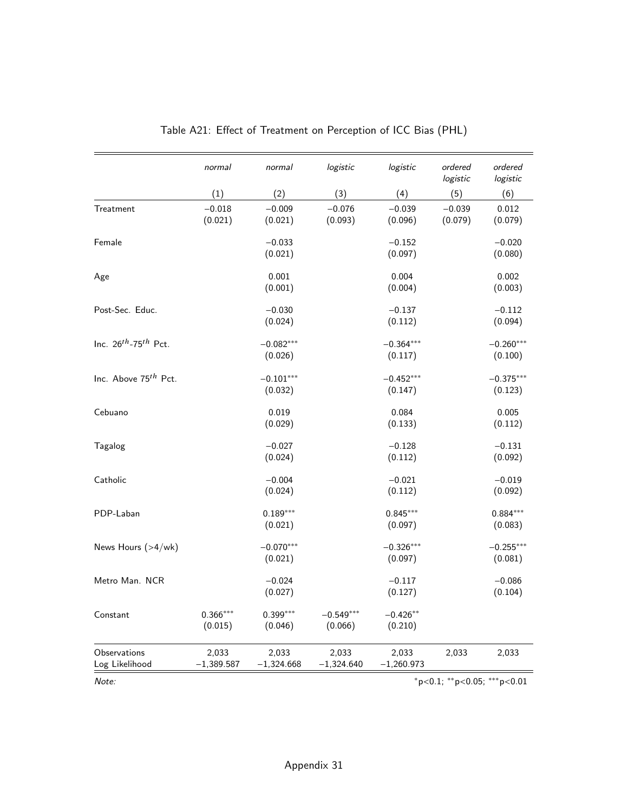|                                       | normal                | normal                 | logistic               | logistic               | ordered             | ordered                                    |
|---------------------------------------|-----------------------|------------------------|------------------------|------------------------|---------------------|--------------------------------------------|
|                                       |                       |                        |                        |                        | logistic            | logistic                                   |
|                                       | (1)                   | (2)                    | (3)                    | (4)                    | (5)                 | (6)                                        |
| Treatment                             | $-0.018$<br>(0.021)   | $-0.009$<br>(0.021)    | $-0.076$<br>(0.093)    | $-0.039$<br>(0.096)    | $-0.039$<br>(0.079) | 0.012<br>(0.079)                           |
| Female                                |                       | $-0.033$<br>(0.021)    |                        | $-0.152$<br>(0.097)    |                     | $-0.020$<br>(0.080)                        |
| Age                                   |                       | 0.001<br>(0.001)       |                        | 0.004<br>(0.004)       |                     | 0.002<br>(0.003)                           |
| Post-Sec. Educ.                       |                       | $-0.030$<br>(0.024)    |                        | $-0.137$<br>(0.112)    |                     | $-0.112$<br>(0.094)                        |
| Inc. $26^{th}$ -75 <sup>th</sup> Pct. |                       | $-0.082***$<br>(0.026) |                        | $-0.364***$<br>(0.117) |                     | $-0.260***$<br>(0.100)                     |
| Inc. Above 75 <sup>th</sup> Pct.      |                       | $-0.101***$<br>(0.032) |                        | $-0.452***$<br>(0.147) |                     | $-0.375***$<br>(0.123)                     |
| Cebuano                               |                       | 0.019<br>(0.029)       |                        | 0.084<br>(0.133)       |                     | 0.005<br>(0.112)                           |
| Tagalog                               |                       | $-0.027$<br>(0.024)    |                        | $-0.128$<br>(0.112)    |                     | $-0.131$<br>(0.092)                        |
| Catholic                              |                       | $-0.004$<br>(0.024)    |                        | $-0.021$<br>(0.112)    |                     | $-0.019$<br>(0.092)                        |
| PDP-Laban                             |                       | $0.189***$<br>(0.021)  |                        | $0.845***$<br>(0.097)  |                     | $0.884***$<br>(0.083)                      |
| News Hours (>4/wk)                    |                       | $-0.070***$<br>(0.021) |                        | $-0.326***$<br>(0.097) |                     | $-0.255***$<br>(0.081)                     |
| Metro Man. NCR                        |                       | $-0.024$<br>(0.027)    |                        | $-0.117$<br>(0.127)    |                     | $-0.086$<br>(0.104)                        |
| Constant                              | $0.366***$<br>(0.015) | $0.399***$<br>(0.046)  | $-0.549***$<br>(0.066) | $-0.426**$<br>(0.210)  |                     |                                            |
| Observations<br>Log Likelihood        | 2,033<br>$-1,389.587$ | 2,033<br>$-1,324.668$  | 2,033<br>$-1,324.640$  | 2,033<br>$-1,260.973$  | 2,033               | 2,033                                      |
| Note:                                 |                       |                        |                        |                        |                     | $*_{p<0.1;}$ $**_{p<0.05;}$ $***_{p<0.01}$ |

| Table A21: Effect of Treatment on Perception of ICC Bias (PHL) |  |  |  |  |  |  |
|----------------------------------------------------------------|--|--|--|--|--|--|
|----------------------------------------------------------------|--|--|--|--|--|--|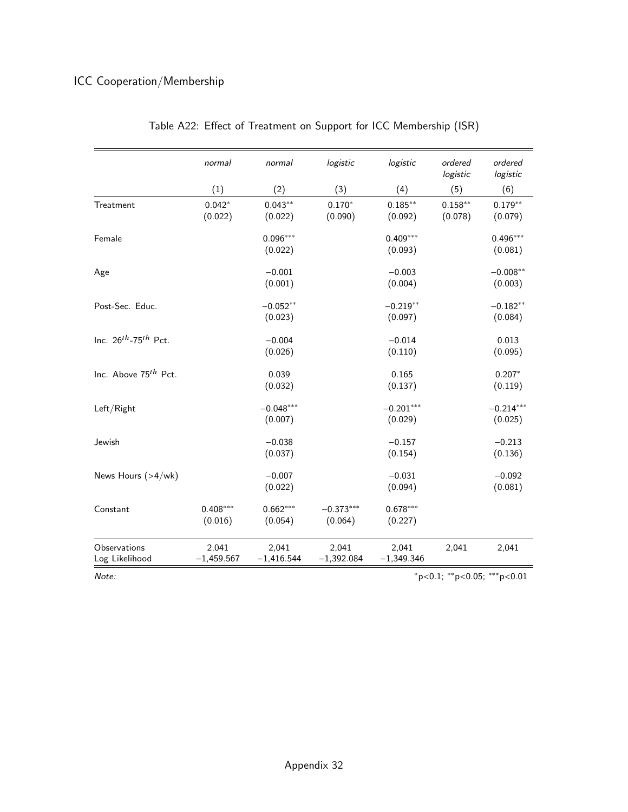# ICC Cooperation/Membership

|                                  | normal                | normal                 | logistic               | logistic               | ordered<br>logistic   | ordered<br>logistic            |
|----------------------------------|-----------------------|------------------------|------------------------|------------------------|-----------------------|--------------------------------|
|                                  | (1)                   | (2)                    | (3)                    | (4)                    | (5)                   | (6)                            |
| Treatment                        | $0.042*$<br>(0.022)   | $0.043**$<br>(0.022)   | $0.170*$<br>(0.090)    | $0.185***$<br>(0.092)  | $0.158***$<br>(0.078) | $0.179**$<br>(0.079)           |
| Female                           |                       | $0.096***$<br>(0.022)  |                        | $0.409***$<br>(0.093)  |                       | $0.496***$<br>(0.081)          |
| Age                              |                       | $-0.001$<br>(0.001)    |                        | $-0.003$<br>(0.004)    |                       | $-0.008**$<br>(0.003)          |
| Post-Sec. Educ.                  |                       | $-0.052**$<br>(0.023)  |                        | $-0.219**$<br>(0.097)  |                       | $-0.182**$<br>(0.084)          |
| Inc. $26^{th}$ -75 $^{th}$ Pct.  |                       | $-0.004$<br>(0.026)    |                        | $-0.014$<br>(0.110)    |                       | 0.013<br>(0.095)               |
| Inc. Above 75 <sup>th</sup> Pct. |                       | 0.039<br>(0.032)       |                        | 0.165<br>(0.137)       |                       | $0.207*$<br>(0.119)            |
| Left/Right                       |                       | $-0.048***$<br>(0.007) |                        | $-0.201***$<br>(0.029) |                       | $-0.214***$<br>(0.025)         |
| Jewish                           |                       | $-0.038$<br>(0.037)    |                        | $-0.157$<br>(0.154)    |                       | $-0.213$<br>(0.136)            |
| News Hours (>4/wk)               |                       | $-0.007$<br>(0.022)    |                        | $-0.031$<br>(0.094)    |                       | $-0.092$<br>(0.081)            |
| Constant                         | $0.408***$<br>(0.016) | $0.662***$<br>(0.054)  | $-0.373***$<br>(0.064) | $0.678***$<br>(0.227)  |                       |                                |
| Observations<br>Log Likelihood   | 2,041<br>$-1,459.567$ | 2,041<br>$-1,416.544$  | 2,041<br>$-1,392.084$  | 2,041<br>$-1,349.346$  | 2,041                 | 2,041                          |
| Note:                            |                       |                        |                        |                        |                       | $*p<0.1$ ; **p<0.05; ***p<0.01 |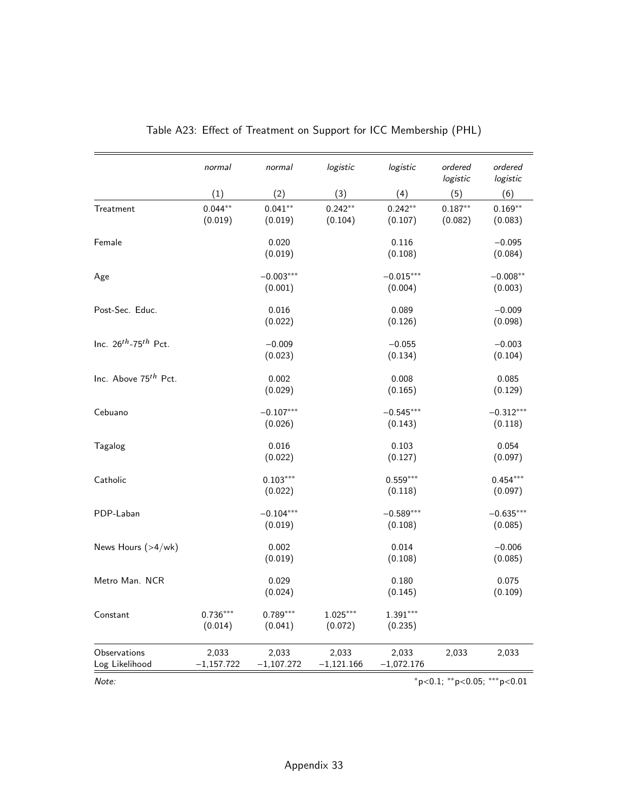|                                       | normal                | normal                 | logistic              | logistic               | ordered<br>logistic  | ordered<br>logistic                        |
|---------------------------------------|-----------------------|------------------------|-----------------------|------------------------|----------------------|--------------------------------------------|
|                                       | (1)                   | (2)                    | (3)                   | (4)                    | (5)                  | (6)                                        |
| Treatment                             | $0.044**$<br>(0.019)  | $0.041**$<br>(0.019)   | $0.242**$<br>(0.104)  | $0.242**$<br>(0.107)   | $0.187**$<br>(0.082) | $0.169**$<br>(0.083)                       |
| Female                                |                       | 0.020<br>(0.019)       |                       | 0.116<br>(0.108)       |                      | $-0.095$<br>(0.084)                        |
| Age                                   |                       | $-0.003***$<br>(0.001) |                       | $-0.015***$<br>(0.004) |                      | $-0.008**$<br>(0.003)                      |
| Post-Sec. Educ.                       |                       | 0.016<br>(0.022)       |                       | 0.089<br>(0.126)       |                      | $-0.009$<br>(0.098)                        |
| Inc. $26^{th}$ -75 <sup>th</sup> Pct. |                       | $-0.009$<br>(0.023)    |                       | $-0.055$<br>(0.134)    |                      | $-0.003$<br>(0.104)                        |
| Inc. Above 75 <sup>th</sup> Pct.      |                       | 0.002<br>(0.029)       |                       | 0.008<br>(0.165)       |                      | 0.085<br>(0.129)                           |
| Cebuano                               |                       | $-0.107***$<br>(0.026) |                       | $-0.545***$<br>(0.143) |                      | $-0.312***$<br>(0.118)                     |
| Tagalog                               |                       | 0.016<br>(0.022)       |                       | 0.103<br>(0.127)       |                      | 0.054<br>(0.097)                           |
| Catholic                              |                       | $0.103***$<br>(0.022)  |                       | $0.559***$<br>(0.118)  |                      | $0.454***$<br>(0.097)                      |
| PDP-Laban                             |                       | $-0.104***$<br>(0.019) |                       | $-0.589***$<br>(0.108) |                      | $-0.635***$<br>(0.085)                     |
| News Hours (>4/wk)                    |                       | 0.002<br>(0.019)       |                       | 0.014<br>(0.108)       |                      | $-0.006$<br>(0.085)                        |
| Metro Man. NCR                        |                       | 0.029<br>(0.024)       |                       | 0.180<br>(0.145)       |                      | 0.075<br>(0.109)                           |
| Constant                              | $0.736***$<br>(0.014) | $0.789***$<br>(0.041)  | $1.025***$<br>(0.072) | $1.391***$<br>(0.235)  |                      |                                            |
| Observations<br>Log Likelihood        | 2,033<br>$-1,157.722$ | 2,033<br>$-1,107.272$  | 2,033<br>$-1,121.166$ | 2,033<br>$-1,072.176$  | 2,033                | 2,033                                      |
| Note:                                 |                       |                        |                       |                        |                      | $*_{p<0.1;}$ $**_{p<0.05;}$ $***_{p<0.01}$ |

## Table A23: Effect of Treatment on Support for ICC Membership (PHL)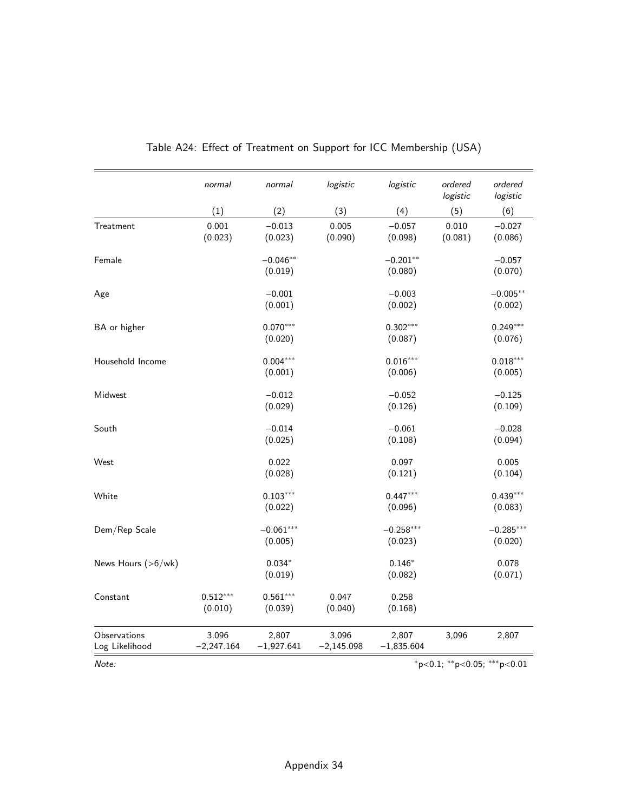|                                | normal                | normal                 | logistic              | logistic               | ordered<br>logistic | ordered<br>logistic            |
|--------------------------------|-----------------------|------------------------|-----------------------|------------------------|---------------------|--------------------------------|
|                                | (1)                   | (2)                    | (3)                   | (4)                    | (5)                 | (6)                            |
| Treatment                      | 0.001<br>(0.023)      | $-0.013$<br>(0.023)    | 0.005<br>(0.090)      | $-0.057$<br>(0.098)    | 0.010<br>(0.081)    | $-0.027$<br>(0.086)            |
| Female                         |                       | $-0.046**$<br>(0.019)  |                       | $-0.201**$<br>(0.080)  |                     | $-0.057$<br>(0.070)            |
| Age                            |                       | $-0.001$<br>(0.001)    |                       | $-0.003$<br>(0.002)    |                     | $-0.005**$<br>(0.002)          |
| BA or higher                   |                       | $0.070***$<br>(0.020)  |                       | $0.302***$<br>(0.087)  |                     | $0.249***$<br>(0.076)          |
| Household Income               |                       | $0.004***$<br>(0.001)  |                       | $0.016***$<br>(0.006)  |                     | $0.018***$<br>(0.005)          |
| Midwest                        |                       | $-0.012$<br>(0.029)    |                       | $-0.052$<br>(0.126)    |                     | $-0.125$<br>(0.109)            |
| South                          |                       | $-0.014$<br>(0.025)    |                       | $-0.061$<br>(0.108)    |                     | $-0.028$<br>(0.094)            |
| West                           |                       | 0.022<br>(0.028)       |                       | 0.097<br>(0.121)       |                     | 0.005<br>(0.104)               |
| White                          |                       | $0.103***$<br>(0.022)  |                       | $0.447***$<br>(0.096)  |                     | $0.439***$<br>(0.083)          |
| Dem/Rep Scale                  |                       | $-0.061***$<br>(0.005) |                       | $-0.258***$<br>(0.023) |                     | $-0.285***$<br>(0.020)         |
| News Hours (>6/wk)             |                       | $0.034*$<br>(0.019)    |                       | $0.146*$<br>(0.082)    |                     | 0.078<br>(0.071)               |
| Constant                       | $0.512***$<br>(0.010) | $0.561***$<br>(0.039)  | 0.047<br>(0.040)      | 0.258<br>(0.168)       |                     |                                |
| Observations<br>Log Likelihood | 3,096<br>$-2,247.164$ | 2,807<br>$-1,927.641$  | 3,096<br>$-2,145.098$ | 2,807<br>$-1,835.604$  | 3,096               | 2,807                          |
| Note:                          |                       |                        |                       |                        |                     | $*p<0.1$ ; **p<0.05; ***p<0.01 |

| Table A24: Effect of Treatment on Support for ICC Membership (USA) |  |  |  |  |  |  |  |  |  |
|--------------------------------------------------------------------|--|--|--|--|--|--|--|--|--|
|--------------------------------------------------------------------|--|--|--|--|--|--|--|--|--|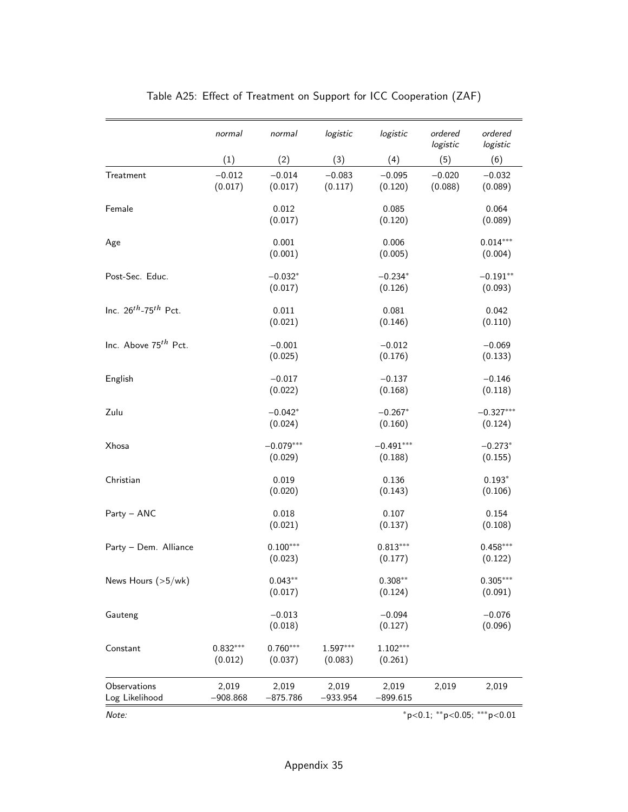|                                       | normal                | normal                 | logistic              | logistic               | ordered<br>logistic | ordered<br>logistic            |
|---------------------------------------|-----------------------|------------------------|-----------------------|------------------------|---------------------|--------------------------------|
|                                       | (1)                   | (2)                    | (3)                   | (4)                    | (5)                 | (6)                            |
| Treatment                             | $-0.012$<br>(0.017)   | $-0.014$<br>(0.017)    | $-0.083$<br>(0.117)   | $-0.095$<br>(0.120)    | $-0.020$<br>(0.088) | $-0.032$<br>(0.089)            |
| Female                                |                       | 0.012<br>(0.017)       |                       | 0.085<br>(0.120)       |                     | 0.064<br>(0.089)               |
| Age                                   |                       | 0.001<br>(0.001)       |                       | 0.006<br>(0.005)       |                     | $0.014***$<br>(0.004)          |
| Post-Sec. Educ.                       |                       | $-0.032*$<br>(0.017)   |                       | $-0.234*$<br>(0.126)   |                     | $-0.191**$<br>(0.093)          |
| Inc. $26^{th}$ -75 <sup>th</sup> Pct. |                       | 0.011<br>(0.021)       |                       | 0.081<br>(0.146)       |                     | 0.042<br>(0.110)               |
| Inc. Above 75 <sup>th</sup> Pct.      |                       | $-0.001$<br>(0.025)    |                       | $-0.012$<br>(0.176)    |                     | $-0.069$<br>(0.133)            |
| English                               |                       | $-0.017$<br>(0.022)    |                       | $-0.137$<br>(0.168)    |                     | $-0.146$<br>(0.118)            |
| Zulu                                  |                       | $-0.042*$<br>(0.024)   |                       | $-0.267*$<br>(0.160)   |                     | $-0.327***$<br>(0.124)         |
| Xhosa                                 |                       | $-0.079***$<br>(0.029) |                       | $-0.491***$<br>(0.188) |                     | $-0.273*$<br>(0.155)           |
| Christian                             |                       | 0.019<br>(0.020)       |                       | 0.136<br>(0.143)       |                     | $0.193*$<br>(0.106)            |
| Party - ANC                           |                       | 0.018<br>(0.021)       |                       | 0.107<br>(0.137)       |                     | 0.154<br>(0.108)               |
| Party - Dem. Alliance                 |                       | $0.100***$<br>(0.023)  |                       | $0.813***$<br>(0.177)  |                     | $0.458***$<br>(0.122)          |
| News Hours (>5/wk)                    |                       | $0.043**$<br>(0.017)   |                       | $0.308**$<br>(0.124)   |                     | $0.305***$<br>(0.091)          |
| Gauteng                               |                       | $-0.013$<br>(0.018)    |                       | $-0.094$<br>(0.127)    |                     | $-0.076$<br>(0.096)            |
| Constant                              | $0.832***$<br>(0.012) | $0.760***$<br>(0.037)  | $1.597***$<br>(0.083) | $1.102***$<br>(0.261)  |                     |                                |
| Observations<br>Log Likelihood        | 2,019<br>$-908.868$   | 2,019<br>$-875.786$    | 2,019<br>$-933.954$   | 2,019<br>$-899.615$    | 2,019               | 2,019                          |
| Note:                                 |                       |                        |                       |                        |                     | $*p<0.1$ ; **p<0.05; ***p<0.01 |

## Table A25: Effect of Treatment on Support for ICC Cooperation (ZAF)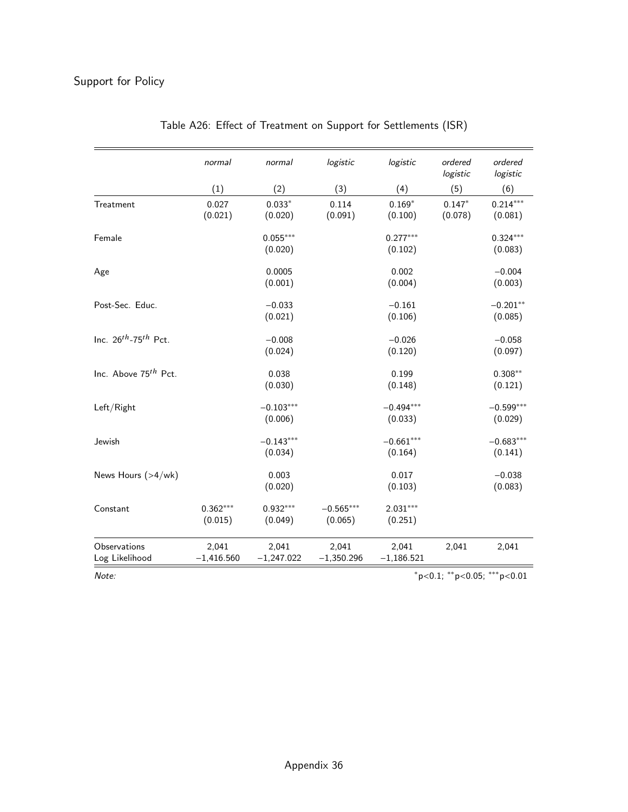# Support for Policy

|                                  | normal                | normal                 | logistic               | logistic               | ordered<br>logistic | ordered<br>logistic         |
|----------------------------------|-----------------------|------------------------|------------------------|------------------------|---------------------|-----------------------------|
|                                  | (1)                   | (2)                    | (3)                    | (4)                    | (5)                 | (6)                         |
| Treatment                        | 0.027<br>(0.021)      | $0.033*$<br>(0.020)    | 0.114<br>(0.091)       | $0.169*$<br>(0.100)    | $0.147*$<br>(0.078) | $0.214***$<br>(0.081)       |
| Female                           |                       | $0.055***$<br>(0.020)  |                        | $0.277***$<br>(0.102)  |                     | $0.324***$<br>(0.083)       |
| Age                              |                       | 0.0005<br>(0.001)      |                        | 0.002<br>(0.004)       |                     | $-0.004$<br>(0.003)         |
| Post-Sec. Educ.                  |                       | $-0.033$<br>(0.021)    |                        | $-0.161$<br>(0.106)    |                     | $-0.201**$<br>(0.085)       |
| Inc. $26^{th}$ -75 $^{th}$ Pct.  |                       | $-0.008$<br>(0.024)    |                        | $-0.026$<br>(0.120)    |                     | $-0.058$<br>(0.097)         |
| Inc. Above 75 <sup>th</sup> Pct. |                       | 0.038<br>(0.030)       |                        | 0.199<br>(0.148)       |                     | $0.308**$<br>(0.121)        |
| Left/Right                       |                       | $-0.103***$<br>(0.006) |                        | $-0.494***$<br>(0.033) |                     | $-0.599***$<br>(0.029)      |
| Jewish                           |                       | $-0.143***$<br>(0.034) |                        | $-0.661***$<br>(0.164) |                     | $-0.683***$<br>(0.141)      |
| News Hours (>4/wk)               |                       | 0.003<br>(0.020)       |                        | 0.017<br>(0.103)       |                     | $-0.038$<br>(0.083)         |
| Constant                         | $0.362***$<br>(0.015) | $0.932***$<br>(0.049)  | $-0.565***$<br>(0.065) | $2.031***$<br>(0.251)  |                     |                             |
| Observations<br>Log Likelihood   | 2,041<br>$-1,416.560$ | 2,041<br>$-1,247.022$  | 2,041<br>$-1,350.296$  | 2,041<br>$-1,186.521$  | 2,041               | 2,041                       |
| Note:                            |                       |                        |                        |                        |                     | *p<0.1; **p<0.05; ***p<0.01 |

| Table A26: Effect of Treatment on Support for Settlements (ISR) |
|-----------------------------------------------------------------|
|-----------------------------------------------------------------|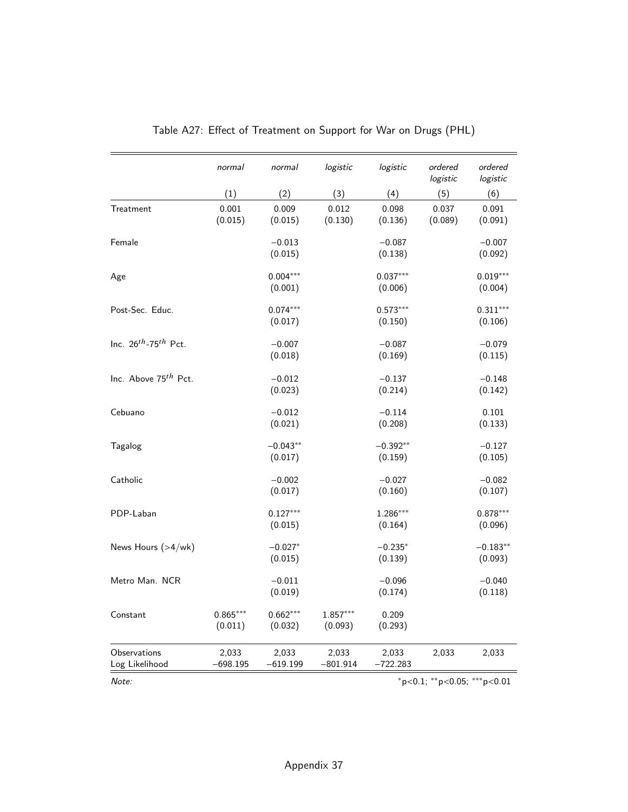|                                  | normal     | normal     | logistic   | logistic   | ordered<br>logistic | ordered<br>logistic |
|----------------------------------|------------|------------|------------|------------|---------------------|---------------------|
|                                  | (1)        | (2)        | (3)        | (4)        | (5)                 | (6)                 |
| Treatment                        | 0.001      | 0.009      | 0.012      | 0.098      | 0.037               | 0.091               |
|                                  | (0.015)    | (0.015)    | (0.130)    | (0.136)    | (0.089)             | (0.091)             |
| Female                           |            | $-0.013$   |            | $-0.087$   |                     | $-0.007$            |
|                                  |            | (0.015)    |            | (0.138)    |                     | (0.092)             |
| Age                              |            | $0.004***$ |            | $0.037***$ |                     | $0.019***$          |
|                                  |            | (0.001)    |            | (0.006)    |                     | (0.004)             |
| Post-Sec. Educ.                  |            | $0.074***$ |            | $0.573***$ |                     | $0.311***$          |
|                                  |            | (0.017)    |            | (0.150)    |                     | (0.106)             |
| Inc. $26^{th}$ -75 $^{th}$ Pct.  |            | $-0.007$   |            | $-0.087$   |                     | $-0.079$            |
|                                  |            | (0.018)    |            | (0.169)    |                     | (0.115)             |
| Inc. Above 75 <sup>th</sup> Pct. |            | $-0.012$   |            | $-0.137$   |                     | $-0.148$            |
|                                  |            | (0.023)    |            | (0.214)    |                     | (0.142)             |
| Cebuano                          |            | $-0.012$   |            | $-0.114$   |                     | 0.101               |
|                                  |            | (0.021)    |            | (0.208)    |                     | (0.133)             |
| Tagalog                          |            | $-0.043**$ |            | $-0.392**$ |                     | $-0.127$            |
|                                  |            | (0.017)    |            | (0.159)    |                     | (0.105)             |
| Catholic                         |            | $-0.002$   |            | $-0.027$   |                     | $-0.082$            |
|                                  |            | (0.017)    |            | (0.160)    |                     | (0.107)             |
| PDP-Laban                        |            | $0.127***$ |            | 1.286***   |                     | $0.878***$          |
|                                  |            | (0.015)    |            | (0.164)    |                     | (0.096)             |
| News Hours (>4/wk)               |            | $-0.027*$  |            | $-0.235*$  |                     | $-0.183**$          |
|                                  |            | (0.015)    |            | (0.139)    |                     | (0.093)             |
| Metro Man. NCR                   |            | $-0.011$   |            | $-0.096$   |                     | $-0.040$            |
|                                  |            | (0.019)    |            | (0.174)    |                     | (0.118)             |
| Constant                         | $0.865***$ | $0.662***$ | $1.857***$ | 0.209      |                     |                     |
|                                  | (0.011)    | (0.032)    | (0.093)    | (0.293)    |                     |                     |
| Observations                     | 2,033      | 2,033      | 2,033      | 2,033      | 2,033               | 2,033               |
| Log Likelihood                   | $-698.195$ | $-619.199$ | $-801.914$ | $-722.283$ |                     |                     |

|  |  | Table A27: Effect of Treatment on Support for War on Drugs (PHL) |  |  |  |  |
|--|--|------------------------------------------------------------------|--|--|--|--|
|--|--|------------------------------------------------------------------|--|--|--|--|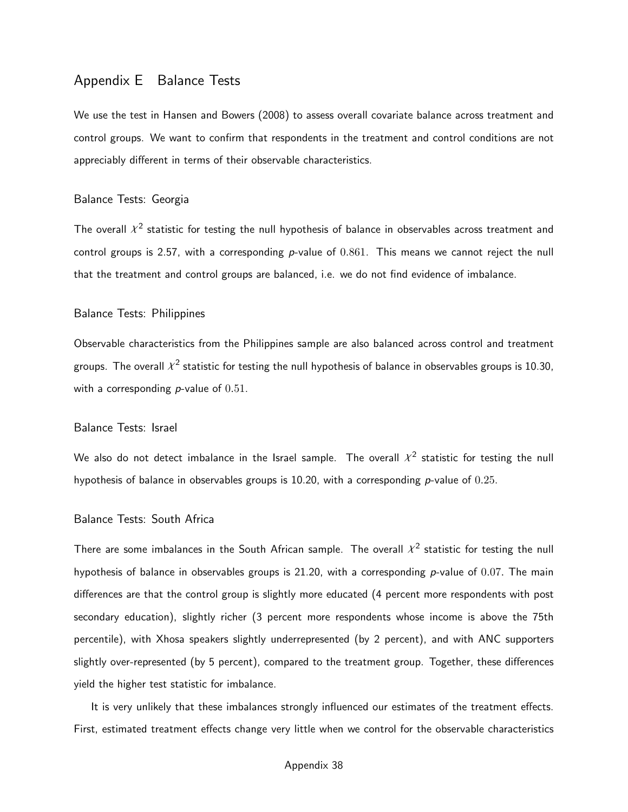## Appendix E Balance Tests

We use the test in [Hansen and Bowers](#page-40-0) [\(2008\)](#page-40-0) to assess overall covariate balance across treatment and control groups. We want to confirm that respondents in the treatment and control conditions are not appreciably different in terms of their observable characteristics.

#### Balance Tests: Georgia

The overall  $\chi^2$  statistic for testing the null hypothesis of balance in observables across treatment and control groups is 2.57, with a corresponding p-value of  $0.861$ . This means we cannot reject the null that the treatment and control groups are balanced, i.e. we do not find evidence of imbalance.

#### Balance Tests: Philippines

Observable characteristics from the Philippines sample are also balanced across control and treatment groups. The overall  $\mathcal{X}^2$  statistic for testing the null hypothesis of balance in observables groups is 10.30, with a corresponding  $p$ -value of  $0.51$ .

#### Balance Tests: Israel

We also do not detect imbalance in the Israel sample. The overall  $\chi^2$  statistic for testing the null hypothesis of balance in observables groups is 10.20, with a corresponding  $p$ -value of 0.25.

### Balance Tests: South Africa

There are some imbalances in the South African sample. The overall  $\chi^2$  statistic for testing the null hypothesis of balance in observables groups is 21.20, with a corresponding  $p$ -value of 0.07. The main differences are that the control group is slightly more educated (4 percent more respondents with post secondary education), slightly richer (3 percent more respondents whose income is above the 75th percentile), with Xhosa speakers slightly underrepresented (by 2 percent), and with ANC supporters slightly over-represented (by 5 percent), compared to the treatment group. Together, these differences yield the higher test statistic for imbalance.

It is very unlikely that these imbalances strongly influenced our estimates of the treatment effects. First, estimated treatment effects change very little when we control for the observable characteristics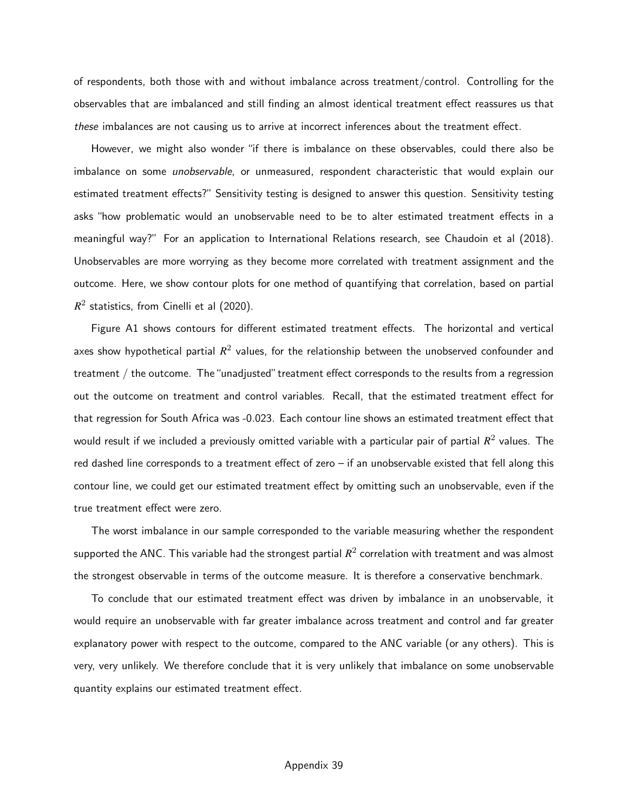of respondents, both those with and without imbalance across treatment/control. Controlling for the observables that are imbalanced and still finding an almost identical treatment effect reassures us that these imbalances are not causing us to arrive at incorrect inferences about the treatment effect.

However, we might also wonder "if there is imbalance on these observables, could there also be imbalance on some unobservable, or unmeasured, respondent characteristic that would explain our estimated treatment effects?" Sensitivity testing is designed to answer this question. Sensitivity testing asks "how problematic would an unobservable need to be to alter estimated treatment effects in a meaningful way?" For an application to International Relations research, see Chaudoin et al (2018). Unobservables are more worrying as they become more correlated with treatment assignment and the outcome. Here, we show contour plots for one method of quantifying that correlation, based on partial  $R^2$  statistics, from Cinelli et al (2020).

[Figure A1](#page-81-0) shows contours for different estimated treatment effects. The horizontal and vertical axes show hypothetical partial  $R^2$  values, for the relationship between the unobserved confounder and treatment / the outcome. The "unadjusted" treatment effect corresponds to the results from a regression out the outcome on treatment and control variables. Recall, that the estimated treatment effect for that regression for South Africa was -0.023. Each contour line shows an estimated treatment effect that would result if we included a previously omitted variable with a particular pair of partial  $R^2$  values. The red dashed line corresponds to a treatment effect of zero – if an unobservable existed that fell along this contour line, we could get our estimated treatment effect by omitting such an unobservable, even if the true treatment effect were zero.

The worst imbalance in our sample corresponded to the variable measuring whether the respondent supported the ANC. This variable had the strongest partial  $R^2$  correlation with treatment and was almost the strongest observable in terms of the outcome measure. It is therefore a conservative benchmark.

To conclude that our estimated treatment effect was driven by imbalance in an unobservable, it would require an unobservable with far greater imbalance across treatment and control and far greater explanatory power with respect to the outcome, compared to the ANC variable (or any others). This is very, very unlikely. We therefore conclude that it is very unlikely that imbalance on some unobservable quantity explains our estimated treatment effect.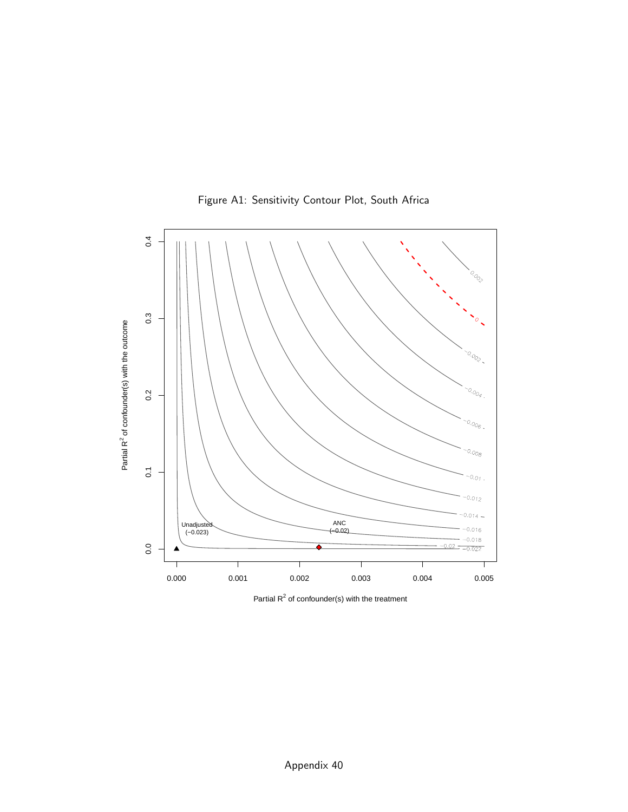<span id="page-81-0"></span>

Figure A1: Sensitivity Contour Plot, South Africa

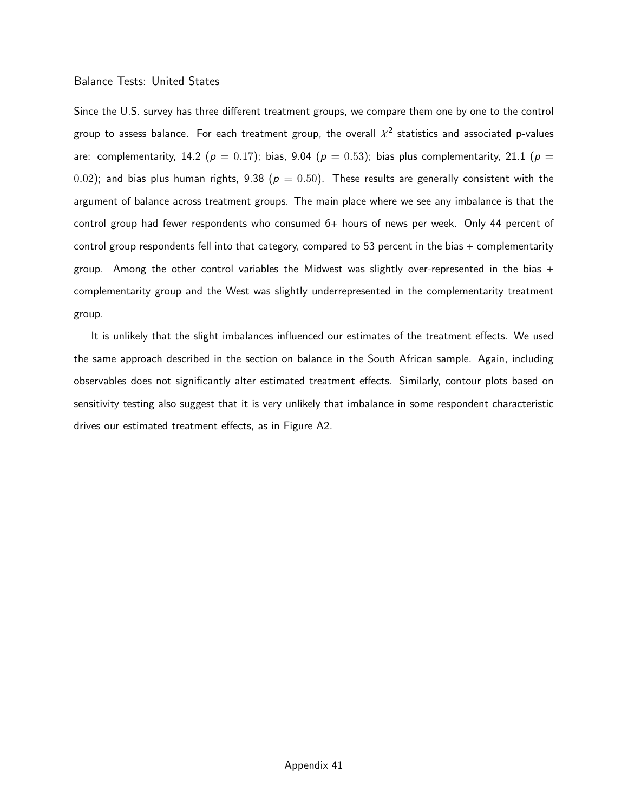#### Balance Tests: United States

Since the U.S. survey has three different treatment groups, we compare them one by one to the control group to assess balance. For each treatment group, the overall  $\mathcal{X}^2$  statistics and associated p-values are: complementarity, 14.2 ( $p = 0.17$ ); bias, 9.04 ( $p = 0.53$ ); bias plus complementarity, 21.1 ( $p =$ 0.02); and bias plus human rights, 9.38 ( $p = 0.50$ ). These results are generally consistent with the argument of balance across treatment groups. The main place where we see any imbalance is that the control group had fewer respondents who consumed  $6+$  hours of news per week. Only 44 percent of control group respondents fell into that category, compared to 53 percent in the bias + complementarity group. Among the other control variables the Midwest was slightly over-represented in the bias  $+$ complementarity group and the West was slightly underrepresented in the complementarity treatment group.

It is unlikely that the slight imbalances influenced our estimates of the treatment effects. We used the same approach described in the section on balance in the South African sample. Again, including observables does not significantly alter estimated treatment effects. Similarly, contour plots based on sensitivity testing also suggest that it is very unlikely that imbalance in some respondent characteristic drives our estimated treatment effects, as in [Figure A2.](#page-83-0)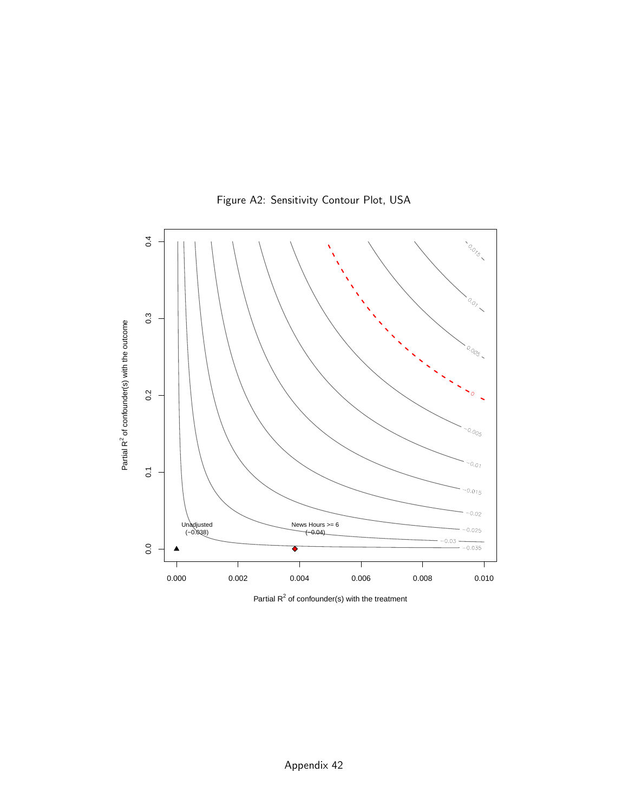<span id="page-83-0"></span>

Figure A2: Sensitivity Contour Plot, USA

Partial  $R^2$  of confounder(s) with the treatment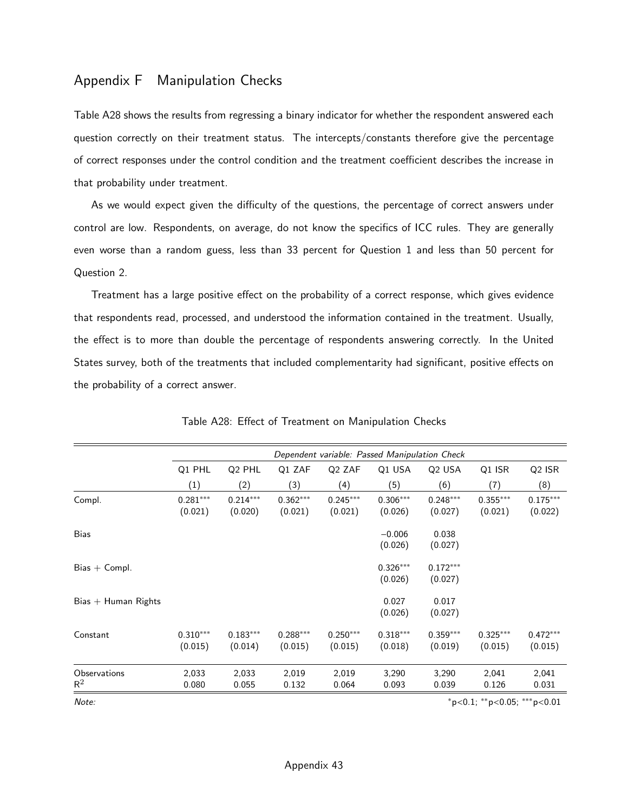## Appendix F Manipulation Checks

[Table A28](#page-84-0) shows the results from regressing a binary indicator for whether the respondent answered each question correctly on their treatment status. The intercepts/constants therefore give the percentage of correct responses under the control condition and the treatment coefficient describes the increase in that probability under treatment.

As we would expect given the difficulty of the questions, the percentage of correct answers under control are low. Respondents, on average, do not know the specifics of ICC rules. They are generally even worse than a random guess, less than 33 percent for Question 1 and less than 50 percent for Question 2.

Treatment has a large positive effect on the probability of a correct response, which gives evidence that respondents read, processed, and understood the information contained in the treatment. Usually, the effect is to more than double the percentage of respondents answering correctly. In the United States survey, both of the treatments that included complementarity had significant, positive effects on the probability of a correct answer.

<span id="page-84-0"></span>

|                       | Dependent variable: Passed Manipulation Check |                       |                       |                       |                       |                       |                                   |                       |  |
|-----------------------|-----------------------------------------------|-----------------------|-----------------------|-----------------------|-----------------------|-----------------------|-----------------------------------|-----------------------|--|
|                       | Q1 PHL                                        | Q <sub>2</sub> PHL    | Q1 ZAF                | Q <sub>2</sub> ZAF    | Q1 USA                | Q <sub>2</sub> USA    | Q1 ISR                            | Q <sub>2</sub> ISR    |  |
|                       | (1)                                           | (2)                   | (3)                   | (4)                   | (5)                   | (6)                   | (7)                               | (8)                   |  |
| Compl.                | $0.281***$<br>(0.021)                         | $0.214***$<br>(0.020) | $0.362***$<br>(0.021) | $0.245***$<br>(0.021) | $0.306***$<br>(0.026) | $0.248***$<br>(0.027) | $0.355***$<br>(0.021)             | $0.175***$<br>(0.022) |  |
| Bias                  |                                               |                       |                       |                       | $-0.006$<br>(0.026)   | 0.038<br>(0.027)      |                                   |                       |  |
| $Bias + Compl.$       |                                               |                       |                       |                       | $0.326***$<br>(0.026) | $0.172***$<br>(0.027) |                                   |                       |  |
| $Bias + Human Rights$ |                                               |                       |                       |                       | 0.027<br>(0.026)      | 0.017<br>(0.027)      |                                   |                       |  |
| Constant              | $0.310***$<br>(0.015)                         | $0.183***$<br>(0.014) | $0.288***$<br>(0.015) | $0.250***$<br>(0.015) | $0.318***$<br>(0.018) | $0.359***$<br>(0.019) | $0.325***$<br>(0.015)             | $0.472***$<br>(0.015) |  |
| Observations<br>$R^2$ | 2,033<br>0.080                                | 2,033<br>0.055        | 2,019<br>0.132        | 2,019<br>0.064        | 3,290<br>0.093        | 3,290<br>0.039        | 2,041<br>0.126                    | 2,041<br>0.031        |  |
| Note:                 |                                               |                       |                       |                       |                       |                       | $*p<0.1$ ; $*p<0.05$ ; $**p<0.01$ |                       |  |

Table A28: Effect of Treatment on Manipulation Checks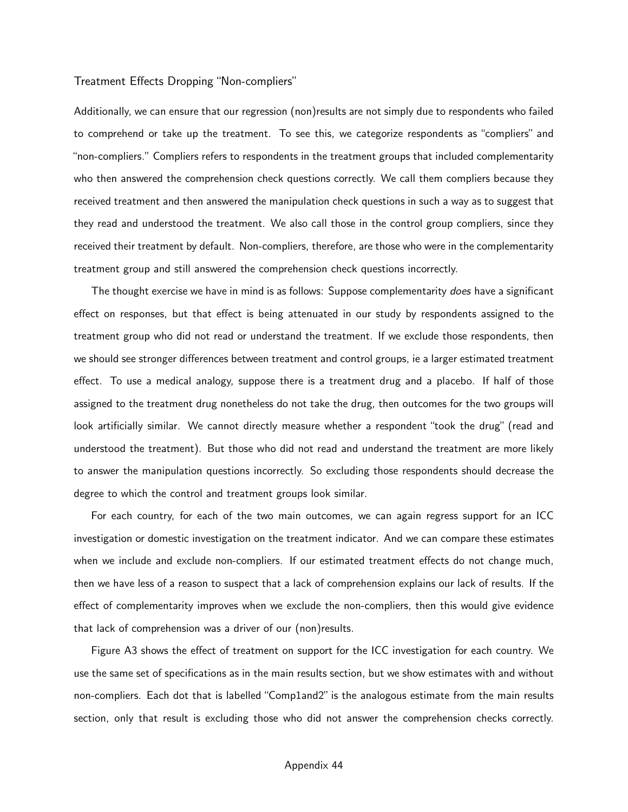#### Treatment Effects Dropping "Non-compliers"

Additionally, we can ensure that our regression (non)results are not simply due to respondents who failed to comprehend or take up the treatment. To see this, we categorize respondents as "compliers" and "non-compliers." Compliers refers to respondents in the treatment groups that included complementarity who then answered the comprehension check questions correctly. We call them compliers because they received treatment and then answered the manipulation check questions in such a way as to suggest that they read and understood the treatment. We also call those in the control group compliers, since they received their treatment by default. Non-compliers, therefore, are those who were in the complementarity treatment group and still answered the comprehension check questions incorrectly.

The thought exercise we have in mind is as follows: Suppose complementarity *does* have a significant effect on responses, but that effect is being attenuated in our study by respondents assigned to the treatment group who did not read or understand the treatment. If we exclude those respondents, then we should see stronger differences between treatment and control groups, ie a larger estimated treatment effect. To use a medical analogy, suppose there is a treatment drug and a placebo. If half of those assigned to the treatment drug nonetheless do not take the drug, then outcomes for the two groups will look artificially similar. We cannot directly measure whether a respondent "took the drug" (read and understood the treatment). But those who did not read and understand the treatment are more likely to answer the manipulation questions incorrectly. So excluding those respondents should decrease the degree to which the control and treatment groups look similar.

For each country, for each of the two main outcomes, we can again regress support for an ICC investigation or domestic investigation on the treatment indicator. And we can compare these estimates when we include and exclude non-compliers. If our estimated treatment effects do not change much, then we have less of a reason to suspect that a lack of comprehension explains our lack of results. If the effect of complementarity improves when we exclude the non-compliers, then this would give evidence that lack of comprehension was a driver of our (non)results.

[Figure A3](#page-87-0) shows the effect of treatment on support for the ICC investigation for each country. We use the same set of specifications as in the main results section, but we show estimates with and without non-compliers. Each dot that is labelled "Comp1and2" is the analogous estimate from the main results section, only that result is excluding those who did not answer the comprehension checks correctly.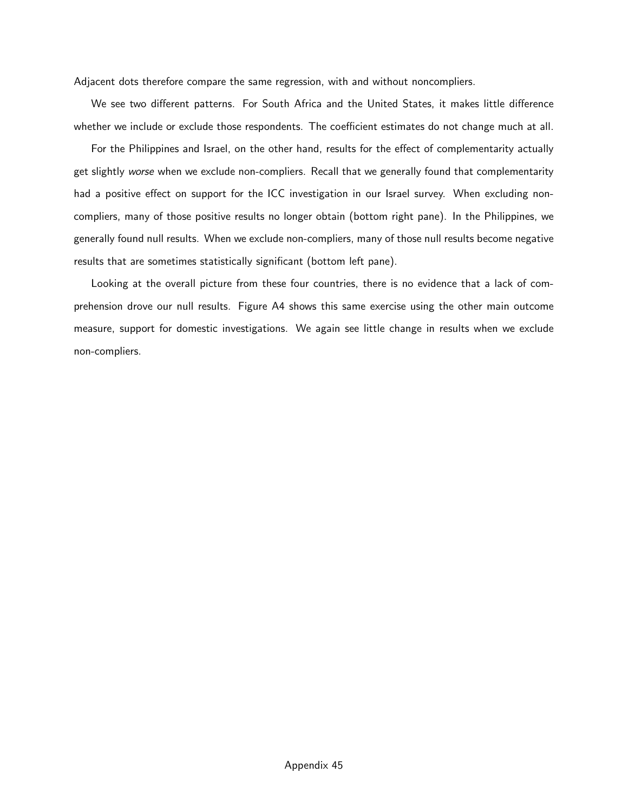Adjacent dots therefore compare the same regression, with and without noncompliers.

We see two different patterns. For South Africa and the United States, it makes little difference whether we include or exclude those respondents. The coefficient estimates do not change much at all.

For the Philippines and Israel, on the other hand, results for the effect of complementarity actually get slightly worse when we exclude non-compliers. Recall that we generally found that complementarity had a positive effect on support for the ICC investigation in our Israel survey. When excluding noncompliers, many of those positive results no longer obtain (bottom right pane). In the Philippines, we generally found null results. When we exclude non-compliers, many of those null results become negative results that are sometimes statistically significant (bottom left pane).

Looking at the overall picture from these four countries, there is no evidence that a lack of comprehension drove our null results. [Figure A4](#page-88-0) shows this same exercise using the other main outcome measure, support for domestic investigations. We again see little change in results when we exclude non-compliers.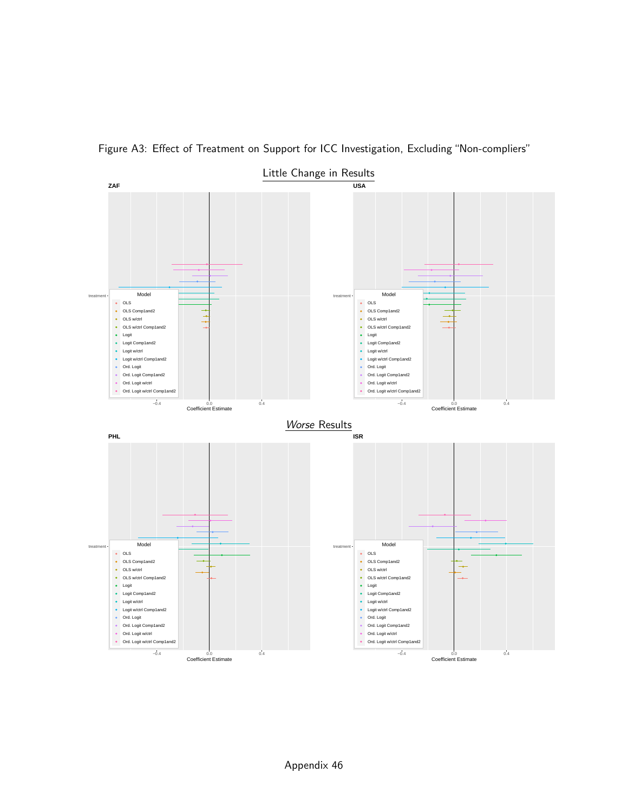<span id="page-87-0"></span>

Figure A3: Effect of Treatment on Support for ICC Investigation, Excluding "Non-compliers"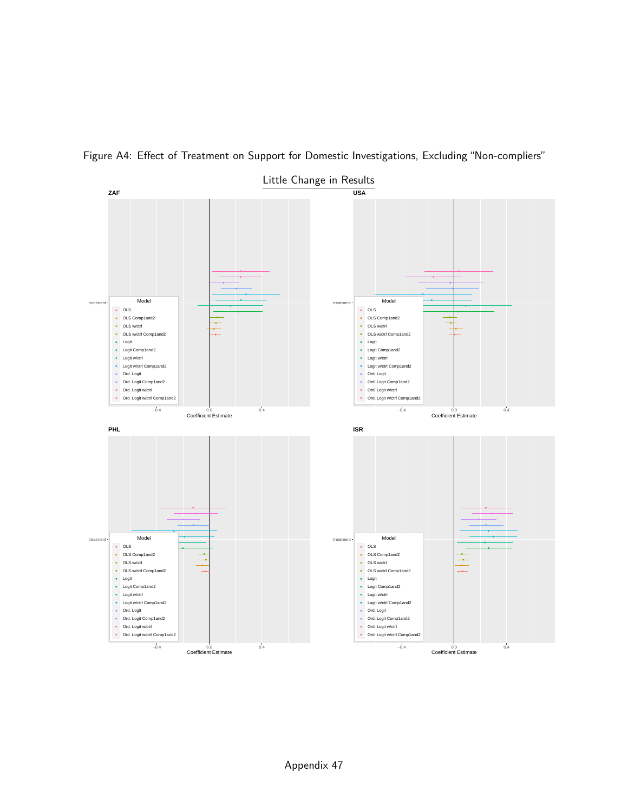<span id="page-88-0"></span>

Figure A4: Effect of Treatment on Support for Domestic Investigations, Excluding "Non-compliers"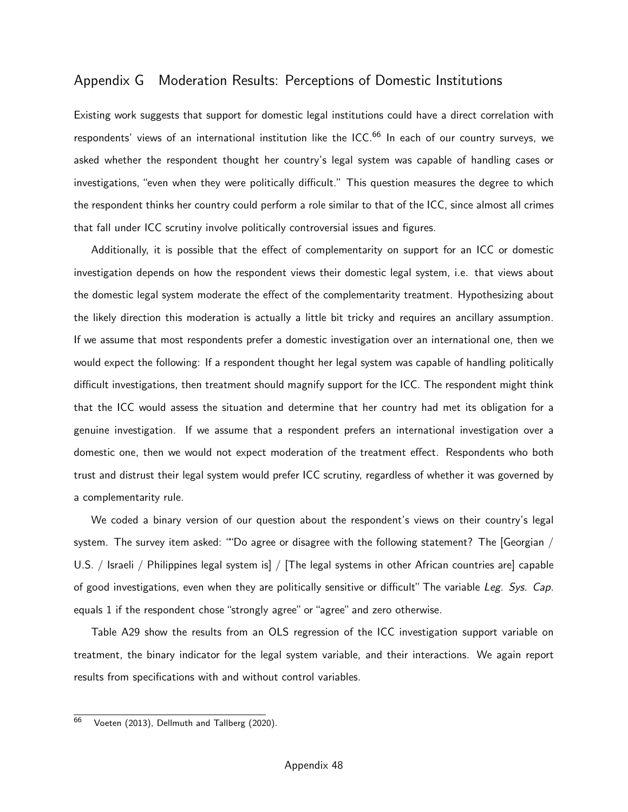## Appendix G Moderation Results: Perceptions of Domestic Institutions

Existing work suggests that support for domestic legal institutions could have a direct correlation with respondents' views of an international institution like the ICC.<sup>[66](#page-0-0)</sup> In each of our country surveys, we asked whether the respondent thought her country's legal system was capable of handling cases or investigations, "even when they were politically difficult." This question measures the degree to which the respondent thinks her country could perform a role similar to that of the ICC, since almost all crimes that fall under ICC scrutiny involve politically controversial issues and figures.

Additionally, it is possible that the effect of complementarity on support for an ICC or domestic investigation depends on how the respondent views their domestic legal system, i.e. that views about the domestic legal system moderate the effect of the complementarity treatment. Hypothesizing about the likely direction this moderation is actually a little bit tricky and requires an ancillary assumption. If we assume that most respondents prefer a domestic investigation over an international one, then we would expect the following: If a respondent thought her legal system was capable of handling politically difficult investigations, then treatment should magnify support for the ICC. The respondent might think that the ICC would assess the situation and determine that her country had met its obligation for a genuine investigation. If we assume that a respondent prefers an international investigation over a domestic one, then we would not expect moderation of the treatment effect. Respondents who both trust and distrust their legal system would prefer ICC scrutiny, regardless of whether it was governed by a complementarity rule.

We coded a binary version of our question about the respondent's views on their country's legal system. The survey item asked: ""Do agree or disagree with the following statement? The [Georgian / U.S. / Israeli / Philippines legal system is] / [The legal systems in other African countries are] capable of good investigations, even when they are politically sensitive or difficult" The variable Leg. Sys. Cap. equals 1 if the respondent chose "strongly agree" or "agree" and zero otherwise.

[Table A29](#page-91-0) show the results from an OLS regression of the ICC investigation support variable on treatment, the binary indicator for the legal system variable, and their interactions. We again report results from specifications with and without control variables.

<sup>&</sup>lt;sup>66</sup> Voeten (2013), Dellmuth and Tallberg (2020).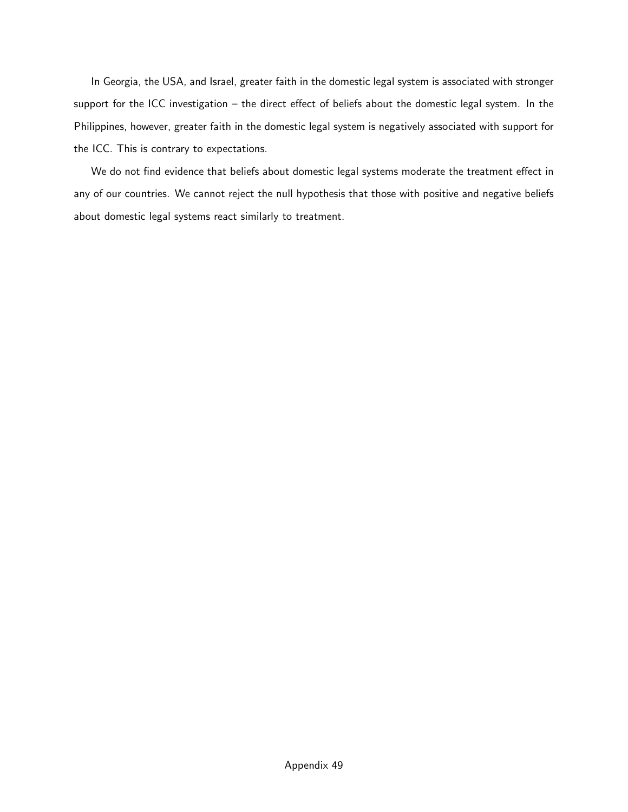In Georgia, the USA, and Israel, greater faith in the domestic legal system is associated with stronger support for the ICC investigation – the direct effect of beliefs about the domestic legal system. In the Philippines, however, greater faith in the domestic legal system is negatively associated with support for the ICC. This is contrary to expectations.

We do not find evidence that beliefs about domestic legal systems moderate the treatment effect in any of our countries. We cannot reject the null hypothesis that those with positive and negative beliefs about domestic legal systems react similarly to treatment.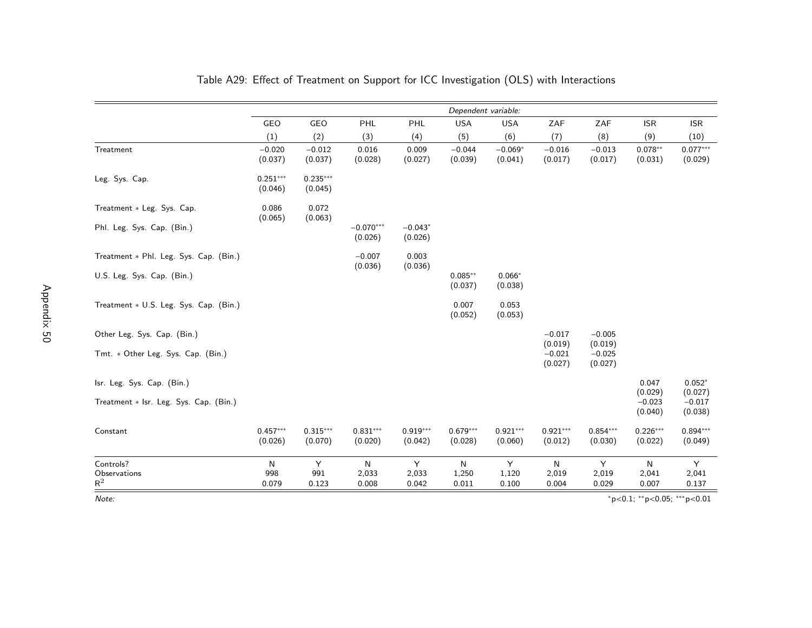|                                        | Dependent variable:   |                       |                        |                       |                       |                       |                       |                                |                                         |                                |
|----------------------------------------|-----------------------|-----------------------|------------------------|-----------------------|-----------------------|-----------------------|-----------------------|--------------------------------|-----------------------------------------|--------------------------------|
|                                        | GEO                   | GEO                   | PHL                    | PHL                   | <b>USA</b>            | <b>USA</b>            | ZAF                   | ZAF                            | <b>ISR</b>                              | <b>ISR</b>                     |
|                                        | (1)                   | (2)                   | (3)                    | (4)                   | (5)                   | (6)                   | (7)                   | (8)                            | (9)                                     | (10)                           |
| Treatment                              | $-0.020$<br>(0.037)   | $-0.012$<br>(0.037)   | 0.016<br>(0.028)       | 0.009<br>(0.027)      | $-0.044$<br>(0.039)   | $-0.069*$<br>(0.041)  | $-0.016$<br>(0.017)   | $-0.013$<br>(0.017)            | $0.078**$<br>(0.031)                    | $0.077***$<br>(0.029)          |
| Leg. Sys. Cap.                         | $0.251***$<br>(0.046) | $0.235***$<br>(0.045) |                        |                       |                       |                       |                       |                                |                                         |                                |
| Treatment * Leg. Sys. Cap.             | 0.086<br>(0.065)      | 0.072<br>(0.063)      |                        |                       |                       |                       |                       |                                |                                         |                                |
| Phl. Leg. Sys. Cap. (Bin.)             |                       |                       | $-0.070***$<br>(0.026) | $-0.043*$<br>(0.026)  |                       |                       |                       |                                |                                         |                                |
| Treatment * Phl. Leg. Sys. Cap. (Bin.) |                       |                       | $-0.007$<br>(0.036)    | 0.003<br>(0.036)      |                       |                       |                       |                                |                                         |                                |
| U.S. Leg. Sys. Cap. (Bin.)             |                       |                       |                        |                       | $0.085**$<br>(0.037)  | $0.066*$<br>(0.038)   |                       |                                |                                         |                                |
| Treatment * U.S. Leg. Sys. Cap. (Bin.) |                       |                       |                        |                       | 0.007<br>(0.052)      | 0.053<br>(0.053)      |                       |                                |                                         |                                |
| Other Leg. Sys. Cap. (Bin.)            |                       |                       |                        |                       |                       |                       | $-0.017$<br>(0.019)   | $-0.005$                       |                                         |                                |
| Tmt. * Other Leg. Sys. Cap. (Bin.)     |                       |                       |                        |                       |                       |                       | $-0.021$<br>(0.027)   | (0.019)<br>$-0.025$<br>(0.027) |                                         |                                |
| Isr. Leg. Sys. Cap. (Bin.)             |                       |                       |                        |                       |                       |                       |                       |                                | 0.047                                   | $0.052*$                       |
| Treatment * Isr. Leg. Sys. Cap. (Bin.) |                       |                       |                        |                       |                       |                       |                       |                                | (0.029)<br>$-0.023$<br>(0.040)          | (0.027)<br>$-0.017$<br>(0.038) |
| Constant                               | $0.457***$<br>(0.026) | $0.315***$<br>(0.070) | $0.831***$<br>(0.020)  | $0.919***$<br>(0.042) | $0.679***$<br>(0.028) | $0.921***$<br>(0.060) | $0.921***$<br>(0.012) | $0.854***$<br>(0.030)          | $0.226***$<br>(0.022)                   | $0.894***$<br>(0.049)          |
| Controls?                              | ${\sf N}$             | Y                     | $\mathsf{N}$           | Y                     | N                     | Y                     | N                     | Y                              | N                                       | Y                              |
| Observations<br>$\mathsf{R}^2$         | 998<br>0.079          | 991<br>0.123          | 2,033<br>0.008         | 2,033<br>0.042        | 1,250<br>0.011        | 1,120<br>0.100        | 2,019<br>0.004        | 2,019<br>0.029                 | 2,041<br>0.007                          | 2,041<br>0.137                 |
| Note:                                  |                       |                       |                        |                       |                       |                       |                       |                                | $*_{p<0.1;}$ $*_{p<0.05;}$ $*_{p<0.01}$ |                                |

## Table A29: Effect of Treatment on Support for ICC Investigation (OLS) with Interactions

<span id="page-91-0"></span><sup>∗</sup>p<0.1; ∗∗p<sup>&</sup>lt;0.05; ∗∗∗p<0.01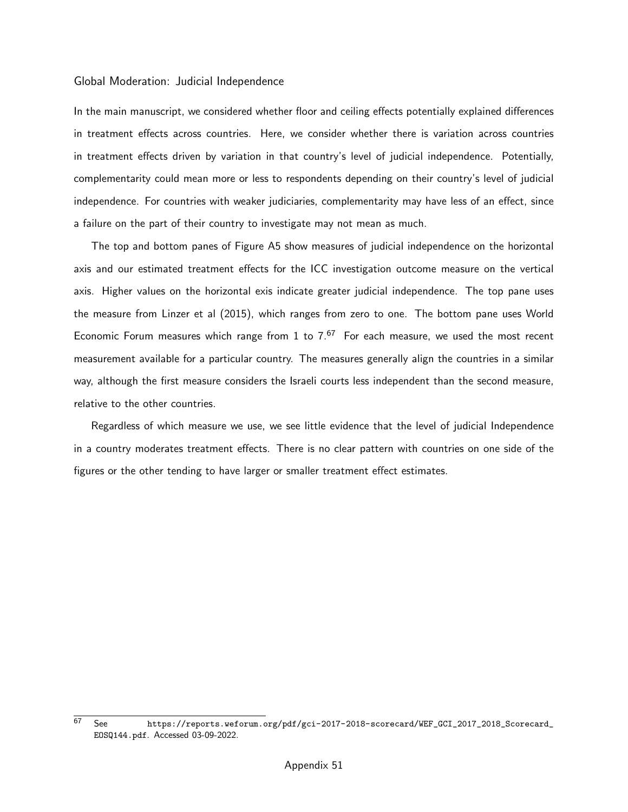#### Global Moderation: Judicial Independence

In the main manuscript, we considered whether floor and ceiling effects potentially explained differences in treatment effects across countries. Here, we consider whether there is variation across countries in treatment effects driven by variation in that country's level of judicial independence. Potentially, complementarity could mean more or less to respondents depending on their country's level of judicial independence. For countries with weaker judiciaries, complementarity may have less of an effect, since a failure on the part of their country to investigate may not mean as much.

The top and bottom panes of [Figure A5](#page-93-0) show measures of judicial independence on the horizontal axis and our estimated treatment effects for the ICC investigation outcome measure on the vertical axis. Higher values on the horizontal exis indicate greater judicial independence. The top pane uses the measure from Linzer et al (2015), which ranges from zero to one. The bottom pane uses World Economic Forum measures which range from 1 to  $7.67$  $7.67$  For each measure, we used the most recent measurement available for a particular country. The measures generally align the countries in a similar way, although the first measure considers the Israeli courts less independent than the second measure, relative to the other countries.

Regardless of which measure we use, we see little evidence that the level of judicial Independence in a country moderates treatment effects. There is no clear pattern with countries on one side of the figures or the other tending to have larger or smaller treatment effect estimates.

 $\overline{67}$  See [https://reports.weforum.org/pdf/gci-2017-2018-scorecard/WEF\\_GCI\\_2017\\_2018\\_Scorecard\\_](https://reports.weforum.org/pdf/gci-2017-2018-scorecard/WEF_GCI_2017_2018_Scorecard_EOSQ144.pdf) [EOSQ144.pdf](https://reports.weforum.org/pdf/gci-2017-2018-scorecard/WEF_GCI_2017_2018_Scorecard_EOSQ144.pdf). Accessed 03-09-2022.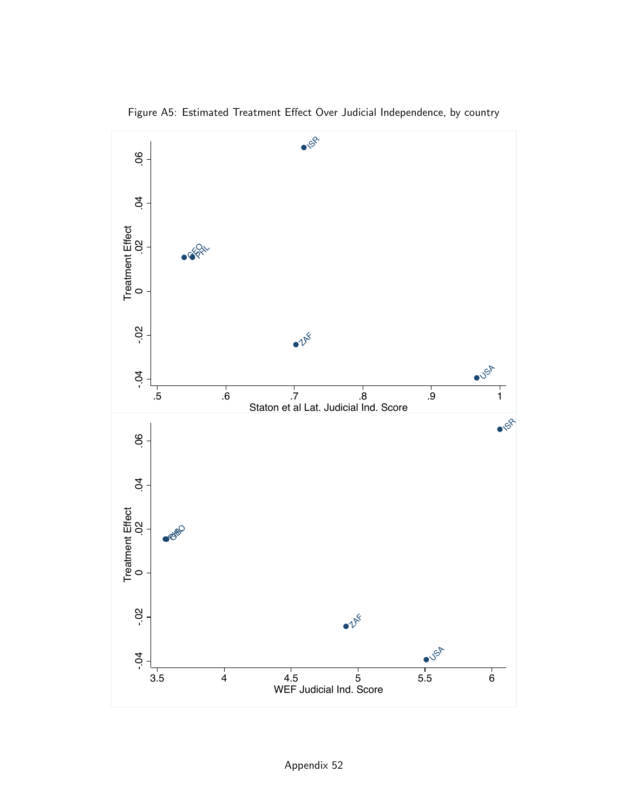<span id="page-93-0"></span>

Figure A5: Estimated Treatment Effect Over Judicial Independence, by country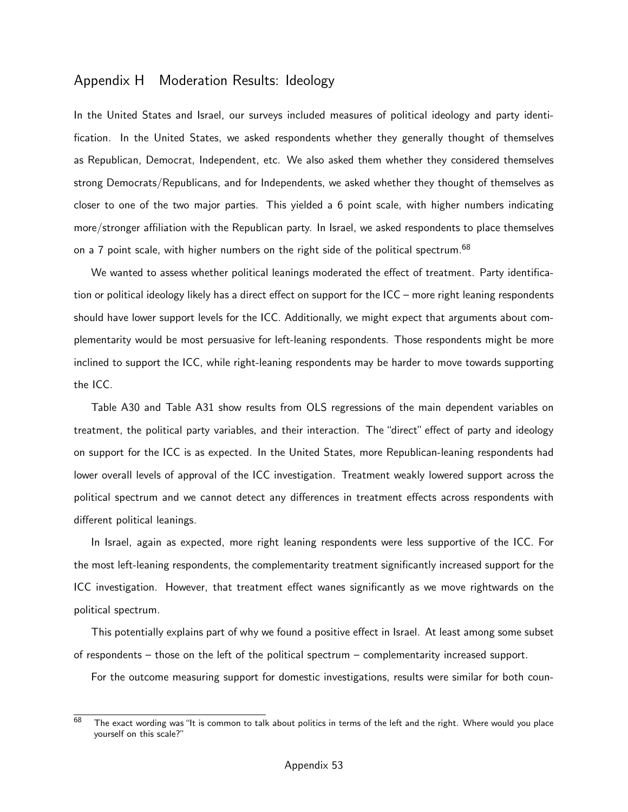## Appendix H Moderation Results: Ideology

In the United States and Israel, our surveys included measures of political ideology and party identification. In the United States, we asked respondents whether they generally thought of themselves as Republican, Democrat, Independent, etc. We also asked them whether they considered themselves strong Democrats/Republicans, and for Independents, we asked whether they thought of themselves as closer to one of the two major parties. This yielded a 6 point scale, with higher numbers indicating more/stronger affiliation with the Republican party. In Israel, we asked respondents to place themselves on a 7 point scale, with higher numbers on the right side of the political spectrum.<sup>[68](#page-0-0)</sup>

We wanted to assess whether political leanings moderated the effect of treatment. Party identification or political ideology likely has a direct effect on support for the ICC – more right leaning respondents should have lower support levels for the ICC. Additionally, we might expect that arguments about complementarity would be most persuasive for left-leaning respondents. Those respondents might be more inclined to support the ICC, while right-leaning respondents may be harder to move towards supporting the ICC.

[Table A30](#page-95-0) and [Table A31](#page-96-0) show results from OLS regressions of the main dependent variables on treatment, the political party variables, and their interaction. The "direct" effect of party and ideology on support for the ICC is as expected. In the United States, more Republican-leaning respondents had lower overall levels of approval of the ICC investigation. Treatment weakly lowered support across the political spectrum and we cannot detect any differences in treatment effects across respondents with different political leanings.

In Israel, again as expected, more right leaning respondents were less supportive of the ICC. For the most left-leaning respondents, the complementarity treatment significantly increased support for the ICC investigation. However, that treatment effect wanes significantly as we move rightwards on the political spectrum.

This potentially explains part of why we found a positive effect in Israel. At least among some subset of respondents – those on the left of the political spectrum – complementarity increased support.

For the outcome measuring support for domestic investigations, results were similar for both coun-

 $68$  The exact wording was "It is common to talk about politics in terms of the left and the right. Where would you place yourself on this scale?"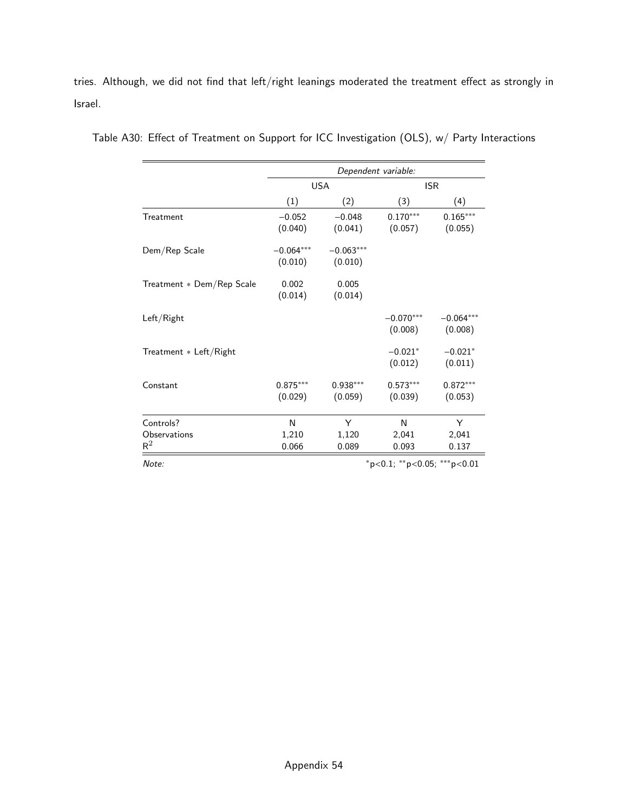tries. Although, we did not find that left/right leanings moderated the treatment effect as strongly in Israel.

|                           | Dependent variable:    |                        |                        |                        |  |
|---------------------------|------------------------|------------------------|------------------------|------------------------|--|
|                           |                        | <b>USA</b>             | <b>ISR</b>             |                        |  |
|                           | (1)                    | (2)                    | (3)                    | (4)                    |  |
| Treatment                 | $-0.052$<br>(0.040)    | $-0.048$<br>(0.041)    | $0.170***$<br>(0.057)  | $0.165***$<br>(0.055)  |  |
| Dem/Rep Scale             | $-0.064***$<br>(0.010) | $-0.063***$<br>(0.010) |                        |                        |  |
| Treatment * Dem/Rep Scale | 0.002<br>(0.014)       | 0.005<br>(0.014)       |                        |                        |  |
| Left/Right                |                        |                        | $-0.070***$<br>(0.008) | $-0.064***$<br>(0.008) |  |
| Treatment * Left/Right    |                        |                        | $-0.021*$<br>(0.012)   | $-0.021*$<br>(0.011)   |  |
| Constant                  | $0.875***$<br>(0.029)  | $0.938***$<br>(0.059)  | $0.573***$<br>(0.039)  | $0.872***$<br>(0.053)  |  |
| Controls?                 | N                      | Υ                      | N                      | Y                      |  |
| Observations<br>$R^2$     | 1,210<br>0.066         | 1,120<br>0.089         | 2,041<br>0.093         | 2,041<br>0.137         |  |

<span id="page-95-0"></span>Table A30: Effect of Treatment on Support for ICC Investigation (OLS), w/ Party Interactions

Note: \*\*\*p<0.05; \*\*\*p<0.01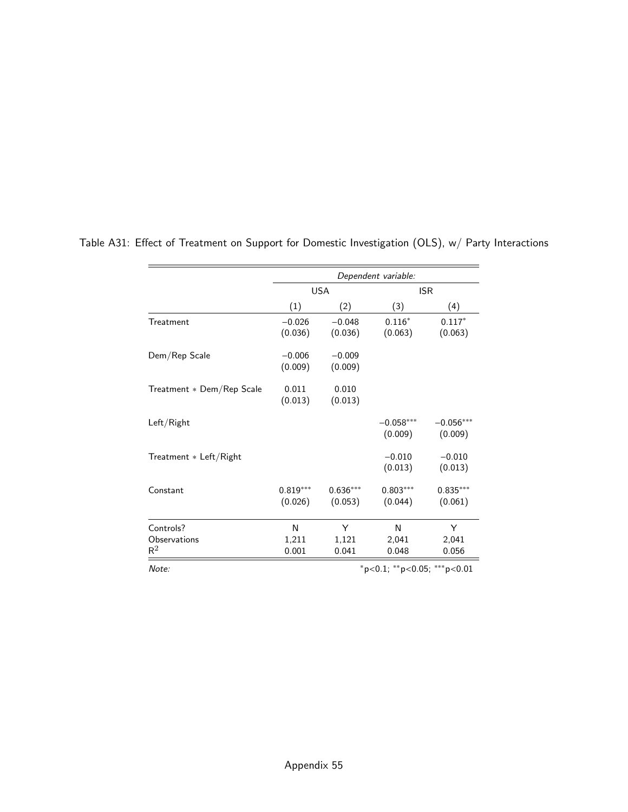|                                    | Dependent variable:                     |                       |                        |                        |  |
|------------------------------------|-----------------------------------------|-----------------------|------------------------|------------------------|--|
|                                    |                                         | <b>USA</b>            | <b>ISR</b>             |                        |  |
|                                    | (1)                                     | (2)                   | (3)                    | (4)                    |  |
| Treatment                          | $-0.026$<br>(0.036)                     | $-0.048$<br>(0.036)   | $0.116*$<br>(0.063)    | $0.117*$<br>(0.063)    |  |
| Dem/Rep Scale                      | $-0.006$<br>(0.009)                     | $-0.009$<br>(0.009)   |                        |                        |  |
| Treatment * Dem/Rep Scale          | 0.011<br>(0.013)                        | 0.010<br>(0.013)      |                        |                        |  |
| Left/Right                         |                                         |                       | $-0.058***$<br>(0.009) | $-0.056***$<br>(0.009) |  |
| Treatment * Left/Right             |                                         |                       | $-0.010$<br>(0.013)    | $-0.010$<br>(0.013)    |  |
| Constant                           | $0.819***$<br>(0.026)                   | $0.636***$<br>(0.053) | $0.803***$<br>(0.044)  | $0.835***$<br>(0.061)  |  |
| Controls?<br>Observations<br>$R^2$ | N<br>1,211<br>0.001                     | Y<br>1,121<br>0.041   | N<br>2,041<br>0.048    | Y<br>2,041<br>0.056    |  |
| Note:                              | $*_{p<0.1;}$ $*_{p<0.05;}$ $*_{p<0.01}$ |                       |                        |                        |  |

<span id="page-96-0"></span>Table A31: Effect of Treatment on Support for Domestic Investigation (OLS), w/ Party Interactions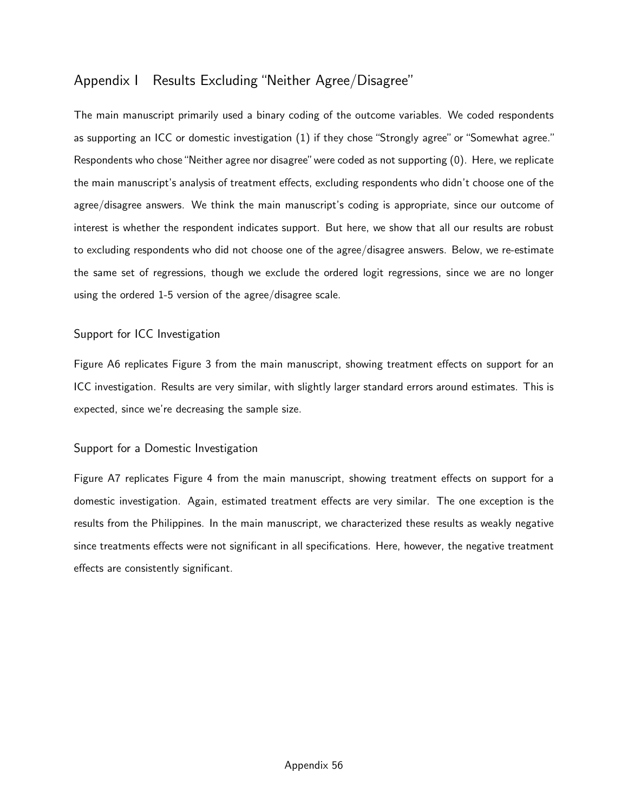# Appendix I Results Excluding "Neither Agree/Disagree"

The main manuscript primarily used a binary coding of the outcome variables. We coded respondents as supporting an ICC or domestic investigation (1) if they chose "Strongly agree" or "Somewhat agree." Respondents who chose "Neither agree nor disagree" were coded as not supporting (0). Here, we replicate the main manuscript's analysis of treatment effects, excluding respondents who didn't choose one of the agree/disagree answers. We think the main manuscript's coding is appropriate, since our outcome of interest is whether the respondent indicates support. But here, we show that all our results are robust to excluding respondents who did not choose one of the agree/disagree answers. Below, we re-estimate the same set of regressions, though we exclude the ordered logit regressions, since we are no longer using the ordered 1-5 version of the agree/disagree scale.

### Support for ICC Investigation

[Figure A6](#page-98-0) replicates [Figure 3](#page-22-0) from the main manuscript, showing treatment effects on support for an ICC investigation. Results are very similar, with slightly larger standard errors around estimates. This is expected, since we're decreasing the sample size.

### Support for a Domestic Investigation

[Figure A7](#page-99-0) replicates [Figure 4](#page-24-0) from the main manuscript, showing treatment effects on support for a domestic investigation. Again, estimated treatment effects are very similar. The one exception is the results from the Philippines. In the main manuscript, we characterized these results as weakly negative since treatments effects were not significant in all specifications. Here, however, the negative treatment effects are consistently significant.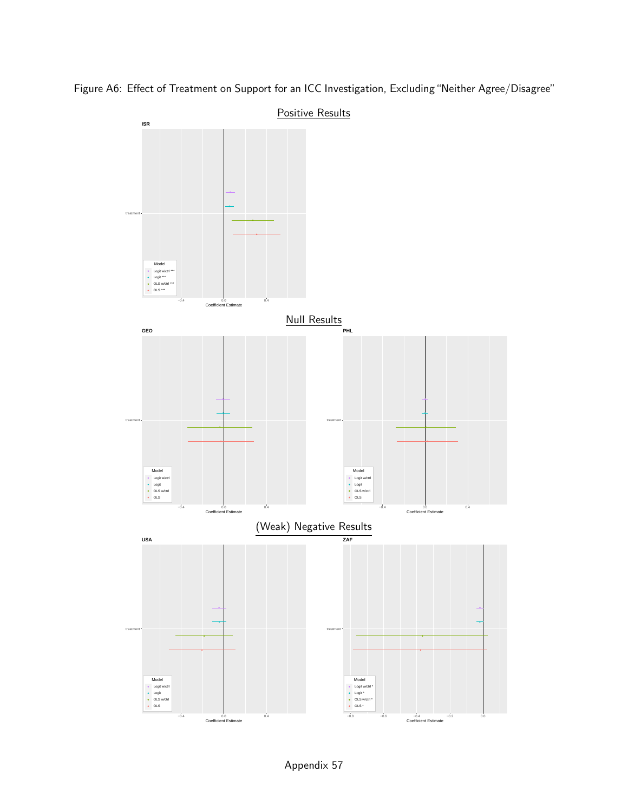<span id="page-98-0"></span>

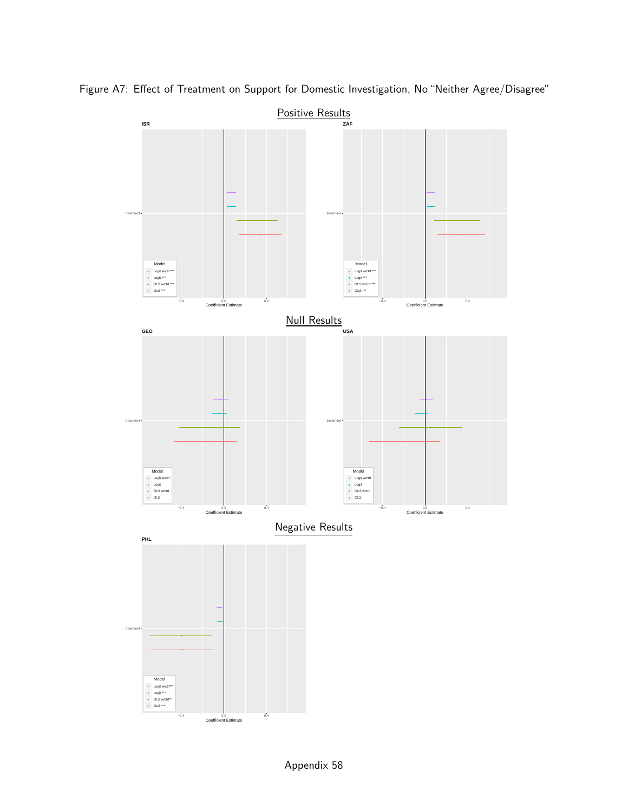

<span id="page-99-0"></span>Figure A7: Effect of Treatment on Support for Domestic Investigation, No "Neither Agree/Disagree"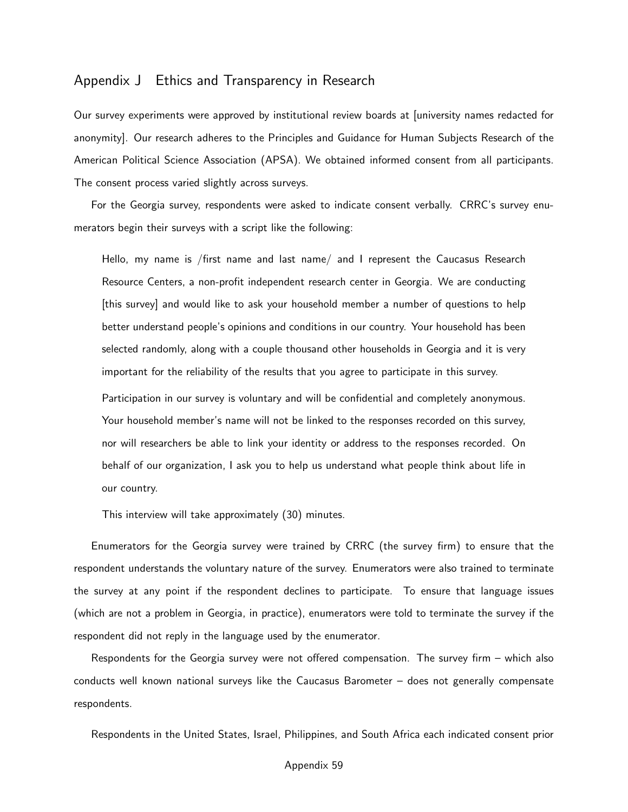### Appendix J Ethics and Transparency in Research

Our survey experiments were approved by institutional review boards at [university names redacted for anonymity]. Our research adheres to the Principles and Guidance for Human Subjects Research of the American Political Science Association (APSA). We obtained informed consent from all participants. The consent process varied slightly across surveys.

For the Georgia survey, respondents were asked to indicate consent verbally. CRRC's survey enumerators begin their surveys with a script like the following:

Hello, my name is /first name and last name/ and I represent the Caucasus Research Resource Centers, a non-profit independent research center in Georgia. We are conducting [this survey] and would like to ask your household member a number of questions to help better understand people's opinions and conditions in our country. Your household has been selected randomly, along with a couple thousand other households in Georgia and it is very important for the reliability of the results that you agree to participate in this survey.

Participation in our survey is voluntary and will be confidential and completely anonymous. Your household member's name will not be linked to the responses recorded on this survey, nor will researchers be able to link your identity or address to the responses recorded. On behalf of our organization, I ask you to help us understand what people think about life in our country.

This interview will take approximately (30) minutes.

Enumerators for the Georgia survey were trained by CRRC (the survey firm) to ensure that the respondent understands the voluntary nature of the survey. Enumerators were also trained to terminate the survey at any point if the respondent declines to participate. To ensure that language issues (which are not a problem in Georgia, in practice), enumerators were told to terminate the survey if the respondent did not reply in the language used by the enumerator.

Respondents for the Georgia survey were not offered compensation. The survey firm – which also conducts well known national surveys like the Caucasus Barometer – does not generally compensate respondents.

Respondents in the United States, Israel, Philippines, and South Africa each indicated consent prior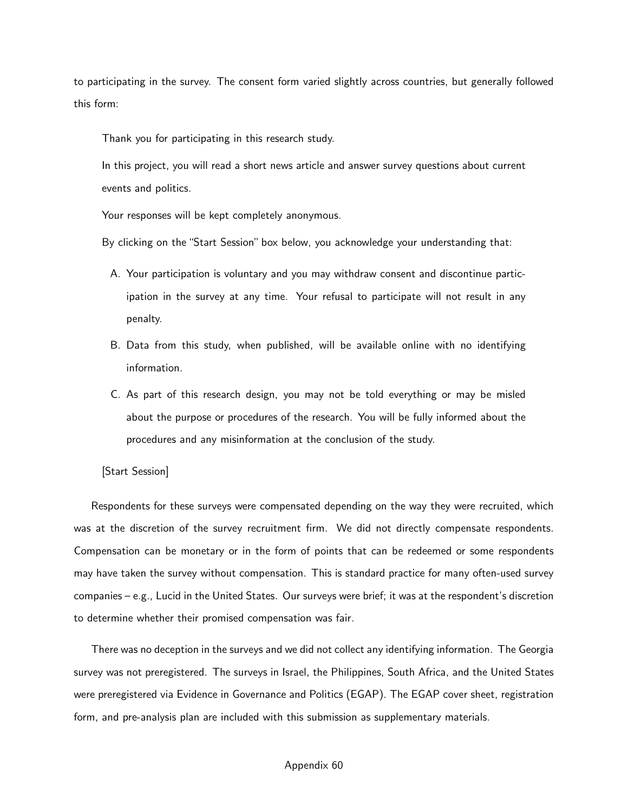to participating in the survey. The consent form varied slightly across countries, but generally followed this form:

Thank you for participating in this research study.

In this project, you will read a short news article and answer survey questions about current events and politics.

Your responses will be kept completely anonymous.

By clicking on the "Start Session" box below, you acknowledge your understanding that:

- A. Your participation is voluntary and you may withdraw consent and discontinue participation in the survey at any time. Your refusal to participate will not result in any penalty.
- B. Data from this study, when published, will be available online with no identifying information.
- C. As part of this research design, you may not be told everything or may be misled about the purpose or procedures of the research. You will be fully informed about the procedures and any misinformation at the conclusion of the study.

[Start Session]

Respondents for these surveys were compensated depending on the way they were recruited, which was at the discretion of the survey recruitment firm. We did not directly compensate respondents. Compensation can be monetary or in the form of points that can be redeemed or some respondents may have taken the survey without compensation. This is standard practice for many often-used survey companies – e.g., Lucid in the United States. Our surveys were brief; it was at the respondent's discretion to determine whether their promised compensation was fair.

There was no deception in the surveys and we did not collect any identifying information. The Georgia survey was not preregistered. The surveys in Israel, the Philippines, South Africa, and the United States were preregistered via Evidence in Governance and Politics (EGAP). The EGAP cover sheet, registration form, and pre-analysis plan are included with this submission as supplementary materials.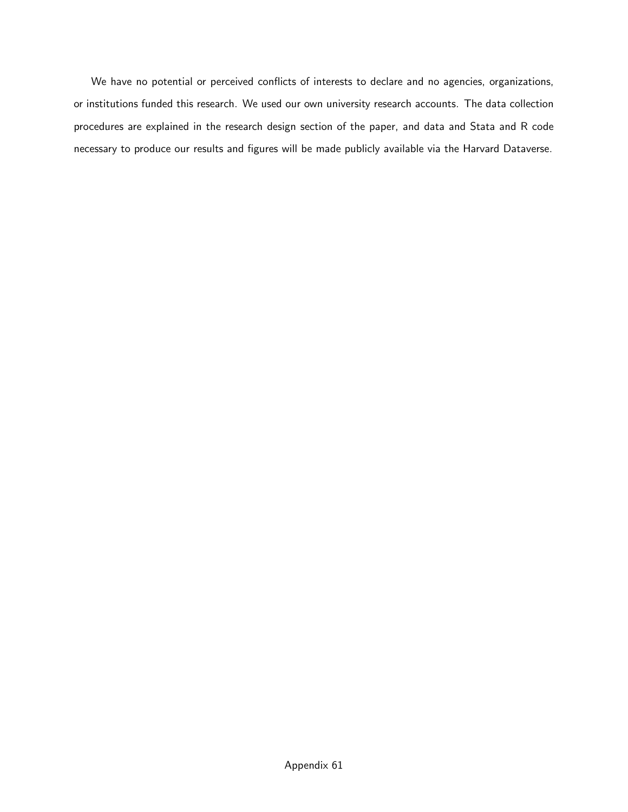We have no potential or perceived conflicts of interests to declare and no agencies, organizations, or institutions funded this research. We used our own university research accounts. The data collection procedures are explained in the research design section of the paper, and data and Stata and R code necessary to produce our results and figures will be made publicly available via the Harvard Dataverse.